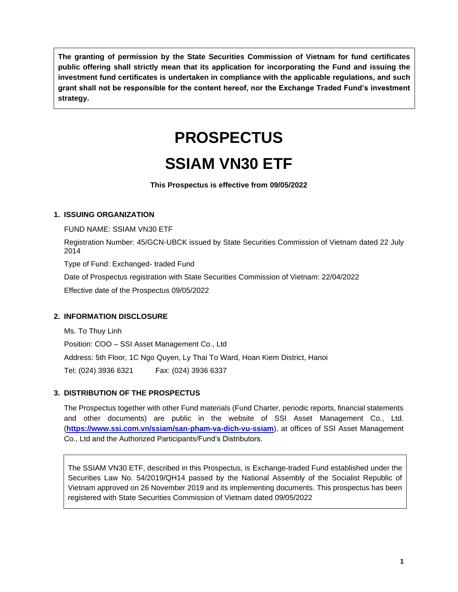**The granting of permission by the State Securities Commission of Vietnam for fund certificates public offering shall strictly mean that its application for incorporating the Fund and issuing the investment fund certificates is undertaken in compliance with the applicable regulations, and such grant shall not be responsible for the content hereof, nor the Exchange Traded Fund's investment strategy.**

# **PROSPECTUS**

## **SSIAM VN30 ETF**

**This Prospectus is effective from 09/05/2022**

#### **1. ISSUING ORGANIZATION**

FUND NAME: SSIAM VN30 ETF

Registration Number: 45/GCN-UBCK issued by State Securities Commission of Vietnam dated 22 July 2014

Type of Fund: Exchanged- traded Fund

Date of Prospectus registration with State Securities Commission of Vietnam: 22/04/2022

Effective date of the Prospectus 09/05/2022

#### **2. INFORMATION DISCLOSURE**

Ms. To Thuy Linh

Position: COO – SSI Asset Management Co., Ltd

Address: 5th Floor, 1C Ngo Quyen, Ly Thai To Ward, Hoan Kiem District, Hanoi

Tel: (024) 3936 6321 Fax: (024) 3936 6337

#### **3. DISTRIBUTION OF THE PROSPECTUS**

The Prospectus together with other Fund materials (Fund Charter, periodic reports, financial statements and other documents) are public in the website of SSI Asset Management Co., Ltd. (**<https://www.ssi.com.vn/ssiam/san-pham-va-dich-vu-ssiam>**), at offices of SSI Asset Management Co., Ltd and the Authorized Participants/Fund's Distributors.

The SSIAM VN30 ETF, described in this Prospectus, is Exchange-traded Fund established under the Securities Law No. 54/2019/QH14 passed by the National Assembly of the Socialist Republic of Vietnam approved on 26 November 2019 and its implementing documents. This prospectus has been registered with State Securities Commission of Vietnam dated 09/05/2022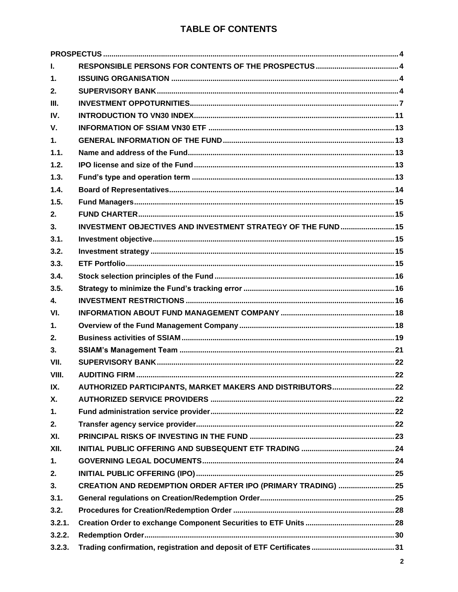#### **TABLE OF CONTENTS**

| L.             |                                                               |  |
|----------------|---------------------------------------------------------------|--|
| $\mathbf 1$ .  |                                                               |  |
| 2.             |                                                               |  |
| III.           |                                                               |  |
| IV.            |                                                               |  |
| $V_{\cdot}$    |                                                               |  |
| $\mathbf{1}$ . |                                                               |  |
| 1.1.           |                                                               |  |
| 1.2.           |                                                               |  |
| 1.3.           |                                                               |  |
| 1.4.           |                                                               |  |
| 1.5.           |                                                               |  |
| 2.             |                                                               |  |
| 3.             | INVESTMENT OBJECTIVES AND INVESTMENT STRATEGY OF THE FUND 15  |  |
| 3.1.           |                                                               |  |
| 3.2.           |                                                               |  |
| 3.3.           |                                                               |  |
| 3.4.           |                                                               |  |
| 3.5.           |                                                               |  |
| $\mathbf{A}$   |                                                               |  |
| VI.            |                                                               |  |
| $\mathbf{1}$ . |                                                               |  |
| 2.             |                                                               |  |
| 3.             |                                                               |  |
| VII.           |                                                               |  |
| VIII.          |                                                               |  |
| IX.            |                                                               |  |
| Χ.             |                                                               |  |
| 1.             |                                                               |  |
| 2.             |                                                               |  |
| XI.            |                                                               |  |
| XII.           |                                                               |  |
| 1.             |                                                               |  |
| 2.             |                                                               |  |
| 3.             | CREATION AND REDEMPTION ORDER AFTER IPO (PRIMARY TRADING)  25 |  |
| 3.1.           |                                                               |  |
| 3.2.           |                                                               |  |
| 3.2.1.         |                                                               |  |
| 3.2.2.         |                                                               |  |
| 3.2.3.         |                                                               |  |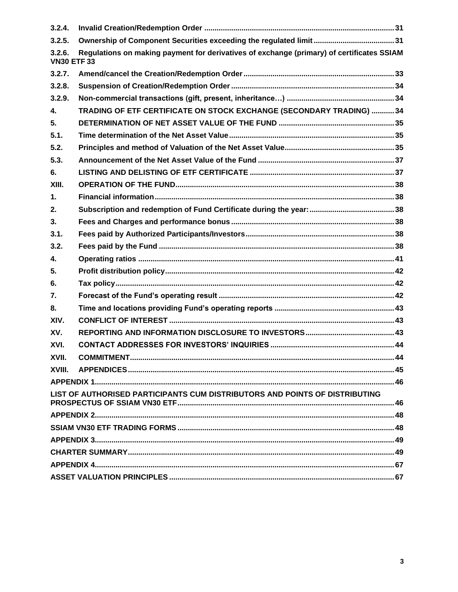| 3.2.4.                      |                                                                                           |  |  |
|-----------------------------|-------------------------------------------------------------------------------------------|--|--|
| 3.2.5.                      |                                                                                           |  |  |
| 3.2.6.<br><b>VN30 ETF33</b> | Regulations on making payment for derivatives of exchange (primary) of certificates SSIAM |  |  |
| 3.2.7.                      |                                                                                           |  |  |
| 3.2.8.                      |                                                                                           |  |  |
| 3.2.9.                      |                                                                                           |  |  |
| 4.                          | TRADING OF ETF CERTIFICATE ON STOCK EXCHANGE (SECONDARY TRADING) 34                       |  |  |
| 5.                          |                                                                                           |  |  |
| 5.1.                        |                                                                                           |  |  |
| 5.2.                        |                                                                                           |  |  |
| 5.3.                        |                                                                                           |  |  |
| 6.                          |                                                                                           |  |  |
| XIII.                       |                                                                                           |  |  |
| $\mathbf 1$ .               |                                                                                           |  |  |
| 2.                          |                                                                                           |  |  |
| 3.                          |                                                                                           |  |  |
| 3.1.                        |                                                                                           |  |  |
| 3.2.                        |                                                                                           |  |  |
| 4.                          |                                                                                           |  |  |
| 5.                          |                                                                                           |  |  |
| 6.                          |                                                                                           |  |  |
| 7.                          |                                                                                           |  |  |
| 8.                          |                                                                                           |  |  |
| XIV.                        |                                                                                           |  |  |
| XV.                         |                                                                                           |  |  |
| XVI.                        |                                                                                           |  |  |
| XVII.                       |                                                                                           |  |  |
| XVIII.                      |                                                                                           |  |  |
|                             |                                                                                           |  |  |
|                             | LIST OF AUTHORISED PARTICIPANTS CUM DISTRIBUTORS AND POINTS OF DISTRIBUTING               |  |  |
|                             |                                                                                           |  |  |
|                             |                                                                                           |  |  |
|                             |                                                                                           |  |  |
|                             |                                                                                           |  |  |
|                             |                                                                                           |  |  |
|                             |                                                                                           |  |  |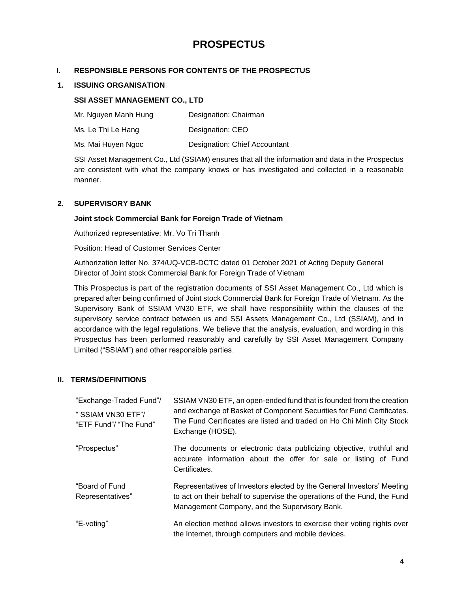### **PROSPECTUS**

#### <span id="page-3-1"></span><span id="page-3-0"></span>**I. RESPONSIBLE PERSONS FOR CONTENTS OF THE PROSPECTUS**

#### <span id="page-3-2"></span>**1. ISSUING ORGANISATION**

#### **SSI ASSET MANAGEMENT CO., LTD**

| Mr. Nguyen Manh Hung | Designation: Chairman |
|----------------------|-----------------------|
|----------------------|-----------------------|

Ms. Le Thi Le Hang Designation: CEO

Ms. Mai Huyen Ngoc Designation: Chief Accountant

SSI Asset Management Co., Ltd (SSIAM) ensures that all the information and data in the Prospectus are consistent with what the company knows or has investigated and collected in a reasonable manner.

#### <span id="page-3-3"></span>**2. SUPERVISORY BANK**

#### **Joint stock Commercial Bank for Foreign Trade of Vietnam**

Authorized representative: Mr. Vo Tri Thanh

Position: Head of Customer Services Center

Authorization letter No. 374/UQ-VCB-DCTC dated 01 October 2021 of Acting Deputy General Director of Joint stock Commercial Bank for Foreign Trade of Vietnam

This Prospectus is part of the registration documents of SSI Asset Management Co., Ltd which is prepared after being confirmed of Joint stock Commercial Bank for Foreign Trade of Vietnam. As the Supervisory Bank of SSIAM VN30 ETF, we shall have responsibility within the clauses of the supervisory service contract between us and SSI Assets Management Co., Ltd (SSIAM), and in accordance with the legal regulations. We believe that the analysis, evaluation, and wording in this Prospectus has been performed reasonably and carefully by SSI Asset Management Company Limited ("SSIAM") and other responsible parties.

#### **II. TERMS/DEFINITIONS**

| "Exchange-Traded Fund"/                      | SSIAM VN30 ETF, an open-ended fund that is founded from the creation                                                                                                                                |  |  |  |
|----------------------------------------------|-----------------------------------------------------------------------------------------------------------------------------------------------------------------------------------------------------|--|--|--|
| " SSIAM VN30 ETF"/<br>"ETF Fund"/ "The Fund" | and exchange of Basket of Component Securities for Fund Certificates.<br>The Fund Certificates are listed and traded on Ho Chi Minh City Stock<br>Exchange (HOSE).                                  |  |  |  |
| "Prospectus"                                 | The documents or electronic data publicizing objective, truthful and<br>accurate information about the offer for sale or listing of Fund<br>Certificates.                                           |  |  |  |
| "Board of Fund<br>Representatives"           | Representatives of Investors elected by the General Investors' Meeting<br>to act on their behalf to supervise the operations of the Fund, the Fund<br>Management Company, and the Supervisory Bank. |  |  |  |
| "E-voting"                                   | An election method allows investors to exercise their voting rights over<br>the Internet, through computers and mobile devices.                                                                     |  |  |  |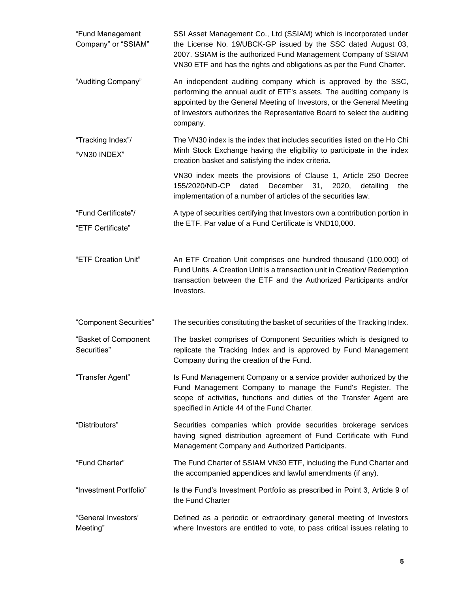| "Fund Management<br>Company" or "SSIAM"  | SSI Asset Management Co., Ltd (SSIAM) which is incorporated under<br>the License No. 19/UBCK-GP issued by the SSC dated August 03,<br>2007. SSIAM is the authorized Fund Management Company of SSIAM<br>VN30 ETF and has the rights and obligations as per the Fund Charter.                          |  |
|------------------------------------------|-------------------------------------------------------------------------------------------------------------------------------------------------------------------------------------------------------------------------------------------------------------------------------------------------------|--|
| "Auditing Company"                       | An independent auditing company which is approved by the SSC,<br>performing the annual audit of ETF's assets. The auditing company is<br>appointed by the General Meeting of Investors, or the General Meeting<br>of Investors authorizes the Representative Board to select the auditing<br>company. |  |
| "Tracking Index"/<br>"VN30 INDEX"        | The VN30 index is the index that includes securities listed on the Ho Chi<br>Minh Stock Exchange having the eligibility to participate in the index<br>creation basket and satisfying the index criteria.                                                                                             |  |
|                                          | VN30 index meets the provisions of Clause 1, Article 250 Decree<br>December 31,<br>155/2020/ND-CP<br>dated<br>2020,<br>detailing<br>the<br>implementation of a number of articles of the securities law.                                                                                              |  |
| "Fund Certificate"/<br>"ETF Certificate" | A type of securities certifying that Investors own a contribution portion in<br>the ETF. Par value of a Fund Certificate is VND10,000.                                                                                                                                                                |  |
| "ETF Creation Unit"                      | An ETF Creation Unit comprises one hundred thousand (100,000) of<br>Fund Units. A Creation Unit is a transaction unit in Creation/ Redemption<br>transaction between the ETF and the Authorized Participants and/or<br>Investors.                                                                     |  |
| "Component Securities"                   | The securities constituting the basket of securities of the Tracking Index.                                                                                                                                                                                                                           |  |
| "Basket of Component<br>Securities"      | The basket comprises of Component Securities which is designed to<br>replicate the Tracking Index and is approved by Fund Management<br>Company during the creation of the Fund.                                                                                                                      |  |
| "Transfer Agent"                         | Is Fund Management Company or a service provider authorized by the<br>Fund Management Company to manage the Fund's Register. The<br>scope of activities, functions and duties of the Transfer Agent are<br>specified in Article 44 of the Fund Charter.                                               |  |
| "Distributors"                           | Securities companies which provide securities brokerage services<br>having signed distribution agreement of Fund Certificate with Fund<br>Management Company and Authorized Participants.                                                                                                             |  |
| "Fund Charter"                           | The Fund Charter of SSIAM VN30 ETF, including the Fund Charter and<br>the accompanied appendices and lawful amendments (if any).                                                                                                                                                                      |  |
| "Investment Portfolio"                   | Is the Fund's Investment Portfolio as prescribed in Point 3, Article 9 of<br>the Fund Charter                                                                                                                                                                                                         |  |
| "General Investors'<br>Meeting"          | Defined as a periodic or extraordinary general meeting of Investors<br>where Investors are entitled to vote, to pass critical issues relating to                                                                                                                                                      |  |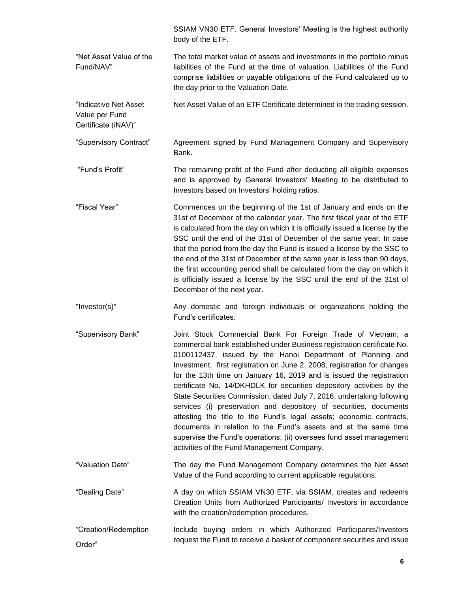|                                                                | SSIAM VN30 ETF. General Investors' Meeting is the highest authority<br>body of the ETF.                                                                                                                                                                                                                                                                                                                                                                                                                                                                                                                                                                                                                                                                                                                                                          |  |  |
|----------------------------------------------------------------|--------------------------------------------------------------------------------------------------------------------------------------------------------------------------------------------------------------------------------------------------------------------------------------------------------------------------------------------------------------------------------------------------------------------------------------------------------------------------------------------------------------------------------------------------------------------------------------------------------------------------------------------------------------------------------------------------------------------------------------------------------------------------------------------------------------------------------------------------|--|--|
| "Net Asset Value of the<br>Fund/NAV"                           | The total market value of assets and investments in the portfolio minus<br>liabilities of the Fund at the time of valuation. Liabilities of the Fund<br>comprise liabilities or payable obligations of the Fund calculated up to<br>the day prior to the Valuation Date.                                                                                                                                                                                                                                                                                                                                                                                                                                                                                                                                                                         |  |  |
| "Indicative Net Asset<br>Value per Fund<br>Certificate (iNAV)" | Net Asset Value of an ETF Certificate determined in the trading session.                                                                                                                                                                                                                                                                                                                                                                                                                                                                                                                                                                                                                                                                                                                                                                         |  |  |
| "Supervisory Contract"                                         | Agreement signed by Fund Management Company and Supervisory<br>Bank.                                                                                                                                                                                                                                                                                                                                                                                                                                                                                                                                                                                                                                                                                                                                                                             |  |  |
| "Fund's Profit"                                                | The remaining profit of the Fund after deducting all eligible expenses<br>and is approved by General Investors' Meeting to be distributed to<br>Investors based on Investors' holding ratios.                                                                                                                                                                                                                                                                                                                                                                                                                                                                                                                                                                                                                                                    |  |  |
| "Fiscal Year"                                                  | Commences on the beginning of the 1st of January and ends on the<br>31st of December of the calendar year. The first fiscal year of the ETF<br>is calculated from the day on which it is officially issued a license by the<br>SSC until the end of the 31st of December of the same year. In case<br>that the period from the day the Fund is issued a license by the SSC to<br>the end of the 31st of December of the same year is less than 90 days,<br>the first accounting period shall be calculated from the day on which it<br>is officially issued a license by the SSC until the end of the 31st of<br>December of the next year.                                                                                                                                                                                                      |  |  |
| "Investor(s)"                                                  | Any domestic and foreign individuals or organizations holding the<br>Fund's certificates.                                                                                                                                                                                                                                                                                                                                                                                                                                                                                                                                                                                                                                                                                                                                                        |  |  |
| "Supervisory Bank"                                             | Joint Stock Commercial Bank For Foreign Trade of Vietnam, a<br>commercial bank established under Business registration certificate No.<br>0100112437, issued by the Hanoi Department of Planning and<br>Investment, first registration on June 2, 2008; registration for changes<br>for the 13th time on January 16, 2019 and is issued the registration<br>certificate No. 14/DKHDLK for securities depository activities by the<br>State Securities Commission, dated July 7, 2016, undertaking following<br>services (i) preservation and depository of securities, documents<br>attesting the title to the Fund's legal assets; economic contracts,<br>documents in relation to the Fund's assets and at the same time<br>supervise the Fund's operations; (ii) oversees fund asset management<br>activities of the Fund Management Company. |  |  |
| "Valuation Date"                                               | The day the Fund Management Company determines the Net Asset<br>Value of the Fund according to current applicable regulations.                                                                                                                                                                                                                                                                                                                                                                                                                                                                                                                                                                                                                                                                                                                   |  |  |
| "Dealing Date"                                                 | A day on which SSIAM VN30 ETF, via SSIAM, creates and redeems<br>Creation Units from Authorized Participants/ Investors in accordance<br>with the creation/redemption procedures.                                                                                                                                                                                                                                                                                                                                                                                                                                                                                                                                                                                                                                                                |  |  |
| "Creation/Redemption<br>Order"                                 | Include buying orders in which Authorized Participants/Investors<br>request the Fund to receive a basket of component securities and issue                                                                                                                                                                                                                                                                                                                                                                                                                                                                                                                                                                                                                                                                                                       |  |  |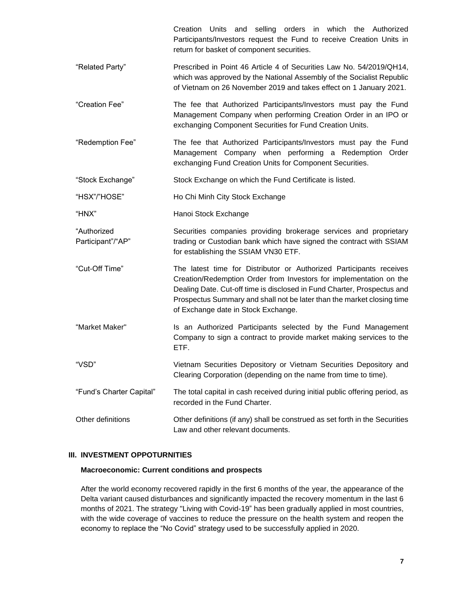Creation Units and selling orders in which the Authorized Participants/Investors request the Fund to receive Creation Units in return for basket of component securities.

- "Related Party" Prescribed in Point 46 Article 4 of Securities Law No. 54/2019/QH14, which was approved by the National Assembly of the Socialist Republic of Vietnam on 26 November 2019 and takes effect on 1 January 2021.
- "Creation Fee" The fee that Authorized Participants/Investors must pay the Fund Management Company when performing Creation Order in an IPO or exchanging Component Securities for Fund Creation Units.

"Redemption Fee" The fee that Authorized Participants/Investors must pay the Fund Management Company when performing a Redemption Order exchanging Fund Creation Units for Component Securities.

"Stock Exchange" Stock Exchange on which the Fund Certificate is listed.

"HSX"/"HOSE" Ho Chi Minh City Stock Exchange

"HNX" Hanoi Stock Exchange

"Authorized Participant"/"AP" Securities companies providing brokerage services and proprietary trading or Custodian bank which have signed the contract with SSIAM for establishing the SSIAM VN30 ETF.

- "Cut-Off Time" The latest time for Distributor or Authorized Participants receives Creation/Redemption Order from Investors for implementation on the Dealing Date. Cut-off time is disclosed in Fund Charter, Prospectus and Prospectus Summary and shall not be later than the market closing time of Exchange date in Stock Exchange.
- "Market Maker" **Is an Authorized Participants selected by the Fund Management** Company to sign a contract to provide market making services to the ETF.
- "VSD" Vietnam Securities Depository or Vietnam Securities Depository and Clearing Corporation (depending on the name from time to time).
- "Fund's Charter Capital" The total capital in cash received during initial public offering period, as recorded in the Fund Charter.
- Other definitions Other definitions (if any) shall be construed as set forth in the Securities Law and other relevant documents.

#### <span id="page-6-0"></span>**III. INVESTMENT OPPOTURNITIES**

#### **Macroeconomic: Current conditions and prospects**

After the world economy recovered rapidly in the first 6 months of the year, the appearance of the Delta variant caused disturbances and significantly impacted the recovery momentum in the last 6 months of 2021. The strategy "Living with Covid-19" has been gradually applied in most countries, with the wide coverage of vaccines to reduce the pressure on the health system and reopen the economy to replace the "No Covid" strategy used to be successfully applied in 2020.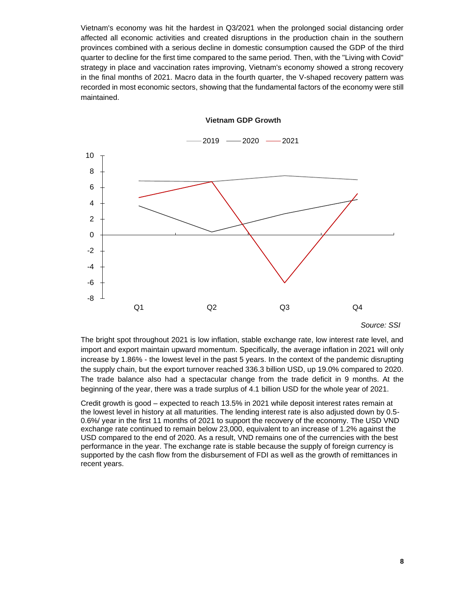Vietnam's economy was hit the hardest in Q3/2021 when the prolonged social distancing order affected all economic activities and created disruptions in the production chain in the southern provinces combined with a serious decline in domestic consumption caused the GDP of the third quarter to decline for the first time compared to the same period. Then, with the "Living with Covid" strategy in place and vaccination rates improving, Vietnam's economy showed a strong recovery in the final months of 2021. Macro data in the fourth quarter, the V-shaped recovery pattern was recorded in most economic sectors, showing that the fundamental factors of the economy were still maintained.



**Vietnam GDP Growth**

*Source: SSI*

The bright spot throughout 2021 is low inflation, stable exchange rate, low interest rate level, and import and export maintain upward momentum. Specifically, the average inflation in 2021 will only increase by 1.86% - the lowest level in the past 5 years. In the context of the pandemic disrupting the supply chain, but the export turnover reached 336.3 billion USD, up 19.0% compared to 2020. The trade balance also had a spectacular change from the trade deficit in 9 months. At the beginning of the year, there was a trade surplus of 4.1 billion USD for the whole year of 2021.

Credit growth is good – expected to reach 13.5% in 2021 while deposit interest rates remain at the lowest level in history at all maturities. The lending interest rate is also adjusted down by 0.5- 0.6%/ year in the first 11 months of 2021 to support the recovery of the economy. The USD VND exchange rate continued to remain below 23,000, equivalent to an increase of 1.2% against the USD compared to the end of 2020. As a result, VND remains one of the currencies with the best performance in the year. The exchange rate is stable because the supply of foreign currency is supported by the cash flow from the disbursement of FDI as well as the growth of remittances in recent years.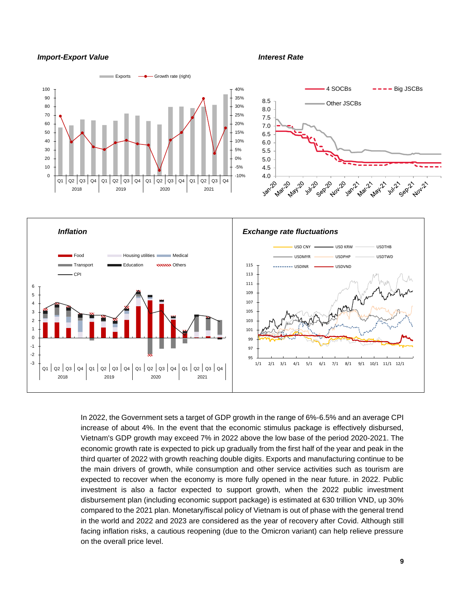#### *Import-Export Value Interest Rate*



In 2022, the Government sets a target of GDP growth in the range of 6%-6.5% and an average CPI increase of about 4%. In the event that the economic stimulus package is effectively disbursed, Vietnam's GDP growth may exceed 7% in 2022 above the low base of the period 2020-2021. The economic growth rate is expected to pick up gradually from the first half of the year and peak in the third quarter of 2022 with growth reaching double digits. Exports and manufacturing continue to be the main drivers of growth, while consumption and other service activities such as tourism are expected to recover when the economy is more fully opened in the near future. in 2022. Public investment is also a factor expected to support growth, when the 2022 public investment disbursement plan (including economic support package) is estimated at 630 trillion VND, up 30% compared to the 2021 plan. Monetary/fiscal policy of Vietnam is out of phase with the general trend in the world and 2022 and 2023 are considered as the year of recovery after Covid. Although still facing inflation risks, a cautious reopening (due to the Omicron variant) can help relieve pressure on the overall price level.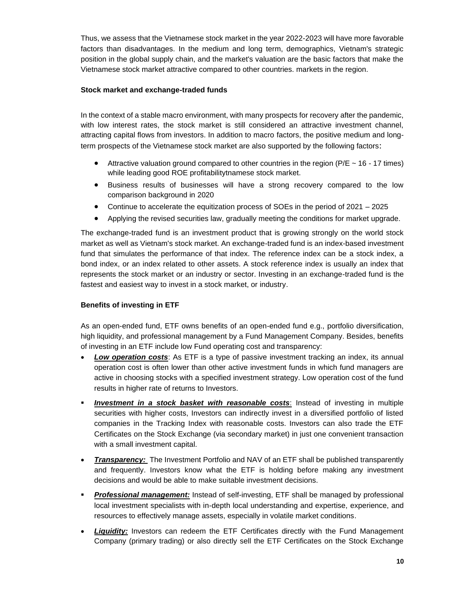Thus, we assess that the Vietnamese stock market in the year 2022-2023 will have more favorable factors than disadvantages. In the medium and long term, demographics, Vietnam's strategic position in the global supply chain, and the market's valuation are the basic factors that make the Vietnamese stock market attractive compared to other countries. markets in the region.

#### **Stock market and exchange-traded funds**

In the context of a stable macro environment, with many prospects for recovery after the pandemic, with low interest rates, the stock market is still considered an attractive investment channel, attracting capital flows from investors. In addition to macro factors, the positive medium and longterm prospects of the Vietnamese stock market are also supported by the following factors:

- Attractive valuation ground compared to other countries in the region ( $P/E \sim 16 17$  times) while leading good ROE profitabilitytnamese stock market.
- Business results of businesses will have a strong recovery compared to the low comparison background in 2020
- Continue to accelerate the equitization process of SOEs in the period of 2021 2025
- Applying the revised securities law, gradually meeting the conditions for market upgrade.

The exchange-traded fund is an investment product that is growing strongly on the world stock market as well as Vietnam's stock market. An exchange-traded fund is an index-based investment fund that simulates the performance of that index. The reference index can be a stock index, a bond index, or an index related to other assets. A stock reference index is usually an index that represents the stock market or an industry or sector. Investing in an exchange-traded fund is the fastest and easiest way to invest in a stock market, or industry.

#### **Benefits of investing in ETF**

As an open-ended fund, ETF owns benefits of an open-ended fund e.g., portfolio diversification, high liquidity, and professional management by a Fund Management Company. Besides, benefits of investing in an ETF include low Fund operating cost and transparency:

- **Low operation costs:** As ETF is a type of passive investment tracking an index, its annual operation cost is often lower than other active investment funds in which fund managers are active in choosing stocks with a specified investment strategy. Low operation cost of the fund results in higher rate of returns to Investors.
- **Investment in a stock basket with reasonable costs:** Instead of investing in multiple securities with higher costs, Investors can indirectly invest in a diversified portfolio of listed companies in the Tracking Index with reasonable costs. Investors can also trade the ETF Certificates on the Stock Exchange (via secondary market) in just one convenient transaction with a small investment capital.
- *Transparency:* The Investment Portfolio and NAV of an ETF shall be published transparently and frequently. Investors know what the ETF is holding before making any investment decisions and would be able to make suitable investment decisions.
- **Professional management:** Instead of self-investing, ETF shall be managed by professional local investment specialists with in-depth local understanding and expertise, experience, and resources to effectively manage assets, especially in volatile market conditions.
- **Liquidity:** Investors can redeem the ETF Certificates directly with the Fund Management Company (primary trading) or also directly sell the ETF Certificates on the Stock Exchange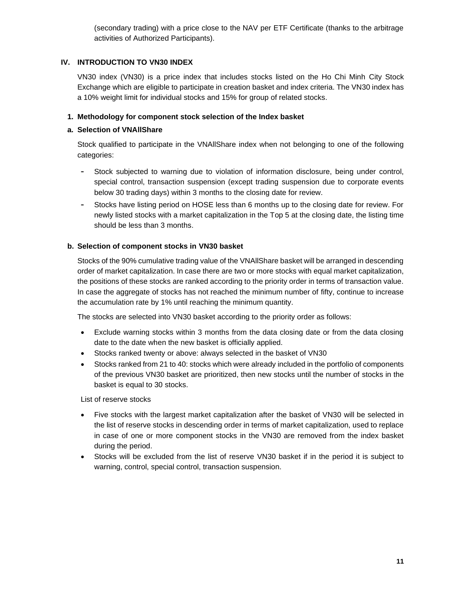(secondary trading) with a price close to the NAV per ETF Certificate (thanks to the arbitrage activities of Authorized Participants).

#### <span id="page-10-0"></span>**IV. INTRODUCTION TO VN30 INDEX**

VN30 index (VN30) is a price index that includes stocks listed on the Ho Chi Minh City Stock Exchange which are eligible to participate in creation basket and index criteria. The VN30 index has a 10% weight limit for individual stocks and 15% for group of related stocks.

#### **1. Methodology for component stock selection of the Index basket**

#### **a. Selection of VNAllShare**

Stock qualified to participate in the VNAllShare index when not belonging to one of the following categories:

- **-** Stock subjected to warning due to violation of information disclosure, being under control, special control, transaction suspension (except trading suspension due to corporate events below 30 trading days) within 3 months to the closing date for review.
- **-** Stocks have listing period on HOSE less than 6 months up to the closing date for review. For newly listed stocks with a market capitalization in the Top 5 at the closing date, the listing time should be less than 3 months.

#### **b. Selection of component stocks in VN30 basket**

Stocks of the 90% cumulative trading value of the VNAllShare basket will be arranged in descending order of market capitalization. In case there are two or more stocks with equal market capitalization, the positions of these stocks are ranked according to the priority order in terms of transaction value. In case the aggregate of stocks has not reached the minimum number of fifty, continue to increase the accumulation rate by 1% until reaching the minimum quantity.

The stocks are selected into VN30 basket according to the priority order as follows:

- Exclude warning stocks within 3 months from the data closing date or from the data closing date to the date when the new basket is officially applied.
- Stocks ranked twenty or above: always selected in the basket of VN30
- Stocks ranked from 21 to 40: stocks which were already included in the portfolio of components of the previous VN30 basket are prioritized, then new stocks until the number of stocks in the basket is equal to 30 stocks.

List of reserve stocks

- Five stocks with the largest market capitalization after the basket of VN30 will be selected in the list of reserve stocks in descending order in terms of market capitalization, used to replace in case of one or more component stocks in the VN30 are removed from the index basket during the period.
- Stocks will be excluded from the list of reserve VN30 basket if in the period it is subject to warning, control, special control, transaction suspension.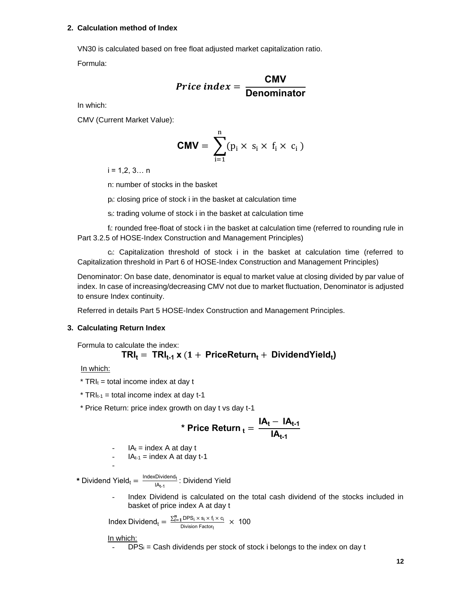#### **2. Calculation method of Index**

VN30 is calculated based on free float adjusted market capitalization ratio. Formula:

$$
Price\ index = \frac{CNN}{Denominator}
$$

In which:

CMV (Current Market Value):

$$
CMV = \sum_{i=1}^{n} (p_i \times s_i \times f_i \times c_i)
$$

 $i = 1, 2, 3... n$ 

n: number of stocks in the basket

pi: closing price of stock i in the basket at calculation time

si: trading volume of stock i in the basket at calculation time

fi: rounded free-float of stock i in the basket at calculation time (referred to rounding rule in Part 3.2.5 of HOSE-Index Construction and Management Principles)

ci: Capitalization threshold of stock i in the basket at calculation time (referred to Capitalization threshold in Part 6 of HOSE-Index Construction and Management Principles)

Denominator: On base date, denominator is equal to market value at closing divided by par value of index. In case of increasing/decreasing CMV not due to market fluctuation, Denominator is adjusted to ensure Index continuity.

Referred in details Part 5 HOSE-Index Construction and Management Principles.

#### **3. Calculating Return Index**

Formula to calculate the index:

$$
TRI_t = TRI_{t\text{-}1} \times (1 + PriceReturn_t + DividendYield_t)
$$

In which:

 $*$  TRI<sub>t</sub> = total income index at day t

 $*$  TRI<sub>t-1</sub> = total income index at day t-1

\* Price Return: price index growth on day t vs day t-1

\* Price Return 
$$
t_t = \frac{IA_t - IA_{t-1}}{IA_{t-1}}
$$

$$
- I A_t = index A at day t
$$

$$
- I A_{t-1} = index A at day t-1
$$

 $*$  Dividend Yield<sub>t</sub> =  $\frac{\text{IndexDividend}_{t}}{1000}$ <u>IA<sub>t-1</sub></u> : Dividend Yield

> Index Dividend is calculated on the total cash dividend of the stocks included in basket of price index A at day t

**Index Dividend**<sub>t</sub> =  $\frac{\sum_{i=1}^{n} \text{DPS}_{i} \times \text{s}_{i} \times \text{f}_{i} \times \text{C}_{i}}{\text{Division Factor}}$  $\frac{10FS_1 \times S_1 \times T_1 \times C_1}{100} \times 100$ 

In which:

-

 $DPS_i = Cash$  dividends per stock of stock i belongs to the index on day t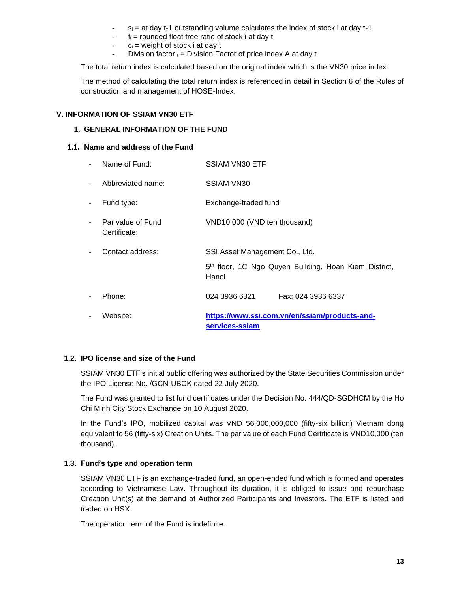- $s_i$  = at day t-1 outstanding volume calculates the index of stock i at day t-1
- $f_i$  = rounded float free ratio of stock i at day t
- $c_i$  = weight of stock i at day t
- Division factor  $t = Division$  Factor of price index A at day t

The total return index is calculated based on the original index which is the VN30 price index.

The method of calculating the total return index is referenced in detail in Section 6 of the Rules of construction and management of HOSE-Index.

#### <span id="page-12-1"></span><span id="page-12-0"></span>**V. INFORMATION OF SSIAM VN30 ETF**

#### **1. GENERAL INFORMATION OF THE FUND**

#### <span id="page-12-2"></span>**1.1. Name and address of the Fund**

|                          | Name of Fund:                     | <b>SSIAM VN30 ETF</b>                                                      |
|--------------------------|-----------------------------------|----------------------------------------------------------------------------|
| $\blacksquare$           | Abbreviated name:                 | SSIAM VN30                                                                 |
| $\blacksquare$           | Fund type:                        | Exchange-traded fund                                                       |
| $\blacksquare$           | Par value of Fund<br>Certificate: | VND10,000 (VND ten thousand)                                               |
| $\blacksquare$           | Contact address:                  | SSI Asset Management Co., Ltd.                                             |
|                          |                                   | 5 <sup>th</sup> floor, 1C Ngo Quyen Building, Hoan Kiem District,<br>Hanoi |
| $\overline{\phantom{a}}$ | Phone:                            | 024 3936 6321<br>Fax: 024 3936 6337                                        |
|                          | Website:                          | https://www.ssi.com.vn/en/ssiam/products-and-<br>services-ssiam            |

#### <span id="page-12-3"></span>**1.2. IPO license and size of the Fund**

SSIAM VN30 ETF's initial public offering was authorized by the State Securities Commission under the IPO License No. /GCN-UBCK dated 22 July 2020.

The Fund was granted to list fund certificates under the Decision No. 444/QD-SGDHCM by the Ho Chi Minh City Stock Exchange on 10 August 2020.

In the Fund's IPO, mobilized capital was VND 56,000,000,000 (fifty-six billion) Vietnam dong equivalent to 56 (fifty-six) Creation Units. The par value of each Fund Certificate is VND10,000 (ten thousand).

#### <span id="page-12-4"></span>**1.3. Fund's type and operation term**

SSIAM VN30 ETF is an exchange-traded fund, an open-ended fund which is formed and operates according to Vietnamese Law. Throughout its duration, it is obliged to issue and repurchase Creation Unit(s) at the demand of Authorized Participants and Investors. The ETF is listed and traded on HSX.

The operation term of the Fund is indefinite.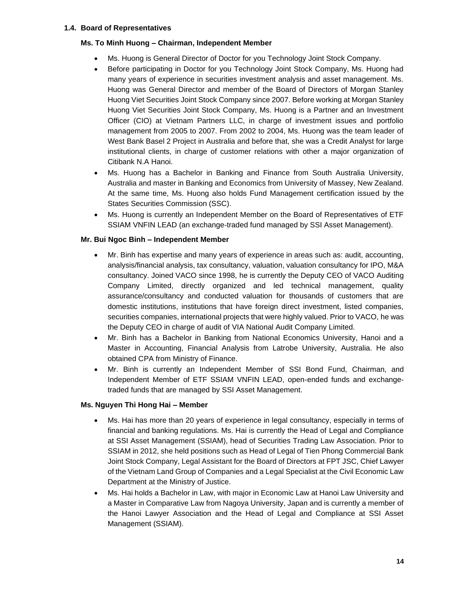#### <span id="page-13-0"></span>**1.4. Board of Representatives**

#### **Ms. To Minh Huong – Chairman, Independent Member**

- Ms. Huong is General Director of Doctor for you Technology Joint Stock Company.
- Before participating in Doctor for you Technology Joint Stock Company, Ms. Huong had many years of experience in securities investment analysis and asset management. Ms. Huong was General Director and member of the Board of Directors of Morgan Stanley Huong Viet Securities Joint Stock Company since 2007. Before working at Morgan Stanley Huong Viet Securities Joint Stock Company, Ms. Huong is a Partner and an Investment Officer (CIO) at Vietnam Partners LLC, in charge of investment issues and portfolio management from 2005 to 2007. From 2002 to 2004, Ms. Huong was the team leader of West Bank Basel 2 Project in Australia and before that, she was a Credit Analyst for large institutional clients, in charge of customer relations with other a major organization of Citibank N.A Hanoi.
- Ms. Huong has a Bachelor in Banking and Finance from South Australia University, Australia and master in Banking and Economics from University of Massey, New Zealand. At the same time, Ms. Huong also holds Fund Management certification issued by the States Securities Commission (SSC).
- Ms. Huong is currently an Independent Member on the Board of Representatives of ETF SSIAM VNFIN LEAD (an exchange-traded fund managed by SSI Asset Management).

#### **Mr. Bui Ngoc Binh – Independent Member**

- Mr. Binh has expertise and many years of experience in areas such as: audit, accounting, analysis/financial analysis, tax consultancy, valuation, valuation consultancy for IPO, M&A consultancy. Joined VACO since 1998, he is currently the Deputy CEO of VACO Auditing Company Limited, directly organized and led technical management, quality assurance/consultancy and conducted valuation for thousands of customers that are domestic institutions, institutions that have foreign direct investment, listed companies, securities companies, international projects that were highly valued. Prior to VACO, he was the Deputy CEO in charge of audit of VIA National Audit Company Limited.
- Mr. Binh has a Bachelor in Banking from National Economics University, Hanoi and a Master in Accounting, Financial Analysis from Latrobe University, Australia. He also obtained CPA from Ministry of Finance.
- Mr. Binh is currently an Independent Member of SSI Bond Fund, Chairman, and Independent Member of ETF SSIAM VNFIN LEAD, open-ended funds and exchangetraded funds that are managed by SSI Asset Management.

#### **Ms. Nguyen Thi Hong Hai – Member**

- Ms. Hai has more than 20 years of experience in legal consultancy, especially in terms of financial and banking regulations. Ms. Hai is currently the Head of Legal and Compliance at SSI Asset Management (SSIAM), head of Securities Trading Law Association. Prior to SSIAM in 2012, she held positions such as Head of Legal of Tien Phong Commercial Bank Joint Stock Company, Legal Assistant for the Board of Directors at FPT JSC, Chief Lawyer of the Vietnam Land Group of Companies and a Legal Specialist at the Civil Economic Law Department at the Ministry of Justice.
- Ms. Hai holds a Bachelor in Law, with major in Economic Law at Hanoi Law University and a Master in Comparative Law from Nagoya University, Japan and is currently a member of the Hanoi Lawyer Association and the Head of Legal and Compliance at SSI Asset Management (SSIAM).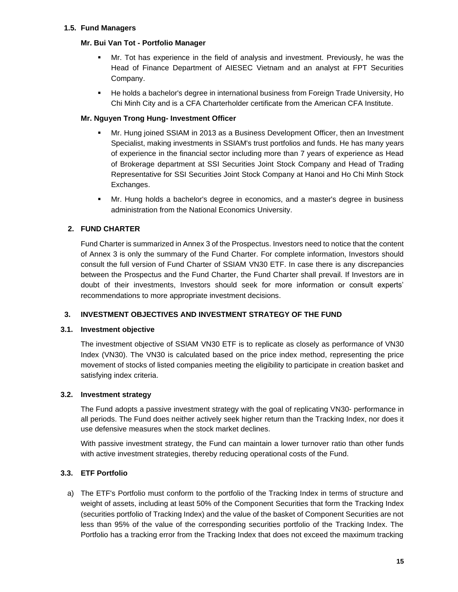#### <span id="page-14-0"></span>**1.5. Fund Managers**

#### **Mr. Bui Van Tot - Portfolio Manager**

- Mr. Tot has experience in the field of analysis and investment. Previously, he was the Head of Finance Department of AIESEC Vietnam and an analyst at FPT Securities Company.
- He holds a bachelor's degree in international business from Foreign Trade University, Ho Chi Minh City and is a CFA Charterholder certificate from the American CFA Institute.

#### **Mr. Nguyen Trong Hung- Investment Officer**

- Mr. Hung joined SSIAM in 2013 as a Business Development Officer, then an Investment Specialist, making investments in SSIAM's trust portfolios and funds. He has many years of experience in the financial sector including more than 7 years of experience as Head of Brokerage department at SSI Securities Joint Stock Company and Head of Trading Representative for SSI Securities Joint Stock Company at Hanoi and Ho Chi Minh Stock Exchanges.
- Mr. Hung holds a bachelor's degree in economics, and a master's degree in business administration from the National Economics University.

#### <span id="page-14-1"></span>**2. FUND CHARTER**

Fund Charter is summarized in Annex 3 of the Prospectus. Investors need to notice that the content of Annex 3 is only the summary of the Fund Charter. For complete information, Investors should consult the full version of Fund Charter of SSIAM VN30 ETF. In case there is any discrepancies between the Prospectus and the Fund Charter, the Fund Charter shall prevail. If Investors are in doubt of their investments, Investors should seek for more information or consult experts' recommendations to more appropriate investment decisions.

#### <span id="page-14-2"></span>**3. INVESTMENT OBJECTIVES AND INVESTMENT STRATEGY OF THE FUND**

#### <span id="page-14-3"></span>**3.1. Investment objective**

The investment objective of SSIAM VN30 ETF is to replicate as closely as performance of VN30 Index (VN30). The VN30 is calculated based on the price index method, representing the price movement of stocks of listed companies meeting the eligibility to participate in creation basket and satisfying index criteria.

#### <span id="page-14-4"></span>**3.2. Investment strategy**

The Fund adopts a passive investment strategy with the goal of replicating VN30- performance in all periods. The Fund does neither actively seek higher return than the Tracking Index, nor does it use defensive measures when the stock market declines.

With passive investment strategy, the Fund can maintain a lower turnover ratio than other funds with active investment strategies, thereby reducing operational costs of the Fund.

#### <span id="page-14-5"></span>**3.3. ETF Portfolio**

a) The ETF's Portfolio must conform to the portfolio of the Tracking Index in terms of structure and weight of assets, including at least 50% of the Component Securities that form the Tracking Index (securities portfolio of Tracking Index) and the value of the basket of Component Securities are not less than 95% of the value of the corresponding securities portfolio of the Tracking Index. The Portfolio has a tracking error from the Tracking Index that does not exceed the maximum tracking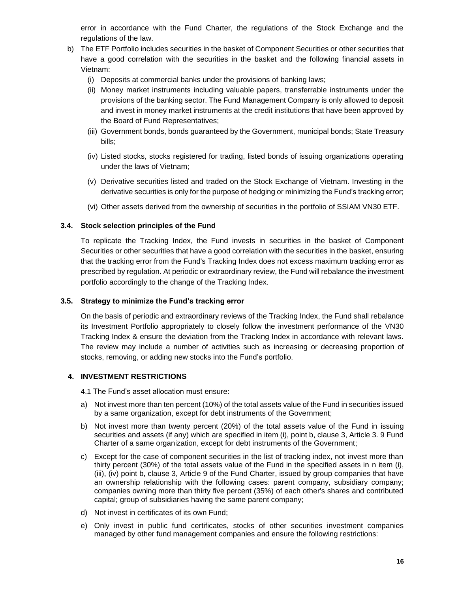error in accordance with the Fund Charter, the regulations of the Stock Exchange and the regulations of the law.

- b) The ETF Portfolio includes securities in the basket of Component Securities or other securities that have a good correlation with the securities in the basket and the following financial assets in Vietnam:
	- (i) Deposits at commercial banks under the provisions of banking laws;
	- (ii) Money market instruments including valuable papers, transferrable instruments under the provisions of the banking sector. The Fund Management Company is only allowed to deposit and invest in money market instruments at the credit institutions that have been approved by the Board of Fund Representatives;
	- (iii) Government bonds, bonds guaranteed by the Government, municipal bonds; State Treasury bills;
	- (iv) Listed stocks, stocks registered for trading, listed bonds of issuing organizations operating under the laws of Vietnam;
	- (v) Derivative securities listed and traded on the Stock Exchange of Vietnam. Investing in the derivative securities is only for the purpose of hedging or minimizing the Fund's tracking error;
	- (vi) Other assets derived from the ownership of securities in the portfolio of SSIAM VN30 ETF.

#### <span id="page-15-0"></span>**3.4. Stock selection principles of the Fund**

To replicate the Tracking Index, the Fund invests in securities in the basket of Component Securities or other securities that have a good correlation with the securities in the basket, ensuring that the tracking error from the Fund's Tracking Index does not excess maximum tracking error as prescribed by regulation. At periodic or extraordinary review, the Fund will rebalance the investment portfolio accordingly to the change of the Tracking Index.

#### <span id="page-15-1"></span>**3.5. Strategy to minimize the Fund's tracking error**

On the basis of periodic and extraordinary reviews of the Tracking Index, the Fund shall rebalance its Investment Portfolio appropriately to closely follow the investment performance of the VN30 Tracking Index & ensure the deviation from the Tracking Index in accordance with relevant laws. The review may include a number of activities such as increasing or decreasing proportion of stocks, removing, or adding new stocks into the Fund's portfolio.

#### <span id="page-15-2"></span>**4. INVESTMENT RESTRICTIONS**

4.1 The Fund's asset allocation must ensure:

- a) Not invest more than ten percent (10%) of the total assets value of the Fund in securities issued by a same organization, except for debt instruments of the Government;
- b) Not invest more than twenty percent (20%) of the total assets value of the Fund in issuing securities and assets (if any) which are specified in item (i), point b, clause 3, Article 3. 9 Fund Charter of a same organization, except for debt instruments of the Government;
- c) Except for the case of component securities in the list of tracking index, not invest more than thirty percent (30%) of the total assets value of the Fund in the specified assets in n item (i), (iii), (iv) point b, clause 3, Article 9 of the Fund Charter, issued by group companies that have an ownership relationship with the following cases: parent company, subsidiary company; companies owning more than thirty five percent (35%) of each other's shares and contributed capital; group of subsidiaries having the same parent company;
- d) Not invest in certificates of its own Fund;
- e) Only invest in public fund certificates, stocks of other securities investment companies managed by other fund management companies and ensure the following restrictions: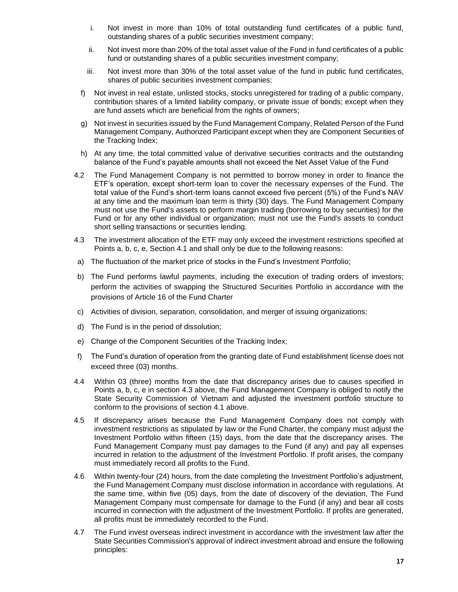- i. Not invest in more than 10% of total outstanding fund certificates of a public fund, outstanding shares of a public securities investment company;
- ii. Not invest more than 20% of the total asset value of the Fund in fund certificates of a public fund or outstanding shares of a public securities investment company;
- iii. Not invest more than 30% of the total asset value of the fund in public fund certificates, shares of public securities investment companies;
- f) Not invest in real estate, unlisted stocks, stocks unregistered for trading of a public company, contribution shares of a limited liability company, or private issue of bonds; except when they are fund assets which are beneficial from the rights of owners;
- g) Not invest in securities issued by the Fund Management Company, Related Person of the Fund Management Company, Authorized Participant except when they are Component Securities of the Tracking Index;
- h) At any time, the total committed value of derivative securities contracts and the outstanding balance of the Fund's payable amounts shall not exceed the Net Asset Value of the Fund
- 4.2 The Fund Management Company is not permitted to borrow money in order to finance the ETF's operation, except short-term loan to cover the necessary expenses of the Fund. The total value of the Fund's short-term loans cannot exceed five percent (5%) of the Fund's NAV at any time and the maximum loan term is thirty (30) days. The Fund Management Company must not use the Fund's assets to perform margin trading (borrowing to buy securities) for the Fund or for any other individual or organization; must not use the Fund's assets to conduct short selling transactions or securities lending.
- 4.3 The investment allocation of the ETF may only exceed the investment restrictions specified at Points a, b, c, e, Section 4.1 and shall only be due to the following reasons:
- a) The fluctuation of the market price of stocks in the Fund's Investment Portfolio;
- b) The Fund performs lawful payments, including the execution of trading orders of investors; perform the activities of swapping the Structured Securities Portfolio in accordance with the provisions of Article 16 of the Fund Charter
- c) Activities of division, separation, consolidation, and merger of issuing organizations;
- d) The Fund is in the period of dissolution;
- e) Change of the Component Securities of the Tracking Index;
- f) The Fund's duration of operation from the granting date of Fund establishment license does not exceed three (03) months.
- 4.4 Within 03 (three) months from the date that discrepancy arises due to causes specified in Points a, b, c, e in section 4.3 above, the Fund Management Company is obliged to notify the State Security Commission of Vietnam and adjusted the investment portfolio structure to conform to the provisions of section 4.1 above.
- 4.5 If discrepancy arises because the Fund Management Company does not comply with investment restrictions as stipulated by law or the Fund Charter, the company must adjust the Investment Portfolio within fifteen (15) days, from the date that the discrepancy arises. The Fund Management Company must pay damages to the Fund (if any) and pay all expenses incurred in relation to the adjustment of the Investment Portfolio. If profit arises, the company must immediately record all profits to the Fund.
- 4.6 Within twenty-four (24) hours, from the date completing the Investment Portfolio's adjustment, the Fund Management Company must disclose information in accordance with regulations. At the same time, within five (05) days, from the date of discovery of the deviation, The Fund Management Company must compensate for damage to the Fund (if any) and bear all costs incurred in connection with the adjustment of the Investment Portfolio. If profits are generated, all profits must be immediately recorded to the Fund.
- 4.7 The Fund invest overseas indirect investment in accordance with the investment law after the State Securities Commission's approval of indirect investment abroad and ensure the following principles: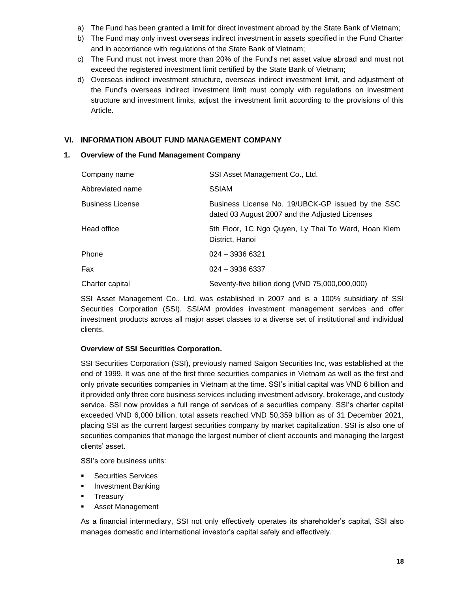- a) The Fund has been granted a limit for direct investment abroad by the State Bank of Vietnam;
- b) The Fund may only invest overseas indirect investment in assets specified in the Fund Charter and in accordance with regulations of the State Bank of Vietnam;
- c) The Fund must not invest more than 20% of the Fund's net asset value abroad and must not exceed the registered investment limit certified by the State Bank of Vietnam;
- d) Overseas indirect investment structure, overseas indirect investment limit, and adjustment of the Fund's overseas indirect investment limit must comply with regulations on investment structure and investment limits, adjust the investment limit according to the provisions of this Article.

#### <span id="page-17-0"></span>**VI. INFORMATION ABOUT FUND MANAGEMENT COMPANY**

#### <span id="page-17-1"></span>**1. Overview of the Fund Management Company**

| Company name            | SSI Asset Management Co., Ltd.                                                                      |
|-------------------------|-----------------------------------------------------------------------------------------------------|
| Abbreviated name        | <b>SSIAM</b>                                                                                        |
| <b>Business License</b> | Business License No. 19/UBCK-GP issued by the SSC<br>dated 03 August 2007 and the Adjusted Licenses |
| Head office             | 5th Floor, 1C Ngo Quyen, Ly Thai To Ward, Hoan Kiem<br>District, Hanoi                              |
| Phone                   | $024 - 39366321$                                                                                    |
| Fax                     | $024 - 39366337$                                                                                    |
| Charter capital         | Seventy-five billion dong (VND 75,000,000,000)                                                      |

SSI Asset Management Co., Ltd. was established in 2007 and is a 100% subsidiary of SSI Securities Corporation (SSI). SSIAM provides investment management services and offer investment products across all major asset classes to a diverse set of institutional and individual clients.

#### **Overview of SSI Securities Corporation.**

SSI Securities Corporation (SSI), previously named Saigon Securities Inc, was established at the end of 1999. It was one of the first three securities companies in Vietnam as well as the first and only private securities companies in Vietnam at the time. SSI's initial capital was VND 6 billion and it provided only three core business services including investment advisory, brokerage, and custody service. SSI now provides a full range of services of a securities company. SSI's charter capital exceeded VND 6,000 billion, total assets reached VND 50,359 billion as of 31 December 2021, placing SSI as the current largest securities company by market capitalization. SSI is also one of securities companies that manage the largest number of client accounts and managing the largest clients' asset.

SSI's core business units:

- Securities Services
- **■** Investment Banking
- Treasury
- Asset Management

As a financial intermediary, SSI not only effectively operates its shareholder's capital, SSI also manages domestic and international investor's capital safely and effectively.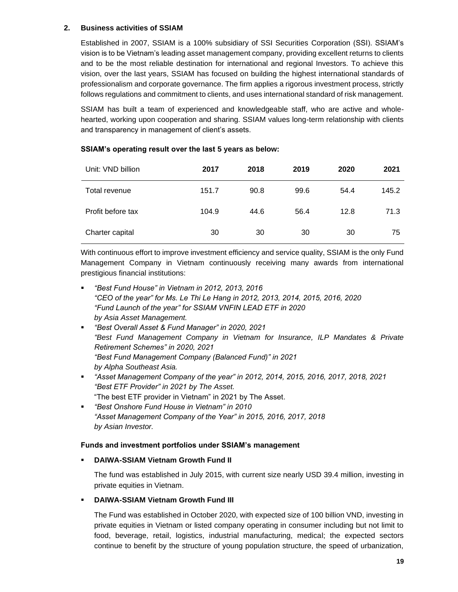#### <span id="page-18-0"></span>**2. Business activities of SSIAM**

Established in 2007, SSIAM is a 100% subsidiary of SSI Securities Corporation (SSI). SSIAM's vision is to be Vietnam's leading asset management company, providing excellent returns to clients and to be the most reliable destination for international and regional Investors. To achieve this vision, over the last years, SSIAM has focused on building the highest international standards of professionalism and corporate governance. The firm applies a rigorous investment process, strictly follows regulations and commitment to clients, and uses international standard of risk management.

SSIAM has built a team of experienced and knowledgeable staff, who are active and wholehearted, working upon cooperation and sharing. SSIAM values long-term relationship with clients and transparency in management of client's assets.

| Unit: VND billion | 2017  | 2018 | 2019 | 2020 | 2021  |
|-------------------|-------|------|------|------|-------|
| Total revenue     | 151.7 | 90.8 | 99.6 | 54.4 | 145.2 |
| Profit before tax | 104.9 | 44.6 | 56.4 | 12.8 | 71.3  |
| Charter capital   | 30    | 30   | 30   | 30   | 75    |

#### **SSIAM's operating result over the last 5 years as below:**

With continuous effort to improve investment efficiency and service quality, SSIAM is the only Fund Management Company in Vietnam continuously receiving many awards from international prestigious financial institutions:

- *"Best Fund House" in Vietnam in 2012, 2013, 2016 "CEO of the year" for Ms. Le Thi Le Hang in 2012, 2013, 2014, 2015, 2016, 2020 "Fund Launch of the year" for SSIAM VNFIN LEAD ETF in 2020 by Asia Asset Management.*
- *"Best Overall Asset & Fund Manager" in 2020, 2021 "Best Fund Management Company in Vietnam for Insurance, ILP Mandates & Private Retirement Schemes" in 2020, 2021 "Best Fund Management Company (Balanced Fund)" in 2021 by Alpha Southeast Asia.*
- *"Asset Management Company of the year" in 2012, 2014, 2015, 2016, 2017, 2018, 2021 "Best ETF Provider" in 2021 by The Asset.* "The best ETF provider in Vietnam" in 2021 by The Asset.
- *"Best Onshore Fund House in Vietnam" in 2010 "Asset Management Company of the Year" in 2015, 2016, 2017, 2018 by Asian Investor.*

#### **Funds and investment portfolios under SSIAM's management**

#### **DAIWA-SSIAM Vietnam Growth Fund II**

The fund was established in July 2015, with current size nearly USD 39.4 million, investing in private equities in Vietnam.

#### ▪ **DAIWA-SSIAM Vietnam Growth Fund III**

The Fund was established in October 2020, with expected size of 100 billion VND, investing in private equities in Vietnam or listed company operating in consumer including but not limit to food, beverage, retail, logistics, industrial manufacturing, medical; the expected sectors continue to benefit by the structure of young population structure, the speed of urbanization,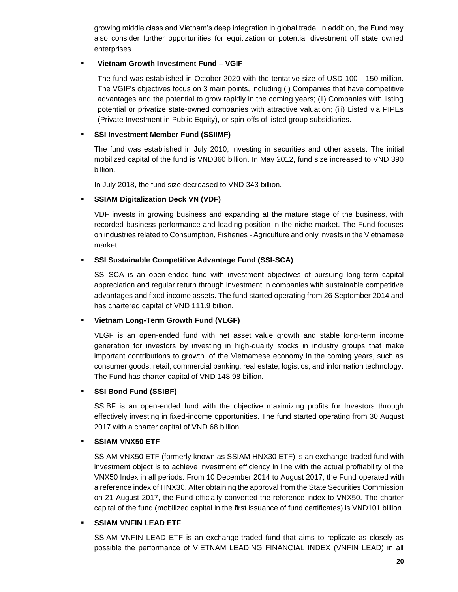growing middle class and Vietnam's deep integration in global trade. In addition, the Fund may also consider further opportunities for equitization or potential divestment off state owned enterprises.

#### ▪ **Vietnam Growth Investment Fund – VGIF**

The fund was established in October 2020 with the tentative size of USD 100 - 150 million. The VGIF's objectives focus on 3 main points, including (i) Companies that have competitive advantages and the potential to grow rapidly in the coming years; (ii) Companies with listing potential or privatize state-owned companies with attractive valuation; (iii) Listed via PIPEs (Private Investment in Public Equity), or spin-offs of listed group subsidiaries.

#### **SSI Investment Member Fund (SSIIMF)**

The fund was established in July 2010, investing in securities and other assets. The initial mobilized capital of the fund is VND360 billion. In May 2012, fund size increased to VND 390 billion.

In July 2018, the fund size decreased to VND 343 billion.

#### ▪ **SSIAM Digitalization Deck VN (VDF)**

VDF invests in growing business and expanding at the mature stage of the business, with recorded business performance and leading position in the niche market. The Fund focuses on industries related to Consumption, Fisheries - Agriculture and only invests in the Vietnamese market.

#### ▪ **SSI Sustainable Competitive Advantage Fund (SSI-SCA)**

SSI-SCA is an open-ended fund with investment objectives of pursuing long-term capital appreciation and regular return through investment in companies with sustainable competitive advantages and fixed income assets. The fund started operating from 26 September 2014 and has chartered capital of VND 111.9 billion.

#### ▪ **Vietnam Long-Term Growth Fund (VLGF)**

VLGF is an open-ended fund with net asset value growth and stable long-term income generation for investors by investing in high-quality stocks in industry groups that make important contributions to growth. of the Vietnamese economy in the coming years, such as consumer goods, retail, commercial banking, real estate, logistics, and information technology. The Fund has charter capital of VND 148.98 billion.

#### ▪ **SSI Bond Fund (SSIBF)**

SSIBF is an open-ended fund with the objective maximizing profits for Investors through effectively investing in fixed-income opportunities. The fund started operating from 30 August 2017 with a charter capital of VND 68 billion.

#### ▪ **SSIAM VNX50 ETF**

SSIAM VNX50 ETF (formerly known as SSIAM HNX30 ETF) is an exchange-traded fund with investment object is to achieve investment efficiency in line with the actual profitability of the VNX50 Index in all periods. From 10 December 2014 to August 2017, the Fund operated with a reference index of HNX30. After obtaining the approval from the State Securities Commission on 21 August 2017, the Fund officially converted the reference index to VNX50. The charter capital of the fund (mobilized capital in the first issuance of fund certificates) is VND101 billion.

#### **SSIAM VNFIN LEAD ETF**

SSIAM VNFIN LEAD ETF is an exchange-traded fund that aims to replicate as closely as possible the performance of VIETNAM LEADING FINANCIAL INDEX (VNFIN LEAD) in all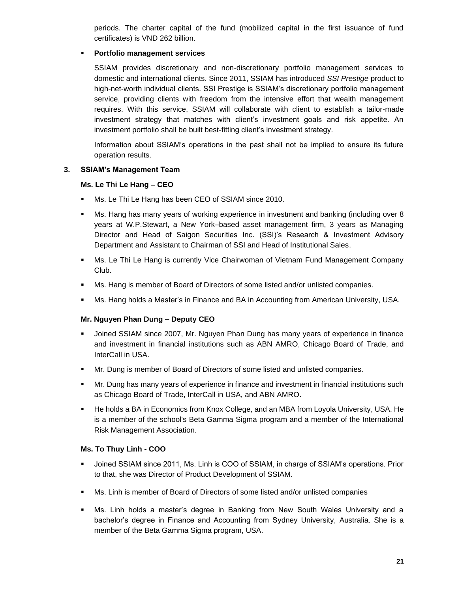periods. The charter capital of the fund (mobilized capital in the first issuance of fund certificates) is VND 262 billion.

#### **Portfolio management services**

SSIAM provides discretionary and non-discretionary portfolio management services to domestic and international clients. Since 2011, SSIAM has introduced *SSI Prestige* product to high-net-worth individual clients. SSI Prestige is SSIAM's discretionary portfolio management service, providing clients with freedom from the intensive effort that wealth management requires. With this service, SSIAM will collaborate with client to establish a tailor-made investment strategy that matches with client's investment goals and risk appetite. An investment portfolio shall be built best-fitting client's investment strategy.

Information about SSIAM's operations in the past shall not be implied to ensure its future operation results.

#### <span id="page-20-0"></span>**3. SSIAM's Management Team**

#### **Ms. Le Thi Le Hang – CEO**

- Ms. Le Thi Le Hang has been CEO of SSIAM since 2010.
- Ms. Hang has many years of working experience in investment and banking (including over 8 years at W.P.Stewart, a New York–based asset management firm, 3 years as Managing Director and Head of Saigon Securities Inc. (SSI)'s Research & Investment Advisory Department and Assistant to Chairman of SSI and Head of Institutional Sales.
- **Ms. Le Thi Le Hang is currently Vice Chairwoman of Vietnam Fund Management Company** Club.
- Ms. Hang is member of Board of Directors of some listed and/or unlisted companies.
- **■** Ms. Hang holds a Master's in Finance and BA in Accounting from American University, USA.

#### **Mr. Nguyen Phan Dung – Deputy CEO**

- Joined SSIAM since 2007, Mr. Nguyen Phan Dung has many years of experience in finance and investment in financial institutions such as ABN AMRO, Chicago Board of Trade, and InterCall in USA.
- Mr. Dung is member of Board of Directors of some listed and unlisted companies.
- **■** Mr. Dung has many years of experience in finance and investment in financial institutions such as Chicago Board of Trade, InterCall in USA, and ABN AMRO.
- He holds a BA in Economics from Knox College, and an MBA from Loyola University, USA. He is a member of the school's Beta Gamma Sigma program and a member of the International Risk Management Association.

#### **Ms. To Thuy Linh - COO**

- Joined SSIAM since 2011, Ms. Linh is COO of SSIAM, in charge of SSIAM's operations. Prior to that, she was Director of Product Development of SSIAM.
- **■** Ms. Linh is member of Board of Directors of some listed and/or unlisted companies
- Ms. Linh holds a master's degree in Banking from New South Wales University and a bachelor's degree in Finance and Accounting from Sydney University, Australia. She is a member of the Beta Gamma Sigma program, USA.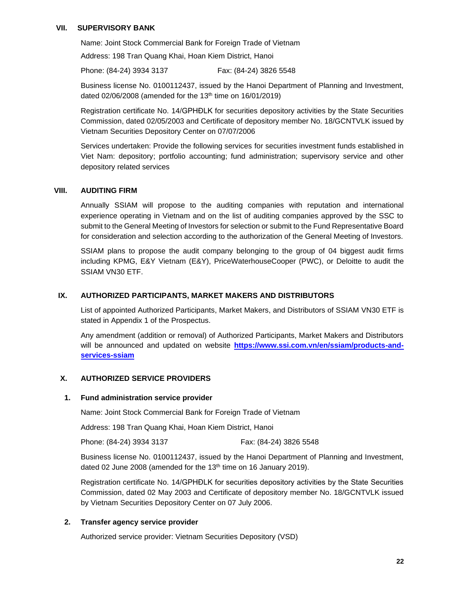#### <span id="page-21-0"></span>**VII. SUPERVISORY BANK**

Name: Joint Stock Commercial Bank for Foreign Trade of Vietnam

Address: 198 Tran Quang Khai, Hoan Kiem District, Hanoi

Phone: (84-24) 3934 3137 Fax: (84-24) 3826 5548

Business license No. 0100112437, issued by the Hanoi Department of Planning and Investment, dated  $02/06/2008$  (amended for the 13<sup>th</sup> time on 16/01/2019)

Registration certificate No. 14/GPHĐLK for securities depository activities by the State Securities Commission, dated 02/05/2003 and Certificate of depository member No. 18/GCNTVLK issued by Vietnam Securities Depository Center on 07/07/2006

Services undertaken: Provide the following services for securities investment funds established in Viet Nam: depository; portfolio accounting; fund administration; supervisory service and other depository related services

#### <span id="page-21-1"></span>**VIII. AUDITING FIRM**

Annually SSIAM will propose to the auditing companies with reputation and international experience operating in Vietnam and on the list of auditing companies approved by the SSC to submit to the General Meeting of Investors for selection or submit to the Fund Representative Board for consideration and selection according to the authorization of the General Meeting of Investors.

SSIAM plans to propose the audit company belonging to the group of 04 biggest audit firms including KPMG, E&Y Vietnam (E&Y), PriceWaterhouseCooper (PWC), or Deloitte to audit the SSIAM VN30 ETF.

#### <span id="page-21-2"></span>**IX. AUTHORIZED PARTICIPANTS, MARKET MAKERS AND DISTRIBUTORS**

List of appointed Authorized Participants, Market Makers, and Distributors of SSIAM VN30 ETF is stated in Appendix 1 of the Prospectus.

Any amendment (addition or removal) of Authorized Participants, Market Makers and Distributors will be announced and updated on website **[https://www.ssi.com.vn/en/ssiam/products-and](https://www.ssi.com.vn/en/ssiam/products-and-services-ssiam)[services-ssiam](https://www.ssi.com.vn/en/ssiam/products-and-services-ssiam)**

#### <span id="page-21-3"></span>**X. AUTHORIZED SERVICE PROVIDERS**

#### <span id="page-21-4"></span>**1. Fund administration service provider**

Name: Joint Stock Commercial Bank for Foreign Trade of Vietnam

Address: 198 Tran Quang Khai, Hoan Kiem District, Hanoi

Phone: (84-24) 3934 3137 Fax: (84-24) 3826 5548

Business license No. 0100112437, issued by the Hanoi Department of Planning and Investment, dated 02 June 2008 (amended for the 13<sup>th</sup> time on 16 January 2019).

Registration certificate No. 14/GPHĐLK for securities depository activities by the State Securities Commission, dated 02 May 2003 and Certificate of depository member No. 18/GCNTVLK issued by Vietnam Securities Depository Center on 07 July 2006.

#### <span id="page-21-5"></span>**2. Transfer agency service provider**

Authorized service provider: Vietnam Securities Depository (VSD)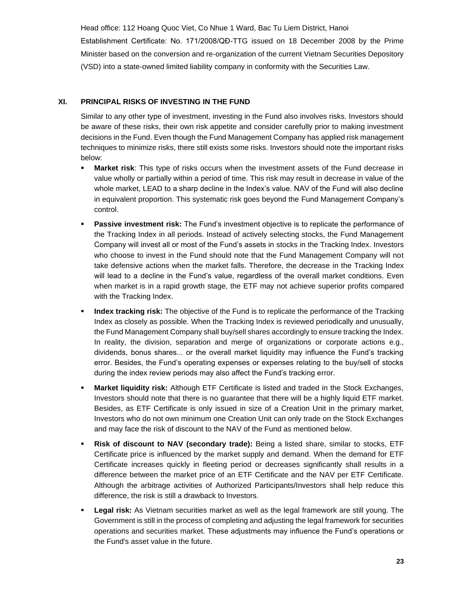Head office: 112 Hoang Quoc Viet, Co Nhue 1 Ward, Bac Tu Liem District, Hanoi

Establishment Certificate: No. 171/2008/QĐ-TTG issued on 18 December 2008 by the Prime Minister based on the conversion and re-organization of the current Vietnam Securities Depository (VSD) into a state-owned limited liability company in conformity with the Securities Law.

#### <span id="page-22-0"></span>**XI. PRINCIPAL RISKS OF INVESTING IN THE FUND**

Similar to any other type of investment, investing in the Fund also involves risks. Investors should be aware of these risks, their own risk appetite and consider carefully prior to making investment decisions in the Fund. Even though the Fund Management Company has applied risk management techniques to minimize risks, there still exists some risks. Investors should note the important risks below:

- **Market risk:** This type of risks occurs when the investment assets of the Fund decrease in value wholly or partially within a period of time. This risk may result in decrease in value of the whole market, LEAD to a sharp decline in the Index's value. NAV of the Fund will also decline in equivalent proportion. This systematic risk goes beyond the Fund Management Company's control.
- **Passive investment risk:** The Fund's investment objective is to replicate the performance of the Tracking Index in all periods. Instead of actively selecting stocks, the Fund Management Company will invest all or most of the Fund's assets in stocks in the Tracking Index. Investors who choose to invest in the Fund should note that the Fund Management Company will not take defensive actions when the market falls. Therefore, the decrease in the Tracking Index will lead to a decline in the Fund's value, regardless of the overall market conditions. Even when market is in a rapid growth stage, the ETF may not achieve superior profits compared with the Tracking Index.
- **EXECT** Index tracking risk: The objective of the Fund is to replicate the performance of the Tracking Index as closely as possible. When the Tracking Index is reviewed periodically and unusually, the Fund Management Company shall buy/sell shares accordingly to ensure tracking the Index. In reality, the division, separation and merge of organizations or corporate actions e.g., dividends, bonus shares... or the overall market liquidity may influence the Fund's tracking error. Besides, the Fund's operating expenses or expenses relating to the buy/sell of stocks during the index review periods may also affect the Fund's tracking error.
- **Market liquidity risk:** Although ETF Certificate is listed and traded in the Stock Exchanges, Investors should note that there is no guarantee that there will be a highly liquid ETF market. Besides, as ETF Certificate is only issued in size of a Creation Unit in the primary market, Investors who do not own minimum one Creation Unit can only trade on the Stock Exchanges and may face the risk of discount to the NAV of the Fund as mentioned below.
- **Risk of discount to NAV (secondary trade):** Being a listed share, similar to stocks, ETF Certificate price is influenced by the market supply and demand. When the demand for ETF Certificate increases quickly in fleeting period or decreases significantly shall results in a difference between the market price of an ETF Certificate and the NAV per ETF Certificate. Although the arbitrage activities of Authorized Participants/Investors shall help reduce this difference, the risk is still a drawback to Investors.
- **Egal risk:** As Vietnam securities market as well as the legal framework are still young. The Government is still in the process of completing and adjusting the legal framework for securities operations and securities market. These adjustments may influence the Fund's operations or the Fund's asset value in the future.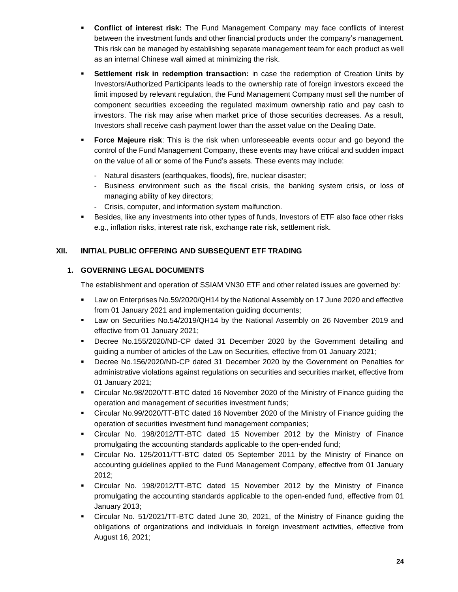- **Conflict of interest risk:** The Fund Management Company may face conflicts of interest between the investment funds and other financial products under the company's management. This risk can be managed by establishing separate management team for each product as well as an internal Chinese wall aimed at minimizing the risk.
- **EXECTE Settlement risk in redemption transaction:** in case the redemption of Creation Units by Investors/Authorized Participants leads to the ownership rate of foreign investors exceed the limit imposed by relevant regulation, the Fund Management Company must sell the number of component securities exceeding the regulated maximum ownership ratio and pay cash to investors. The risk may arise when market price of those securities decreases. As a result, Investors shall receive cash payment lower than the asset value on the Dealing Date.
- **Force Majeure risk:** This is the risk when unforeseeable events occur and go beyond the control of the Fund Management Company, these events may have critical and sudden impact on the value of all or some of the Fund's assets. These events may include:
	- Natural disasters (earthquakes, floods), fire, nuclear disaster;
	- Business environment such as the fiscal crisis, the banking system crisis, or loss of managing ability of key directors;
	- Crisis, computer, and information system malfunction.
- Besides, like any investments into other types of funds, Investors of ETF also face other risks e.g., inflation risks, interest rate risk, exchange rate risk, settlement risk.

#### <span id="page-23-0"></span>**XII. INITIAL PUBLIC OFFERING AND SUBSEQUENT ETF TRADING**

#### <span id="page-23-1"></span>**1. GOVERNING LEGAL DOCUMENTS**

The establishment and operation of SSIAM VN30 ETF and other related issues are governed by:

- Law on Enterprises No.59/2020/QH14 by the National Assembly on 17 June 2020 and effective from 01 January 2021 and implementation guiding documents;
- Law on Securities No.54/2019/QH14 by the National Assembly on 26 November 2019 and effective from 01 January 2021;
- Decree No.155/2020/ND-CP dated 31 December 2020 by the Government detailing and guiding a number of articles of the Law on Securities, effective from 01 January 2021;
- Decree No.156/2020/ND-CP dated 31 December 2020 by the Government on Penalties for administrative violations against regulations on securities and securities market, effective from 01 January 2021;
- Circular No.98/2020/TT-BTC dated 16 November 2020 of the Ministry of Finance guiding the operation and management of securities investment funds;
- Circular No.99/2020/TT-BTC dated 16 November 2020 of the Ministry of Finance guiding the operation of securities investment fund management companies;
- Circular No. 198/2012/TT-BTC dated 15 November 2012 by the Ministry of Finance promulgating the accounting standards applicable to the open-ended fund;
- Circular No. 125/2011/TT-BTC dated 05 September 2011 by the Ministry of Finance on accounting guidelines applied to the Fund Management Company, effective from 01 January 2012;
- Circular No. 198/2012/TT-BTC dated 15 November 2012 by the Ministry of Finance promulgating the accounting standards applicable to the open-ended fund, effective from 01 January 2013;
- Circular No. 51/2021/TT-BTC dated June 30, 2021, of the Ministry of Finance guiding the obligations of organizations and individuals in foreign investment activities, effective from August 16, 2021;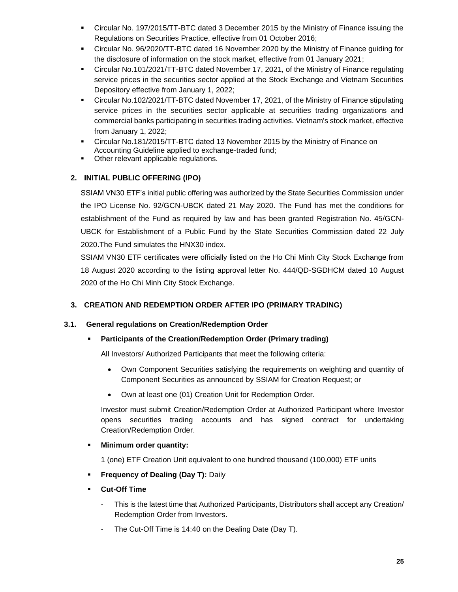- Circular No. 197/2015/TT-BTC dated 3 December 2015 by the Ministry of Finance issuing the Regulations on Securities Practice, effective from 01 October 2016;
- Circular No. 96/2020/TT-BTC dated 16 November 2020 by the Ministry of Finance guiding for the disclosure of information on the stock market, effective from 01 January 2021;
- Circular No.101/2021/TT-BTC dated November 17, 2021, of the Ministry of Finance regulating service prices in the securities sector applied at the Stock Exchange and Vietnam Securities Depository effective from January 1, 2022;
- Circular No.102/2021/TT-BTC dated November 17, 2021, of the Ministry of Finance stipulating service prices in the securities sector applicable at securities trading organizations and commercial banks participating in securities trading activities. Vietnam's stock market, effective from January 1, 2022;
- Circular No.181/2015/TT-BTC dated 13 November 2015 by the Ministry of Finance on Accounting Guideline applied to exchange-traded fund;
- **•** Other relevant applicable regulations.

#### <span id="page-24-0"></span>**2. INITIAL PUBLIC OFFERING (IPO)**

SSIAM VN30 ETF's initial public offering was authorized by the State Securities Commission under the IPO License No. 92/GCN-UBCK dated 21 May 2020. The Fund has met the conditions for establishment of the Fund as required by law and has been granted Registration No. 45/GCN-UBCK for Establishment of a Public Fund by the State Securities Commission dated 22 July 2020.The Fund simulates the HNX30 index.

SSIAM VN30 ETF certificates were officially listed on the Ho Chi Minh City Stock Exchange from 18 August 2020 according to the listing approval letter No. 444/QD-SGDHCM dated 10 August 2020 of the Ho Chi Minh City Stock Exchange.

#### <span id="page-24-1"></span>**3. CREATION AND REDEMPTION ORDER AFTER IPO (PRIMARY TRADING)**

#### **3.1. General regulations on Creation/Redemption Order**

#### <span id="page-24-2"></span>▪ **Participants of the Creation/Redemption Order (Primary trading)**

All Investors/ Authorized Participants that meet the following criteria:

- Own Component Securities satisfying the requirements on weighting and quantity of Component Securities as announced by SSIAM for Creation Request; or
- Own at least one (01) Creation Unit for Redemption Order.

Investor must submit Creation/Redemption Order at Authorized Participant where Investor opens securities trading accounts and has signed contract for undertaking Creation/Redemption Order.

**Minimum order quantity:** 

1 (one) ETF Creation Unit equivalent to one hundred thousand (100,000) ETF units

- **Frequency of Dealing (Day T): Daily**
- **Cut-Off Time** 
	- This is the latest time that Authorized Participants, Distributors shall accept any Creation/ Redemption Order from Investors.
	- The Cut-Off Time is 14:40 on the Dealing Date (Day T).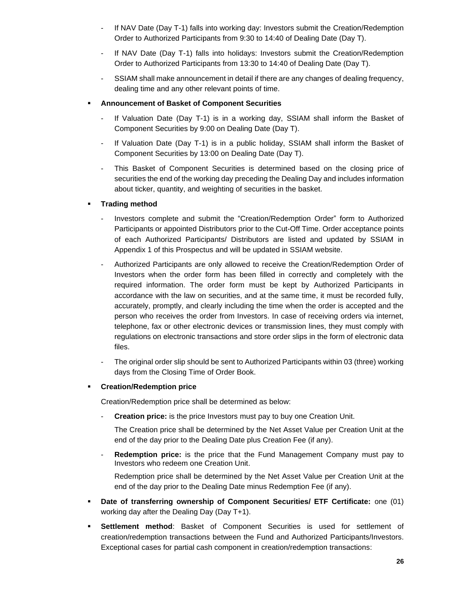- If NAV Date (Day T-1) falls into working day: Investors submit the Creation/Redemption Order to Authorized Participants from 9:30 to 14:40 of Dealing Date (Day T).
- If NAV Date (Day T-1) falls into holidays: Investors submit the Creation/Redemption Order to Authorized Participants from 13:30 to 14:40 of Dealing Date (Day T).
- SSIAM shall make announcement in detail if there are any changes of dealing frequency, dealing time and any other relevant points of time.

#### **Announcement of Basket of Component Securities**

- If Valuation Date (Day T-1) is in a working day, SSIAM shall inform the Basket of Component Securities by 9:00 on Dealing Date (Day T).
- If Valuation Date (Day T-1) is in a public holiday, SSIAM shall inform the Basket of Component Securities by 13:00 on Dealing Date (Day T).
- This Basket of Component Securities is determined based on the closing price of securities the end of the working day preceding the Dealing Day and includes information about ticker, quantity, and weighting of securities in the basket.

#### **Trading method**

- Investors complete and submit the "Creation/Redemption Order" form to Authorized Participants or appointed Distributors prior to the Cut-Off Time. Order acceptance points of each Authorized Participants/ Distributors are listed and updated by SSIAM in Appendix 1 of this Prospectus and will be updated in SSIAM website.
- Authorized Participants are only allowed to receive the Creation/Redemption Order of Investors when the order form has been filled in correctly and completely with the required information. The order form must be kept by Authorized Participants in accordance with the law on securities, and at the same time, it must be recorded fully, accurately, promptly, and clearly including the time when the order is accepted and the person who receives the order from Investors. In case of receiving orders via internet, telephone, fax or other electronic devices or transmission lines, they must comply with regulations on electronic transactions and store order slips in the form of electronic data files.
- The original order slip should be sent to Authorized Participants within 03 (three) working days from the Closing Time of Order Book.

#### ▪ **Creation/Redemption price**

Creation/Redemption price shall be determined as below:

**Creation price:** is the price Investors must pay to buy one Creation Unit.

The Creation price shall be determined by the Net Asset Value per Creation Unit at the end of the day prior to the Dealing Date plus Creation Fee (if any).

- **Redemption price:** is the price that the Fund Management Company must pay to Investors who redeem one Creation Unit.

Redemption price shall be determined by the Net Asset Value per Creation Unit at the end of the day prior to the Dealing Date minus Redemption Fee (if any).

- **Date of transferring ownership of Component Securities/ ETF Certificate:** one (01) working day after the Dealing Day (Day T+1).
- **Settlement method**: Basket of Component Securities is used for settlement of creation/redemption transactions between the Fund and Authorized Participants/Investors. Exceptional cases for partial cash component in creation/redemption transactions: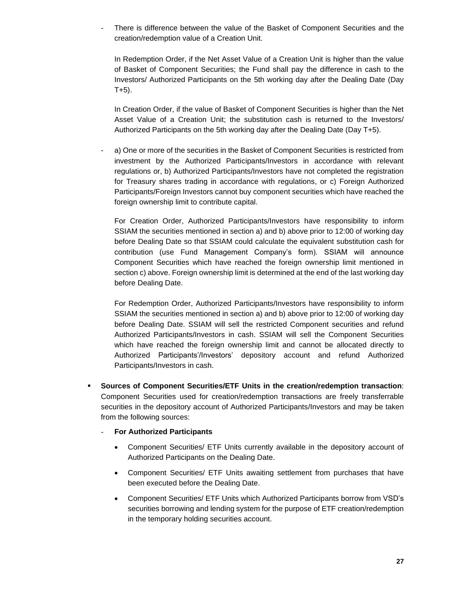There is difference between the value of the Basket of Component Securities and the creation/redemption value of a Creation Unit.

In Redemption Order, if the Net Asset Value of a Creation Unit is higher than the value of Basket of Component Securities; the Fund shall pay the difference in cash to the Investors/ Authorized Participants on the 5th working day after the Dealing Date (Day  $T+5$ ).

In Creation Order, if the value of Basket of Component Securities is higher than the Net Asset Value of a Creation Unit; the substitution cash is returned to the Investors/ Authorized Participants on the 5th working day after the Dealing Date (Day T+5).

a) One or more of the securities in the Basket of Component Securities is restricted from investment by the Authorized Participants/Investors in accordance with relevant regulations or, b) Authorized Participants/Investors have not completed the registration for Treasury shares trading in accordance with regulations, or c) Foreign Authorized Participants/Foreign Investors cannot buy component securities which have reached the foreign ownership limit to contribute capital.

For Creation Order, Authorized Participants/Investors have responsibility to inform SSIAM the securities mentioned in section a) and b) above prior to 12:00 of working day before Dealing Date so that SSIAM could calculate the equivalent substitution cash for contribution (use Fund Management Company's form). SSIAM will announce Component Securities which have reached the foreign ownership limit mentioned in section c) above. Foreign ownership limit is determined at the end of the last working day before Dealing Date.

For Redemption Order, Authorized Participants/Investors have responsibility to inform SSIAM the securities mentioned in section a) and b) above prior to 12:00 of working day before Dealing Date. SSIAM will sell the restricted Component securities and refund Authorized Participants/Investors in cash. SSIAM will sell the Component Securities which have reached the foreign ownership limit and cannot be allocated directly to Authorized Participants'/Investors' depository account and refund Authorized Participants/Investors in cash.

- **Sources of Component Securities/ETF Units in the creation/redemption transaction**: Component Securities used for creation/redemption transactions are freely transferrable securities in the depository account of Authorized Participants/Investors and may be taken from the following sources:
	- **For Authorized Participants**
		- Component Securities/ ETF Units currently available in the depository account of Authorized Participants on the Dealing Date.
		- Component Securities/ ETF Units awaiting settlement from purchases that have been executed before the Dealing Date.
		- Component Securities/ ETF Units which Authorized Participants borrow from VSD's securities borrowing and lending system for the purpose of ETF creation/redemption in the temporary holding securities account.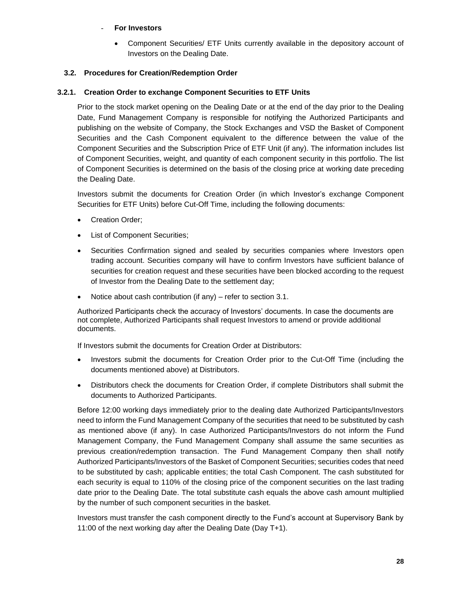#### **For Investors**

• Component Securities/ ETF Units currently available in the depository account of Investors on the Dealing Date.

#### <span id="page-27-0"></span>**3.2. Procedures for Creation/Redemption Order**

#### <span id="page-27-1"></span>**3.2.1. Creation Order to exchange Component Securities to ETF Units**

Prior to the stock market opening on the Dealing Date or at the end of the day prior to the Dealing Date, Fund Management Company is responsible for notifying the Authorized Participants and publishing on the website of Company, the Stock Exchanges and VSD the Basket of Component Securities and the Cash Component equivalent to the difference between the value of the Component Securities and the Subscription Price of ETF Unit (if any). The information includes list of Component Securities, weight, and quantity of each component security in this portfolio. The list of Component Securities is determined on the basis of the closing price at working date preceding the Dealing Date.

Investors submit the documents for Creation Order (in which Investor's exchange Component Securities for ETF Units) before Cut-Off Time, including the following documents:

- Creation Order;
- List of Component Securities;
- Securities Confirmation signed and sealed by securities companies where Investors open trading account. Securities company will have to confirm Investors have sufficient balance of securities for creation request and these securities have been blocked according to the request of Investor from the Dealing Date to the settlement day;
- Notice about cash contribution (if any) refer to section 3.1.

Authorized Participants check the accuracy of Investors' documents. In case the documents are not complete, Authorized Participants shall request Investors to amend or provide additional documents.

If Investors submit the documents for Creation Order at Distributors:

- Investors submit the documents for Creation Order prior to the Cut-Off Time (including the documents mentioned above) at Distributors.
- Distributors check the documents for Creation Order, if complete Distributors shall submit the documents to Authorized Participants.

Before 12:00 working days immediately prior to the dealing date Authorized Participants/Investors need to inform the Fund Management Company of the securities that need to be substituted by cash as mentioned above (if any). In case Authorized Participants/Investors do not inform the Fund Management Company, the Fund Management Company shall assume the same securities as previous creation/redemption transaction. The Fund Management Company then shall notify Authorized Participants/Investors of the Basket of Component Securities; securities codes that need to be substituted by cash; applicable entities; the total Cash Component. The cash substituted for each security is equal to 110% of the closing price of the component securities on the last trading date prior to the Dealing Date. The total substitute cash equals the above cash amount multiplied by the number of such component securities in the basket.

Investors must transfer the cash component directly to the Fund's account at Supervisory Bank by 11:00 of the next working day after the Dealing Date (Day T+1).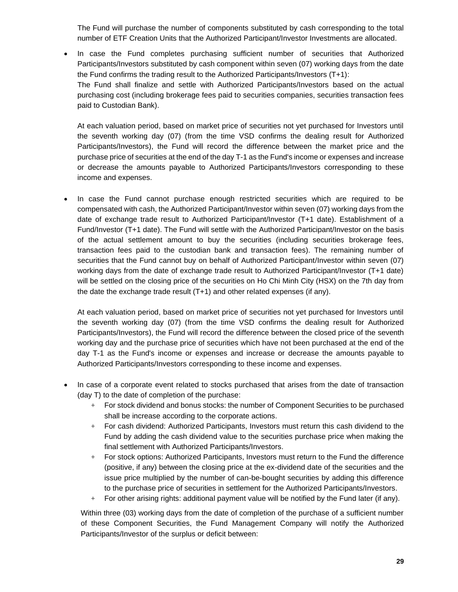The Fund will purchase the number of components substituted by cash corresponding to the total number of ETF Creation Units that the Authorized Participant/Investor Investments are allocated.

• In case the Fund completes purchasing sufficient number of securities that Authorized Participants/Investors substituted by cash component within seven (07) working days from the date the Fund confirms the trading result to the Authorized Participants/Investors (T+1): The Fund shall finalize and settle with Authorized Participants/Investors based on the actual purchasing cost (including brokerage fees paid to securities companies, securities transaction fees paid to Custodian Bank).

At each valuation period, based on market price of securities not yet purchased for Investors until the seventh working day (07) (from the time VSD confirms the dealing result for Authorized Participants/Investors), the Fund will record the difference between the market price and the purchase price of securities at the end of the day T-1 as the Fund's income or expenses and increase or decrease the amounts payable to Authorized Participants/Investors corresponding to these income and expenses.

In case the Fund cannot purchase enough restricted securities which are required to be compensated with cash, the Authorized Participant/Investor within seven (07) working days from the date of exchange trade result to Authorized Participant/Investor (T+1 date). Establishment of a Fund/Investor (T+1 date). The Fund will settle with the Authorized Participant/Investor on the basis of the actual settlement amount to buy the securities (including securities brokerage fees, transaction fees paid to the custodian bank and transaction fees). The remaining number of securities that the Fund cannot buy on behalf of Authorized Participant/Investor within seven (07) working days from the date of exchange trade result to Authorized Participant/Investor (T+1 date) will be settled on the closing price of the securities on Ho Chi Minh City (HSX) on the 7th day from the date the exchange trade result (T+1) and other related expenses (if any).

At each valuation period, based on market price of securities not yet purchased for Investors until the seventh working day (07) (from the time VSD confirms the dealing result for Authorized Participants/Investors), the Fund will record the difference between the closed price of the seventh working day and the purchase price of securities which have not been purchased at the end of the day T-1 as the Fund's income or expenses and increase or decrease the amounts payable to Authorized Participants/Investors corresponding to these income and expenses.

- In case of a corporate event related to stocks purchased that arises from the date of transaction (day T) to the date of completion of the purchase:
	- + For stock dividend and bonus stocks: the number of Component Securities to be purchased shall be increase according to the corporate actions.
	- + For cash dividend: Authorized Participants, Investors must return this cash dividend to the Fund by adding the cash dividend value to the securities purchase price when making the final settlement with Authorized Participants/Investors.
	- + For stock options: Authorized Participants, Investors must return to the Fund the difference (positive, if any) between the closing price at the ex-dividend date of the securities and the issue price multiplied by the number of can-be-bought securities by adding this difference to the purchase price of securities in settlement for the Authorized Participants/Investors.
	- + For other arising rights: additional payment value will be notified by the Fund later (if any).

Within three (03) working days from the date of completion of the purchase of a sufficient number of these Component Securities, the Fund Management Company will notify the Authorized Participants/Investor of the surplus or deficit between: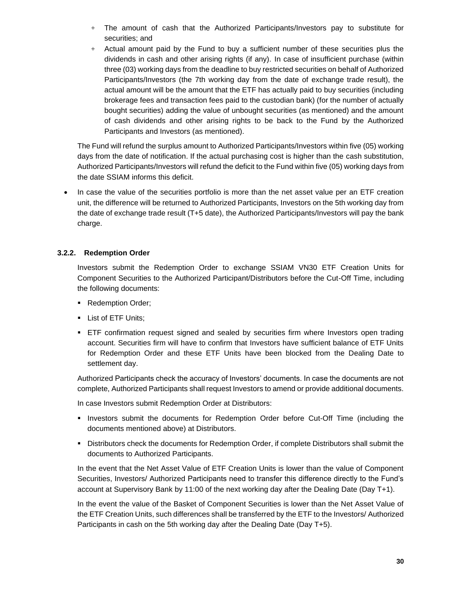- $+$  The amount of cash that the Authorized Participants/Investors pay to substitute for securities; and
- + Actual amount paid by the Fund to buy a sufficient number of these securities plus the dividends in cash and other arising rights (if any). In case of insufficient purchase (within three (03) working days from the deadline to buy restricted securities on behalf of Authorized Participants/Investors (the 7th working day from the date of exchange trade result), the actual amount will be the amount that the ETF has actually paid to buy securities (including brokerage fees and transaction fees paid to the custodian bank) (for the number of actually bought securities) adding the value of unbought securities (as mentioned) and the amount of cash dividends and other arising rights to be back to the Fund by the Authorized Participants and Investors (as mentioned).

The Fund will refund the surplus amount to Authorized Participants/Investors within five (05) working days from the date of notification. If the actual purchasing cost is higher than the cash substitution, Authorized Participants/Investors will refund the deficit to the Fund within five (05) working days from the date SSIAM informs this deficit.

• In case the value of the securities portfolio is more than the net asset value per an ETF creation unit, the difference will be returned to Authorized Participants, Investors on the 5th working day from the date of exchange trade result (T+5 date), the Authorized Participants/Investors will pay the bank charge.

#### <span id="page-29-0"></span>**3.2.2. Redemption Order**

Investors submit the Redemption Order to exchange SSIAM VN30 ETF Creation Units for Component Securities to the Authorized Participant/Distributors before the Cut-Off Time, including the following documents:

- Redemption Order;
- **•** List of ETF Units;
- **ETF** confirmation request signed and sealed by securities firm where Investors open trading account. Securities firm will have to confirm that Investors have sufficient balance of ETF Units for Redemption Order and these ETF Units have been blocked from the Dealing Date to settlement day.

Authorized Participants check the accuracy of Investors' documents. In case the documents are not complete, Authorized Participants shall request Investors to amend or provide additional documents.

In case Investors submit Redemption Order at Distributors:

- **.** Investors submit the documents for Redemption Order before Cut-Off Time (including the documents mentioned above) at Distributors.
- Distributors check the documents for Redemption Order, if complete Distributors shall submit the documents to Authorized Participants.

In the event that the Net Asset Value of ETF Creation Units is lower than the value of Component Securities, Investors/ Authorized Participants need to transfer this difference directly to the Fund's account at Supervisory Bank by 11:00 of the next working day after the Dealing Date (Day T+1).

In the event the value of the Basket of Component Securities is lower than the Net Asset Value of the ETF Creation Units, such differences shall be transferred by the ETF to the Investors/ Authorized Participants in cash on the 5th working day after the Dealing Date (Day T+5).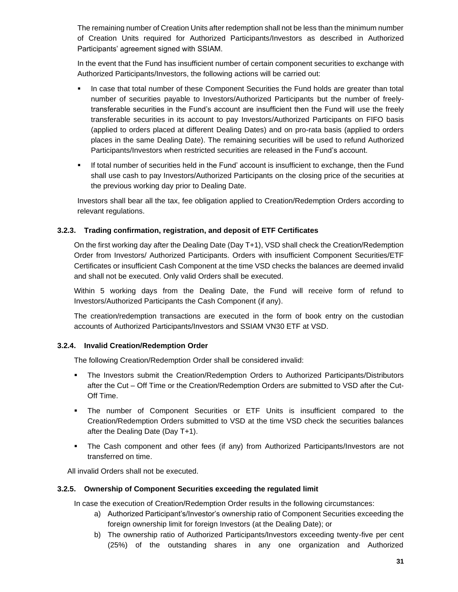The remaining number of Creation Units after redemption shall not be less than the minimum number of Creation Units required for Authorized Participants/Investors as described in Authorized Participants' agreement signed with SSIAM.

In the event that the Fund has insufficient number of certain component securities to exchange with Authorized Participants/Investors, the following actions will be carried out:

- In case that total number of these Component Securities the Fund holds are greater than total number of securities payable to Investors/Authorized Participants but the number of freelytransferable securities in the Fund's account are insufficient then the Fund will use the freely transferable securities in its account to pay Investors/Authorized Participants on FIFO basis (applied to orders placed at different Dealing Dates) and on pro-rata basis (applied to orders places in the same Dealing Date). The remaining securities will be used to refund Authorized Participants/Investors when restricted securities are released in the Fund's account.
- If total number of securities held in the Fund' account is insufficient to exchange, then the Fund shall use cash to pay Investors/Authorized Participants on the closing price of the securities at the previous working day prior to Dealing Date.

Investors shall bear all the tax, fee obligation applied to Creation/Redemption Orders according to relevant regulations.

#### <span id="page-30-0"></span>**3.2.3. Trading confirmation, registration, and deposit of ETF Certificates**

On the first working day after the Dealing Date (Day T+1), VSD shall check the Creation/Redemption Order from Investors/ Authorized Participants. Orders with insufficient Component Securities/ETF Certificates or insufficient Cash Component at the time VSD checks the balances are deemed invalid and shall not be executed. Only valid Orders shall be executed.

Within 5 working days from the Dealing Date, the Fund will receive form of refund to Investors/Authorized Participants the Cash Component (if any).

The creation/redemption transactions are executed in the form of book entry on the custodian accounts of Authorized Participants/Investors and SSIAM VN30 ETF at VSD.

#### <span id="page-30-1"></span>**3.2.4. Invalid Creation/Redemption Order**

The following Creation/Redemption Order shall be considered invalid:

- The Investors submit the Creation/Redemption Orders to Authorized Participants/Distributors after the Cut – Off Time or the Creation/Redemption Orders are submitted to VSD after the Cut-Off Time.
- The number of Component Securities or ETF Units is insufficient compared to the Creation/Redemption Orders submitted to VSD at the time VSD check the securities balances after the Dealing Date (Day T+1).
- The Cash component and other fees (if any) from Authorized Participants/Investors are not transferred on time.

All invalid Orders shall not be executed.

#### <span id="page-30-2"></span>**3.2.5. Ownership of Component Securities exceeding the regulated limit**

In case the execution of Creation/Redemption Order results in the following circumstances:

- a) Authorized Participant's/Investor's ownership ratio of Component Securities exceeding the foreign ownership limit for foreign Investors (at the Dealing Date); or
- b) The ownership ratio of Authorized Participants/Investors exceeding twenty-five per cent (25%) of the outstanding shares in any one organization and Authorized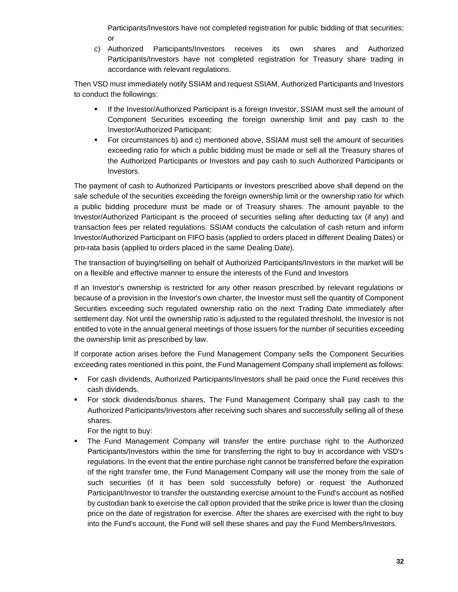Participants/Investors have not completed registration for public bidding of that securities; or

c) Authorized Participants/Investors receives its own shares and Authorized Participants/Investors have not completed registration for Treasury share trading in accordance with relevant regulations.

Then VSD must immediately notify SSIAM and request SSIAM, Authorized Participants and Investors to conduct the followings:

- **■** If the Investor/Authorized Participant is a foreign Investor, SSIAM must sell the amount of Component Securities exceeding the foreign ownership limit and pay cash to the Investor/Authorized Participant;
- **•** For circumstances b) and c) mentioned above, SSIAM must sell the amount of securities exceeding ratio for which a public bidding must be made or sell all the Treasury shares of the Authorized Participants or Investors and pay cash to such Authorized Participants or Investors.

The payment of cash to Authorized Participants or Investors prescribed above shall depend on the sale schedule of the securities exceeding the foreign ownership limit or the ownership ratio for which a public bidding procedure must be made or of Treasury shares. The amount payable to the Investor/Authorized Participant is the proceed of securities selling after deducting tax (if any) and transaction fees per related regulations. SSIAM conducts the calculation of cash return and inform Investor/Authorized Participant on FIFO basis (applied to orders placed in different Dealing Dates) or pro-rata basis (applied to orders placed in the same Dealing Date).

The transaction of buying/selling on behalf of Authorized Participants/Investors in the market will be on a flexible and effective manner to ensure the interests of the Fund and Investors

If an Investor's ownership is restricted for any other reason prescribed by relevant regulations or because of a provision in the Investor's own charter, the Investor must sell the quantity of Component Securities exceeding such regulated ownership ratio on the next Trading Date immediately after settlement day. Not until the ownership ratio is adjusted to the regulated threshold, the Investor is not entitled to vote in the annual general meetings of those issuers for the number of securities exceeding the ownership limit as prescribed by law.

If corporate action arises before the Fund Management Company sells the Component Securities exceeding rates mentioned in this point, the Fund Management Company shall implement as follows:

- For cash dividends, Authorized Participants/Investors shall be paid once the Fund receives this cash dividends.
- For stock dividends/bonus shares, The Fund Management Company shall pay cash to the Authorized Participants/Investors after receiving such shares and successfully selling all of these shares.

For the right to buy:

The Fund Management Company will transfer the entire purchase right to the Authorized Participants/Investors within the time for transferring the right to buy in accordance with VSD's regulations. In the event that the entire purchase right cannot be transferred before the expiration of the right transfer time, the Fund Management Company will use the money from the sale of such securities (if it has been sold successfully before) or request the Authorized Participant/Investor to transfer the outstanding exercise amount to the Fund's account as notified by custodian bank to exercise the call option provided that the strike price is lower than the closing price on the date of registration for exercise. After the shares are exercised with the right to buy into the Fund's account, the Fund will sell these shares and pay the Fund Members/Investors.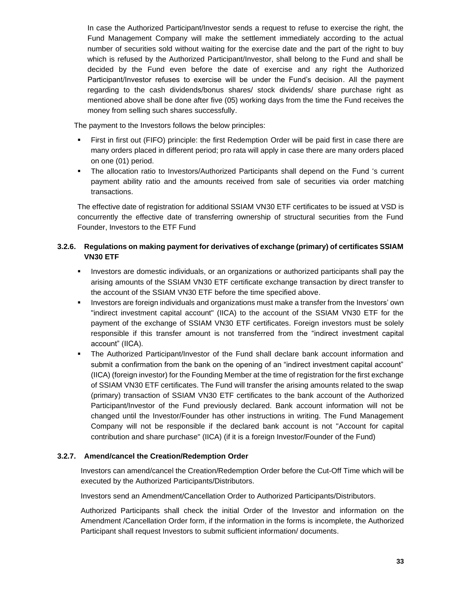In case the Authorized Participant/Investor sends a request to refuse to exercise the right, the Fund Management Company will make the settlement immediately according to the actual number of securities sold without waiting for the exercise date and the part of the right to buy which is refused by the Authorized Participant/Investor, shall belong to the Fund and shall be decided by the Fund even before the date of exercise and any right the Authorized Participant/Investor refuses to exercise will be under the Fund's decision. All the payment regarding to the cash dividends/bonus shares/ stock dividends/ share purchase right as mentioned above shall be done after five (05) working days from the time the Fund receives the money from selling such shares successfully.

The payment to the Investors follows the below principles:

- First in first out (FIFO) principle: the first Redemption Order will be paid first in case there are many orders placed in different period; pro rata will apply in case there are many orders placed on one (01) period.
- The allocation ratio to Investors/Authorized Participants shall depend on the Fund 's current payment ability ratio and the amounts received from sale of securities via order matching transactions.

The effective date of registration for additional SSIAM VN30 ETF certificates to be issued at VSD is concurrently the effective date of transferring ownership of structural securities from the Fund Founder, Investors to the ETF Fund

#### <span id="page-32-0"></span>**3.2.6. Regulations on making payment for derivatives of exchange (primary) of certificates SSIAM VN30 ETF**

- Investors are domestic individuals, or an organizations or authorized participants shall pay the arising amounts of the SSIAM VN30 ETF certificate exchange transaction by direct transfer to the account of the SSIAM VN30 ETF before the time specified above.
- **EXECT** Investors are foreign individuals and organizations must make a transfer from the Investors' own "indirect investment capital account" (IICA) to the account of the SSIAM VN30 ETF for the payment of the exchange of SSIAM VN30 ETF certificates. Foreign investors must be solely responsible if this transfer amount is not transferred from the "indirect investment capital account" (IICA).
- The Authorized Participant/Investor of the Fund shall declare bank account information and submit a confirmation from the bank on the opening of an "indirect investment capital account" (IICA) (foreign investor) for the Founding Member at the time of registration for the first exchange of SSIAM VN30 ETF certificates. The Fund will transfer the arising amounts related to the swap (primary) transaction of SSIAM VN30 ETF certificates to the bank account of the Authorized Participant/Investor of the Fund previously declared. Bank account information will not be changed until the Investor/Founder has other instructions in writing. The Fund Management Company will not be responsible if the declared bank account is not "Account for capital contribution and share purchase" (IICA) (if it is a foreign Investor/Founder of the Fund)

#### <span id="page-32-1"></span>**3.2.7. Amend/cancel the Creation/Redemption Order**

Investors can amend/cancel the Creation/Redemption Order before the Cut-Off Time which will be executed by the Authorized Participants/Distributors.

Investors send an Amendment/Cancellation Order to Authorized Participants/Distributors.

Authorized Participants shall check the initial Order of the Investor and information on the Amendment /Cancellation Order form, if the information in the forms is incomplete, the Authorized Participant shall request Investors to submit sufficient information/ documents.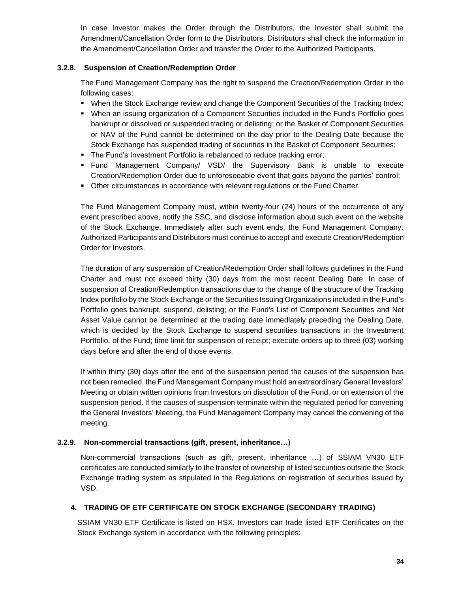In case Investor makes the Order through the Distributors, the Investor shall submit the Amendment/Cancellation Order form to the Distributors. Distributors shall check the information in the Amendment/Cancellation Order and transfer the Order to the Authorized Participants.

#### <span id="page-33-0"></span>**3.2.8. Suspension of Creation/Redemption Order**

The Fund Management Company has the right to suspend the Creation/Redemption Order in the following cases:

- When the Stock Exchange review and change the Component Securities of the Tracking Index;
- When an issuing organization of a Component Securities included in the Fund's Portfolio goes bankrupt or dissolved or suspended trading or delisting; or the Basket of Component Securities or NAV of the Fund cannot be determined on the day prior to the Dealing Date because the Stock Exchange has suspended trading of securities in the Basket of Component Securities;
- **The Fund's Investment Portfolio is rebalanced to reduce tracking error;**
- Fund Management Company/ VSD/ the Supervisory Bank is unable to execute Creation/Redemption Order due to unforeseeable event that goes beyond the parties' control;
- Other circumstances in accordance with relevant regulations or the Fund Charter.

The Fund Management Company must, within twenty-four (24) hours of the occurrence of any event prescribed above, notify the SSC, and disclose information about such event on the website of the Stock Exchange. Immediately after such event ends, the Fund Management Company, Authorized Participants and Distributors must continue to accept and execute Creation/Redemption Order for Investors.

The duration of any suspension of Creation/Redemption Order shall follows guidelines in the Fund Charter and must not exceed thirty (30) days from the most recent Dealing Date. In case of suspension of Creation/Redemption transactions due to the change of the structure of the Tracking Index portfolio by the Stock Exchange or the Securities Issuing Organizations included in the Fund's Portfolio goes bankrupt, suspend, delisting; or the Fund's List of Component Securities and Net Asset Value cannot be determined at the trading date immediately preceding the Dealing Date, which is decided by the Stock Exchange to suspend securities transactions in the Investment Portfolio. of the Fund; time limit for suspension of receipt; execute orders up to three (03) working days before and after the end of those events.

If within thirty (30) days after the end of the suspension period the causes of the suspension has not been remedied, the Fund Management Company must hold an extraordinary General Investors' Meeting or obtain written opinions from Investors on dissolution of the Fund, or on extension of the suspension period. If the causes of suspension terminate within the regulated period for convening the General Investors' Meeting, the Fund Management Company may cancel the convening of the meeting.

#### <span id="page-33-1"></span>**3.2.9. Non-commercial transactions (gift, present, inheritance…)**

Non-commercial transactions (such as gift, present, inheritance …) of SSIAM VN30 ETF certificates are conducted similarly to the transfer of ownership of listed securities outside the Stock Exchange trading system as stipulated in the Regulations on registration of securities issued by VSD.

#### <span id="page-33-2"></span>**4. TRADING OF ETF CERTIFICATE ON STOCK EXCHANGE (SECONDARY TRADING)**

SSIAM VN30 ETF Certificate is listed on HSX. Investors can trade listed ETF Certificates on the Stock Exchange system in accordance with the following principles: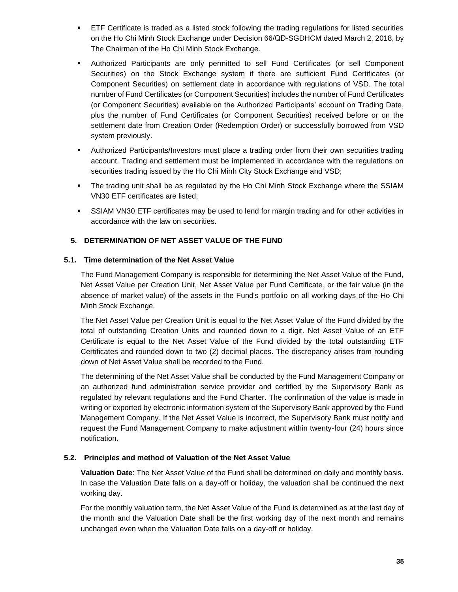- ETF Certificate is traded as a listed stock following the trading regulations for listed securities on the Ho Chi Minh Stock Exchange under Decision 66/QĐ-SGDHCM dated March 2, 2018, by The Chairman of the Ho Chi Minh Stock Exchange.
- Authorized Participants are only permitted to sell Fund Certificates (or sell Component Securities) on the Stock Exchange system if there are sufficient Fund Certificates (or Component Securities) on settlement date in accordance with regulations of VSD. The total number of Fund Certificates (or Component Securities) includes the number of Fund Certificates (or Component Securities) available on the Authorized Participants' account on Trading Date, plus the number of Fund Certificates (or Component Securities) received before or on the settlement date from Creation Order (Redemption Order) or successfully borrowed from VSD system previously.
- Authorized Participants/Investors must place a trading order from their own securities trading account. Trading and settlement must be implemented in accordance with the regulations on securities trading issued by the Ho Chi Minh City Stock Exchange and VSD;
- The trading unit shall be as regulated by the Ho Chi Minh Stock Exchange where the SSIAM VN30 ETF certificates are listed;
- **SSIAM VN30 ETF certificates may be used to lend for margin trading and for other activities in** accordance with the law on securities.

#### <span id="page-34-0"></span>**5. DETERMINATION OF NET ASSET VALUE OF THE FUND**

#### <span id="page-34-1"></span>**5.1. Time determination of the Net Asset Value**

The Fund Management Company is responsible for determining the Net Asset Value of the Fund, Net Asset Value per Creation Unit, Net Asset Value per Fund Certificate, or the fair value (in the absence of market value) of the assets in the Fund's portfolio on all working days of the Ho Chi Minh Stock Exchange.

The Net Asset Value per Creation Unit is equal to the Net Asset Value of the Fund divided by the total of outstanding Creation Units and rounded down to a digit. Net Asset Value of an ETF Certificate is equal to the Net Asset Value of the Fund divided by the total outstanding ETF Certificates and rounded down to two (2) decimal places. The discrepancy arises from rounding down of Net Asset Value shall be recorded to the Fund.

The determining of the Net Asset Value shall be conducted by the Fund Management Company or an authorized fund administration service provider and certified by the Supervisory Bank as regulated by relevant regulations and the Fund Charter. The confirmation of the value is made in writing or exported by electronic information system of the Supervisory Bank approved by the Fund Management Company. If the Net Asset Value is incorrect, the Supervisory Bank must notify and request the Fund Management Company to make adjustment within twenty-four (24) hours since notification.

#### <span id="page-34-2"></span>**5.2. Principles and method of Valuation of the Net Asset Value**

**Valuation Date**: The Net Asset Value of the Fund shall be determined on daily and monthly basis. In case the Valuation Date falls on a day-off or holiday, the valuation shall be continued the next working day.

For the monthly valuation term, the Net Asset Value of the Fund is determined as at the last day of the month and the Valuation Date shall be the first working day of the next month and remains unchanged even when the Valuation Date falls on a day-off or holiday.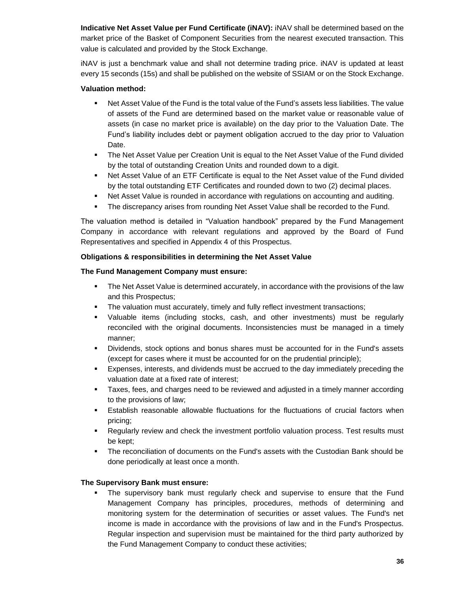**Indicative Net Asset Value per Fund Certificate (iNAV):** iNAV shall be determined based on the market price of the Basket of Component Securities from the nearest executed transaction. This value is calculated and provided by the Stock Exchange.

iNAV is just a benchmark value and shall not determine trading price. iNAV is updated at least every 15 seconds (15s) and shall be published on the website of SSIAM or on the Stock Exchange.

#### **Valuation method:**

- Net Asset Value of the Fund is the total value of the Fund's assets less liabilities. The value of assets of the Fund are determined based on the market value or reasonable value of assets (in case no market price is available) on the day prior to the Valuation Date. The Fund's liability includes debt or payment obligation accrued to the day prior to Valuation Date.
- The Net Asset Value per Creation Unit is equal to the Net Asset Value of the Fund divided by the total of outstanding Creation Units and rounded down to a digit.
- Net Asset Value of an ETF Certificate is equal to the Net Asset value of the Fund divided by the total outstanding ETF Certificates and rounded down to two (2) decimal places.
- **Net Asset Value is rounded in accordance with regulations on accounting and auditing.**
- **The discrepancy arises from rounding Net Asset Value shall be recorded to the Fund.**

The valuation method is detailed in "Valuation handbook" prepared by the Fund Management Company in accordance with relevant regulations and approved by the Board of Fund Representatives and specified in Appendix 4 of this Prospectus.

#### **Obligations & responsibilities in determining the Net Asset Value**

#### **The Fund Management Company must ensure:**

- **•** The Net Asset Value is determined accurately, in accordance with the provisions of the law and this Prospectus;
- The valuation must accurately, timely and fully reflect investment transactions;
- Valuable items (including stocks, cash, and other investments) must be regularly reconciled with the original documents. Inconsistencies must be managed in a timely manner;
- Dividends, stock options and bonus shares must be accounted for in the Fund's assets (except for cases where it must be accounted for on the prudential principle);
- Expenses, interests, and dividends must be accrued to the day immediately preceding the valuation date at a fixed rate of interest;
- **EXEL** Taxes, fees, and charges need to be reviewed and adjusted in a timely manner according to the provisions of law;
- **E** Establish reasonable allowable fluctuations for the fluctuations of crucial factors when pricing;
- **•** Regularly review and check the investment portfolio valuation process. Test results must be kept;
- **•** The reconciliation of documents on the Fund's assets with the Custodian Bank should be done periodically at least once a month.

#### **The Supervisory Bank must ensure:**

The supervisory bank must regularly check and supervise to ensure that the Fund Management Company has principles, procedures, methods of determining and monitoring system for the determination of securities or asset values. The Fund's net income is made in accordance with the provisions of law and in the Fund's Prospectus. Regular inspection and supervision must be maintained for the third party authorized by the Fund Management Company to conduct these activities;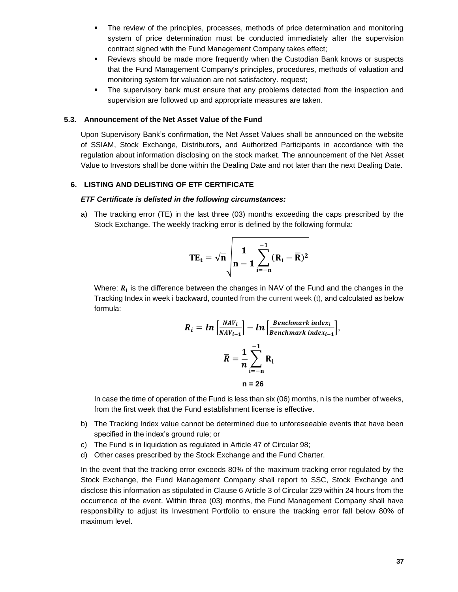- **•** The review of the principles, processes, methods of price determination and monitoring system of price determination must be conducted immediately after the supervision contract signed with the Fund Management Company takes effect;
- **•** Reviews should be made more frequently when the Custodian Bank knows or suspects that the Fund Management Company's principles, procedures, methods of valuation and monitoring system for valuation are not satisfactory. request;
- **•** The supervisory bank must ensure that any problems detected from the inspection and supervision are followed up and appropriate measures are taken.

#### <span id="page-36-0"></span>**5.3. Announcement of the Net Asset Value of the Fund**

Upon Supervisory Bank's confirmation, the Net Asset Values shall be announced on the website of SSIAM, Stock Exchange, Distributors, and Authorized Participants in accordance with the regulation about information disclosing on the stock market. The announcement of the Net Asset Value to Investors shall be done within the Dealing Date and not later than the next Dealing Date.

#### <span id="page-36-1"></span>**6. LISTING AND DELISTING OF ETF CERTIFICATE**

#### *ETF Certificate is delisted in the following circumstances:*

a) The tracking error (TE) in the last three (03) months exceeding the caps prescribed by the Stock Exchange. The weekly tracking error is defined by the following formula:

$$
TE_t = \sqrt{n} \sqrt{\frac{1}{n-1} \sum_{i=-n}^{-1} (R_i - \overline{R})^2}
$$

Where:  $R_i$  is the difference between the changes in NAV of the Fund and the changes in the Tracking Index in week i backward, counted from the current week (t), and calculated as below formula:

$$
R_{i} = ln \left[ \frac{NAV_{i}}{NAV_{i-1}} \right] - ln \left[ \frac{Benchmark index_{i}}{Benchmark index_{i-1}} \right],
$$

$$
\overline{R} = \frac{1}{n} \sum_{i=-n}^{-1} R_{i}
$$

$$
n = 26
$$

In case the time of operation of the Fund is less than six (06) months, n is the number of weeks, from the first week that the Fund establishment license is effective.

- b) The Tracking Index value cannot be determined due to unforeseeable events that have been specified in the index's ground rule; or
- c) The Fund is in liquidation as regulated in Article 47 of Circular 98;
- d) Other cases prescribed by the Stock Exchange and the Fund Charter.

In the event that the tracking error exceeds 80% of the maximum tracking error regulated by the Stock Exchange, the Fund Management Company shall report to SSC, Stock Exchange and disclose this information as stipulated in Clause 6 Article 3 of Circular 229 within 24 hours from the occurrence of the event. Within three (03) months, the Fund Management Company shall have responsibility to adjust its Investment Portfolio to ensure the tracking error fall below 80% of maximum level.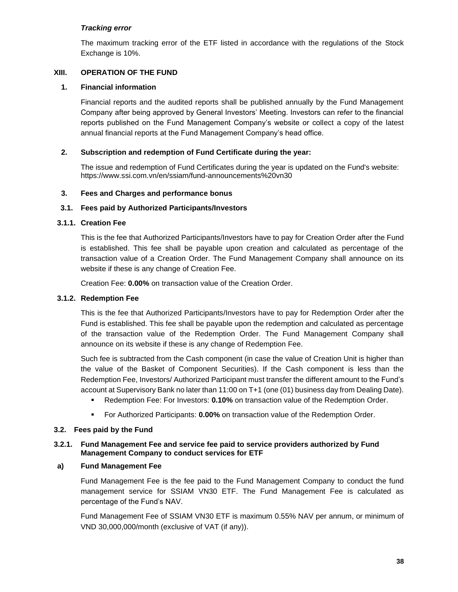#### *Tracking error*

The maximum tracking error of the ETF listed in accordance with the regulations of the Stock Exchange is 10%.

#### <span id="page-37-0"></span>**XIII. OPERATION OF THE FUND**

#### <span id="page-37-1"></span>**1. Financial information**

Financial reports and the audited reports shall be published annually by the Fund Management Company after being approved by General Investors' Meeting. Investors can refer to the financial reports published on the Fund Management Company's website or collect a copy of the latest annual financial reports at the Fund Management Company's head office.

#### <span id="page-37-2"></span>**2. Subscription and redemption of Fund Certificate during the year:**

The issue and redemption of Fund Certificates during the year is updated on the Fund's website: https://www.ssi.com.vn/en/ssiam/fund-announcements%20vn30

#### <span id="page-37-3"></span>**3. Fees and Charges and performance bonus**

#### <span id="page-37-4"></span>**3.1. Fees paid by Authorized Participants/Investors**

#### **3.1.1. Creation Fee**

This is the fee that Authorized Participants/Investors have to pay for Creation Order after the Fund is established. This fee shall be payable upon creation and calculated as percentage of the transaction value of a Creation Order. The Fund Management Company shall announce on its website if these is any change of Creation Fee.

Creation Fee: **0.00%** on transaction value of the Creation Order.

#### **3.1.2. Redemption Fee**

This is the fee that Authorized Participants/Investors have to pay for Redemption Order after the Fund is established. This fee shall be payable upon the redemption and calculated as percentage of the transaction value of the Redemption Order. The Fund Management Company shall announce on its website if these is any change of Redemption Fee.

Such fee is subtracted from the Cash component (in case the value of Creation Unit is higher than the value of the Basket of Component Securities). If the Cash component is less than the Redemption Fee, Investors/ Authorized Participant must transfer the different amount to the Fund's account at Supervisory Bank no later than 11:00 on T+1 (one (01) business day from Dealing Date).

- Redemption Fee: For Investors: **0.10%** on transaction value of the Redemption Order.
- For Authorized Participants: **0.00%** on transaction value of the Redemption Order.

#### <span id="page-37-5"></span>**3.2. Fees paid by the Fund**

#### **3.2.1. Fund Management Fee and service fee paid to service providers authorized by Fund Management Company to conduct services for ETF**

#### **a) Fund Management Fee**

Fund Management Fee is the fee paid to the Fund Management Company to conduct the fund management service for SSIAM VN30 ETF. The Fund Management Fee is calculated as percentage of the Fund's NAV.

Fund Management Fee of SSIAM VN30 ETF is maximum 0.55% NAV per annum, or minimum of VND 30,000,000/month (exclusive of VAT (if any)).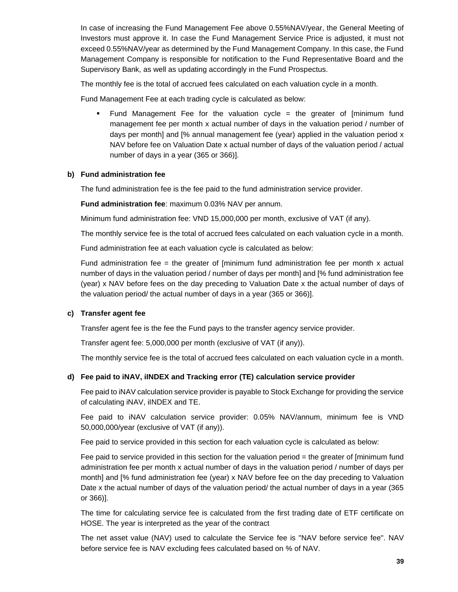In case of increasing the Fund Management Fee above 0.55%NAV/year, the General Meeting of Investors must approve it. In case the Fund Management Service Price is adjusted, it must not exceed 0.55%NAV/year as determined by the Fund Management Company. In this case, the Fund Management Company is responsible for notification to the Fund Representative Board and the Supervisory Bank, as well as updating accordingly in the Fund Prospectus.

The monthly fee is the total of accrued fees calculated on each valuation cycle in a month.

Fund Management Fee at each trading cycle is calculated as below:

Fund Management Fee for the valuation cycle  $=$  the greater of [minimum fund management fee per month x actual number of days in the valuation period / number of days per month] and [% annual management fee (year) applied in the valuation period x NAV before fee on Valuation Date x actual number of days of the valuation period / actual number of days in a year (365 or 366)].

#### **b) Fund administration fee**

The fund administration fee is the fee paid to the fund administration service provider.

**Fund administration fee**: maximum 0.03% NAV per annum.

Minimum fund administration fee: VND 15,000,000 per month, exclusive of VAT (if any).

The monthly service fee is the total of accrued fees calculated on each valuation cycle in a month.

Fund administration fee at each valuation cycle is calculated as below:

Fund administration fee = the greater of [minimum fund administration fee per month  $x$  actual number of days in the valuation period / number of days per month] and [% fund administration fee (year) x NAV before fees on the day preceding to Valuation Date x the actual number of days of the valuation period/ the actual number of days in a year (365 or 366)].

#### **c) Transfer agent fee**

Transfer agent fee is the fee the Fund pays to the transfer agency service provider.

Transfer agent fee: 5,000,000 per month (exclusive of VAT (if any)).

The monthly service fee is the total of accrued fees calculated on each valuation cycle in a month.

#### **d) Fee paid to iNAV, iINDEX and Tracking error (TE) calculation service provider**

Fee paid to iNAV calculation service provider is payable to Stock Exchange for providing the service of calculating iNAV, iINDEX and TE.

Fee paid to iNAV calculation service provider: 0.05% NAV/annum, minimum fee is VND 50,000,000/year (exclusive of VAT (if any)).

Fee paid to service provided in this section for each valuation cycle is calculated as below:

Fee paid to service provided in this section for the valuation period = the greater of [minimum fund administration fee per month x actual number of days in the valuation period / number of days per month] and [% fund administration fee (year) x NAV before fee on the day preceding to Valuation Date x the actual number of days of the valuation period/ the actual number of days in a year (365 or 366)].

The time for calculating service fee is calculated from the first trading date of ETF certificate on HOSE. The year is interpreted as the year of the contract

The net asset value (NAV) used to calculate the Service fee is "NAV before service fee". NAV before service fee is NAV excluding fees calculated based on % of NAV.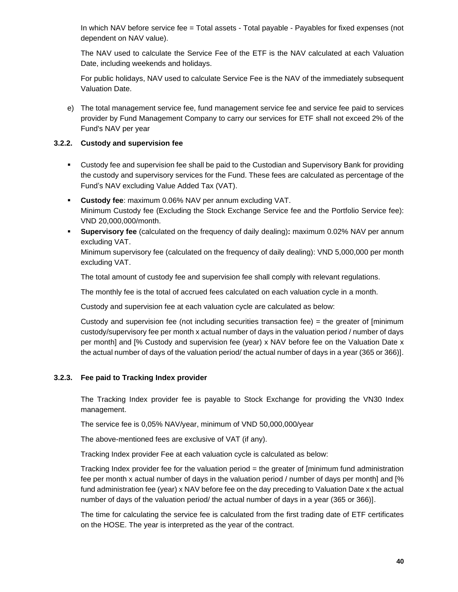In which NAV before service fee = Total assets - Total payable - Payables for fixed expenses (not dependent on NAV value).

The NAV used to calculate the Service Fee of the ETF is the NAV calculated at each Valuation Date, including weekends and holidays.

For public holidays, NAV used to calculate Service Fee is the NAV of the immediately subsequent Valuation Date.

e) The total management service fee, fund management service fee and service fee paid to services provider by Fund Management Company to carry our services for ETF shall not exceed 2% of the Fund's NAV per year

#### **3.2.2. Custody and supervision fee**

- Custody fee and supervision fee shall be paid to the Custodian and Supervisory Bank for providing the custody and supervisory services for the Fund. These fees are calculated as percentage of the Fund's NAV excluding Value Added Tax (VAT).
- **Custody fee**: maximum 0.06% NAV per annum excluding VAT. Minimum Custody fee (Excluding the Stock Exchange Service fee and the Portfolio Service fee): VND 20,000,000/month.
- **Supervisory fee** (calculated on the frequency of daily dealing)**:** maximum 0.02% NAV per annum excluding VAT.

Minimum supervisory fee (calculated on the frequency of daily dealing): VND 5,000,000 per month excluding VAT.

The total amount of custody fee and supervision fee shall comply with relevant regulations.

The monthly fee is the total of accrued fees calculated on each valuation cycle in a month.

Custody and supervision fee at each valuation cycle are calculated as below:

Custody and supervision fee (not including securities transaction fee) = the greater of [minimum custody/supervisory fee per month x actual number of days in the valuation period / number of days per month] and [% Custody and supervision fee (year) x NAV before fee on the Valuation Date x the actual number of days of the valuation period/ the actual number of days in a year (365 or 366)].

#### **3.2.3. Fee paid to Tracking Index provider**

The Tracking Index provider fee is payable to Stock Exchange for providing the VN30 Index management.

The service fee is 0,05% NAV/year, minimum of VND 50,000,000/year

The above-mentioned fees are exclusive of VAT (if any).

Tracking Index provider Fee at each valuation cycle is calculated as below:

Tracking Index provider fee for the valuation period = the greater of [minimum fund administration fee per month x actual number of days in the valuation period / number of days per month] and [% fund administration fee (year) x NAV before fee on the day preceding to Valuation Date x the actual number of days of the valuation period/ the actual number of days in a year (365 or 366)].

The time for calculating the service fee is calculated from the first trading date of ETF certificates on the HOSE. The year is interpreted as the year of the contract.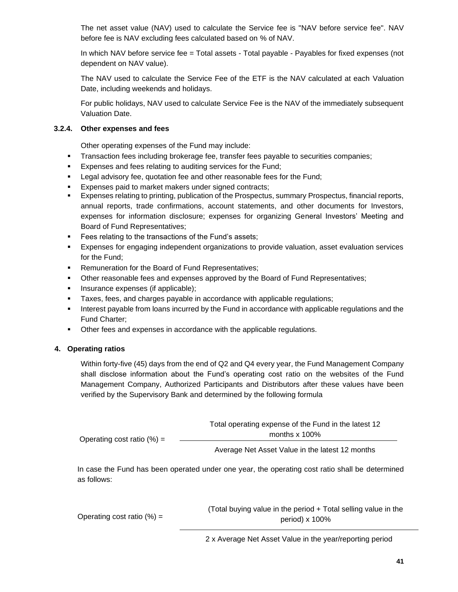The net asset value (NAV) used to calculate the Service fee is "NAV before service fee". NAV before fee is NAV excluding fees calculated based on % of NAV.

In which NAV before service fee = Total assets - Total payable - Payables for fixed expenses (not dependent on NAV value).

The NAV used to calculate the Service Fee of the ETF is the NAV calculated at each Valuation Date, including weekends and holidays.

For public holidays, NAV used to calculate Service Fee is the NAV of the immediately subsequent Valuation Date.

#### **3.2.4. Other expenses and fees**

Other operating expenses of the Fund may include:

- **•** Transaction fees including brokerage fee, transfer fees payable to securities companies;
- Expenses and fees relating to auditing services for the Fund;
- **EXECT** Legal advisory fee, quotation fee and other reasonable fees for the Fund;
- Expenses paid to market makers under signed contracts:
- Expenses relating to printing, publication of the Prospectus, summary Prospectus, financial reports, annual reports, trade confirmations, account statements, and other documents for Investors, expenses for information disclosure; expenses for organizing General Investors' Meeting and Board of Fund Representatives;
- Fees relating to the transactions of the Fund's assets;
- Expenses for engaging independent organizations to provide valuation, asset evaluation services for the Fund;
- Remuneration for the Board of Fund Representatives;
- **•** Other reasonable fees and expenses approved by the Board of Fund Representatives;
- Insurance expenses (if applicable);
- Taxes, fees, and charges payable in accordance with applicable regulations;
- **•** Interest payable from loans incurred by the Fund in accordance with applicable regulations and the Fund Charter;
- **•** Other fees and expenses in accordance with the applicable regulations.

#### <span id="page-40-0"></span>**4. Operating ratios**

Within forty-five (45) days from the end of Q2 and Q4 every year, the Fund Management Company shall disclose information about the Fund's operating cost ratio on the websites of the Fund Management Company, Authorized Participants and Distributors after these values have been verified by the Supervisory Bank and determined by the following formula

|                               | Total operating expense of the Fund in the latest 12 |
|-------------------------------|------------------------------------------------------|
| Operating cost ratio $(\%) =$ | months $\times$ 100%                                 |
|                               | Average Net Asset Value in the latest 12 months      |

In case the Fund has been operated under one year, the operating cost ratio shall be determined as follows:

Operating cost ratio  $(\%) =$ 

(Total buying value in the period + Total selling value in the period) x 100%

2 x Average Net Asset Value in the year/reporting period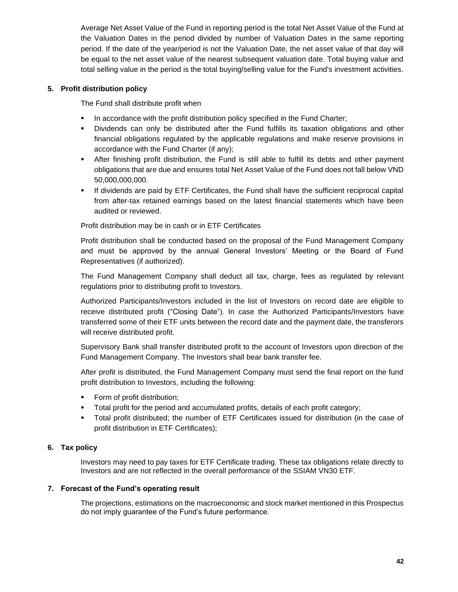Average Net Asset Value of the Fund in reporting period is the total Net Asset Value of the Fund at the Valuation Dates in the period divided by number of Valuation Dates in the same reporting period. If the date of the year/period is not the Valuation Date, the net asset value of that day will be equal to the net asset value of the nearest subsequent valuation date. Total buying value and total selling value in the period is the total buying/selling value for the Fund's investment activities.

#### <span id="page-41-0"></span>**5. Profit distribution policy**

The Fund shall distribute profit when

- **•** In accordance with the profit distribution policy specified in the Fund Charter;
- Dividends can only be distributed after the Fund fulfills its taxation obligations and other financial obligations regulated by the applicable regulations and make reserve provisions in accordance with the Fund Charter (if any);
- **EXECT After finishing profit distribution, the Fund is still able to fulfill its debts and other payment** obligations that are due and ensures total Net Asset Value of the Fund does not fall below VND 50,000,000,000.
- If dividends are paid by ETF Certificates, the Fund shall have the sufficient reciprocal capital from after-tax retained earnings based on the latest financial statements which have been audited or reviewed.

Profit distribution may be in cash or in ETF Certificates

Profit distribution shall be conducted based on the proposal of the Fund Management Company and must be approved by the annual General Investors' Meeting or the Board of Fund Representatives (if authorized).

The Fund Management Company shall deduct all tax, charge, fees as regulated by relevant regulations prior to distributing profit to Investors.

Authorized Participants/Investors included in the list of Investors on record date are eligible to receive distributed profit ("Closing Date"). In case the Authorized Participants/Investors have transferred some of their ETF units between the record date and the payment date, the transferors will receive distributed profit.

Supervisory Bank shall transfer distributed profit to the account of Investors upon direction of the Fund Management Company. The Investors shall bear bank transfer fee.

After profit is distributed, the Fund Management Company must send the final report on the fund profit distribution to Investors, including the following:

- Form of profit distribution;
- **•** Total profit for the period and accumulated profits, details of each profit category;
- Total profit distributed; the number of ETF Certificates issued for distribution (in the case of profit distribution in ETF Certificates);

#### <span id="page-41-1"></span>**6. Tax policy**

Investors may need to pay taxes for ETF Certificate trading. These tax obligations relate directly to Investors and are not reflected in the overall performance of the SSIAM VN30 ETF.

#### <span id="page-41-2"></span>**7. Forecast of the Fund's operating result**

The projections, estimations on the macroeconomic and stock market mentioned in this Prospectus do not imply guarantee of the Fund's future performance.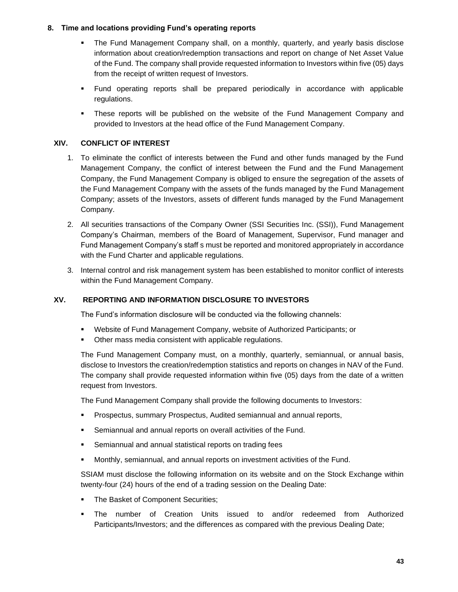#### <span id="page-42-0"></span>**8. Time and locations providing Fund's operating reports**

- The Fund Management Company shall, on a monthly, quarterly, and yearly basis disclose information about creation/redemption transactions and report on change of Net Asset Value of the Fund. The company shall provide requested information to Investors within five (05) days from the receipt of written request of Investors.
- Fund operating reports shall be prepared periodically in accordance with applicable regulations.
- **•** These reports will be published on the website of the Fund Management Company and provided to Investors at the head office of the Fund Management Company.

#### <span id="page-42-1"></span>**XIV. CONFLICT OF INTEREST**

- 1. To eliminate the conflict of interests between the Fund and other funds managed by the Fund Management Company, the conflict of interest between the Fund and the Fund Management Company, the Fund Management Company is obliged to ensure the segregation of the assets of the Fund Management Company with the assets of the funds managed by the Fund Management Company; assets of the Investors, assets of different funds managed by the Fund Management Company.
- 2. All securities transactions of the Company Owner (SSI Securities Inc. (SSI)), Fund Management Company's Chairman, members of the Board of Management, Supervisor, Fund manager and Fund Management Company's staff s must be reported and monitored appropriately in accordance with the Fund Charter and applicable regulations.
- 3. Internal control and risk management system has been established to monitor conflict of interests within the Fund Management Company.

#### **XV. REPORTING AND INFORMATION DISCLOSURE TO INVESTORS**

<span id="page-42-2"></span>The Fund's information disclosure will be conducted via the following channels:

- Website of Fund Management Company, website of Authorized Participants; or
- Other mass media consistent with applicable regulations.

The Fund Management Company must, on a monthly, quarterly, semiannual, or annual basis, disclose to Investors the creation/redemption statistics and reports on changes in NAV of the Fund. The company shall provide requested information within five (05) days from the date of a written request from Investors.

The Fund Management Company shall provide the following documents to Investors:

- Prospectus, summary Prospectus, Audited semiannual and annual reports,
- **EXECT** Semiannual and annual reports on overall activities of the Fund.
- Semiannual and annual statistical reports on trading fees
- Monthly, semiannual, and annual reports on investment activities of the Fund.

SSIAM must disclose the following information on its website and on the Stock Exchange within twenty-four (24) hours of the end of a trading session on the Dealing Date:

- **The Basket of Component Securities;**
- The number of Creation Units issued to and/or redeemed from Authorized Participants/Investors; and the differences as compared with the previous Dealing Date;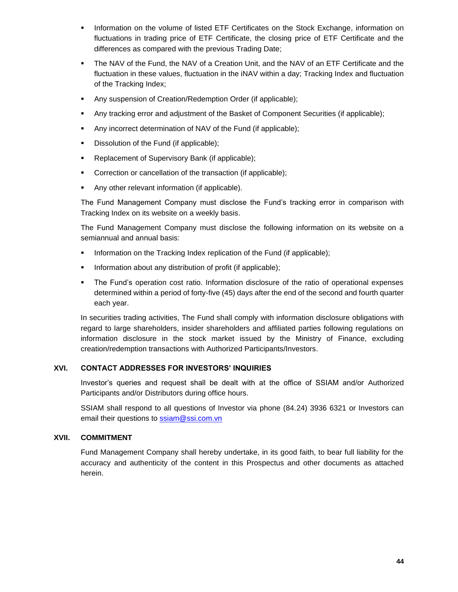- **•** Information on the volume of listed ETF Certificates on the Stock Exchange, information on fluctuations in trading price of ETF Certificate, the closing price of ETF Certificate and the differences as compared with the previous Trading Date;
- **•** The NAV of the Fund, the NAV of a Creation Unit, and the NAV of an ETF Certificate and the fluctuation in these values, fluctuation in the iNAV within a day; Tracking Index and fluctuation of the Tracking Index;
- Any suspension of Creation/Redemption Order (if applicable);
- Any tracking error and adjustment of the Basket of Component Securities (if applicable);
- Any incorrect determination of NAV of the Fund (if applicable);
- Dissolution of the Fund (if applicable);
- Replacement of Supervisory Bank (if applicable);
- **•** Correction or cancellation of the transaction (if applicable);
- Any other relevant information (if applicable).

The Fund Management Company must disclose the Fund's tracking error in comparison with Tracking Index on its website on a weekly basis.

The Fund Management Company must disclose the following information on its website on a semiannual and annual basis:

- **•** Information on the Tracking Index replication of the Fund (if applicable);
- **•** Information about any distribution of profit (if applicable);
- **•** The Fund's operation cost ratio. Information disclosure of the ratio of operational expenses determined within a period of forty-five (45) days after the end of the second and fourth quarter each year.

In securities trading activities, The Fund shall comply with information disclosure obligations with regard to large shareholders, insider shareholders and affiliated parties following regulations on information disclosure in the stock market issued by the Ministry of Finance, excluding creation/redemption transactions with Authorized Participants/Investors.

#### <span id="page-43-0"></span>**XVI. CONTACT ADDRESSES FOR INVESTORS' INQUIRIES**

Investor's queries and request shall be dealt with at the office of SSIAM and/or Authorized Participants and/or Distributors during office hours.

SSIAM shall respond to all questions of Investor via phone (84.24) 3936 6321 or Investors can email their questions to [ssiam@ssi.com.vn](mailto:ssiam@ssi.com.vn)

#### <span id="page-43-1"></span>**XVII. COMMITMENT**

Fund Management Company shall hereby undertake, in its good faith, to bear full liability for the accuracy and authenticity of the content in this Prospectus and other documents as attached herein.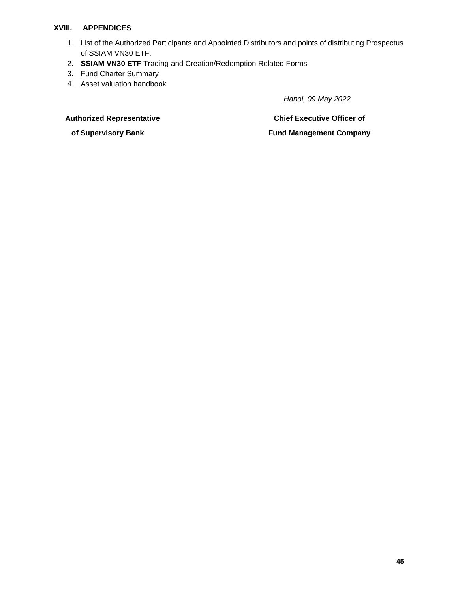#### **XVIII. APPENDICES**

- <span id="page-44-0"></span>1. List of the Authorized Participants and Appointed Distributors and points of distributing Prospectus of SSIAM VN30 ETF.
- 2. **SSIAM VN30 ETF** Trading and Creation/Redemption Related Forms
- 3. Fund Charter Summary
- 4. Asset valuation handbook

 *Hanoi, 09 May 2022*

#### **Authorized Representative**

 **of Supervisory Bank**

**Chief Executive Officer of**

#### **Fund Management Company**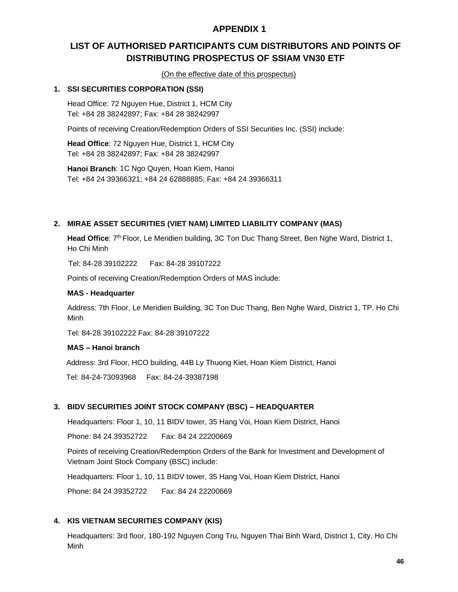#### **APPENDIX 1**

#### <span id="page-45-1"></span><span id="page-45-0"></span>**LIST OF AUTHORISED PARTICIPANTS CUM DISTRIBUTORS AND POINTS OF DISTRIBUTING PROSPECTUS OF SSIAM VN30 ETF**

(On the effective date of this prospectus)

#### **1. SSI SECURITIES CORPORATION (SSI)**

Head Office: 72 Nguyen Hue, District 1, HCM City Tel: +84 28 38242897; Fax: +84 28 38242997

Points of receiving Creation/Redemption Orders of SSI Securities Inc. (SSI) include:

**Head Office**: 72 Nguyen Hue, District 1, HCM City Tel: +84 28 38242897; Fax: +84 28 38242997

**Hanoi Branch**: 1C Ngo Quyen, Hoan Kiem, Hanoi Tel: +84 24 39366321; +84 24 62888885; Fax: +84 24 39366311

#### **2. MIRAE ASSET SECURITIES (VIET NAM) LIMITED LIABILITY COMPANY (MAS)**

Head Office: 7<sup>th</sup> Floor, Le Meridien building, 3C Ton Duc Thang Street, Ben Nghe Ward, District 1, Ho Chi Minh

Tel: 84-28 39102222 Fax: 84-28 39107222

Points of receiving Creation/Redemption Orders of MAS include:

#### **MAS - Headquarter**

Address: 7th Floor, Le Meridien Building, 3C Ton Duc Thang, Ben Nghe Ward, District 1, TP. Ho Chi Minh

Tel: 84-28 39102222 Fax: 84-28 39107222

#### **MAS – Hanoi branch**

Address: 3rd Floor, HCO building, 44B Ly Thuong Kiet, Hoan Kiem District, Hanoi

Tel: 84-24-73093968 Fax: 84-24-39387198

#### **3. BIDV SECURITIES JOINT STOCK COMPANY (BSC) – HEADQUARTER**

Headquarters: Floor 1, 10, 11 BIDV tower, 35 Hang Voi, Hoan Kiem District, Hanoi

Phone: 84 24 39352722 Fax: 84 24 22200669

Points of receiving Creation/Redemption Orders of the Bank for Investment and Development of Vietnam Joint Stock Company (BSC) include:

Headquarters: Floor 1, 10, 11 BIDV tower, 35 Hang Voi, Hoan Kiem District, Hanoi

Phone: 84 24 39352722 Fax: 84 24 22200669

#### **4. KIS VIETNAM SECURITIES COMPANY (KIS)**

Headquarters: 3rd floor, 180-192 Nguyen Cong Tru, Nguyen Thai Binh Ward, District 1, City. Ho Chi Minh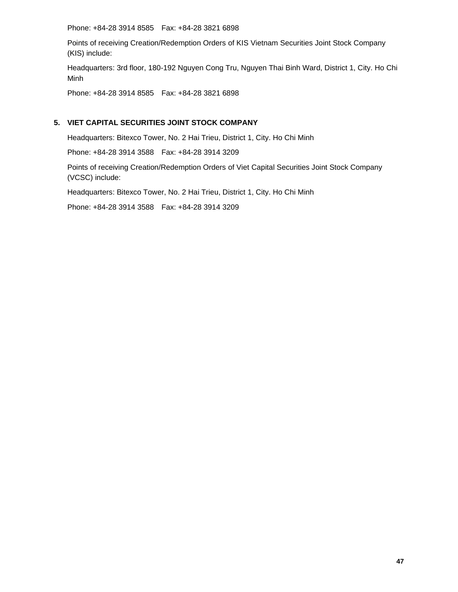Phone: +84-28 3914 8585 Fax: +84-28 3821 6898

Points of receiving Creation/Redemption Orders of KIS Vietnam Securities Joint Stock Company (KIS) include:

Headquarters: 3rd floor, 180-192 Nguyen Cong Tru, Nguyen Thai Binh Ward, District 1, City. Ho Chi Minh

Phone: +84-28 3914 8585 Fax: +84-28 3821 6898

#### **5. VIET CAPITAL SECURITIES JOINT STOCK COMPANY**

Headquarters: Bitexco Tower, No. 2 Hai Trieu, District 1, City. Ho Chi Minh

Phone: +84-28 3914 3588 Fax: +84-28 3914 3209

Points of receiving Creation/Redemption Orders of Viet Capital Securities Joint Stock Company (VCSC) include:

Headquarters: Bitexco Tower, No. 2 Hai Trieu, District 1, City. Ho Chi Minh

Phone: +84-28 3914 3588 Fax: +84-28 3914 3209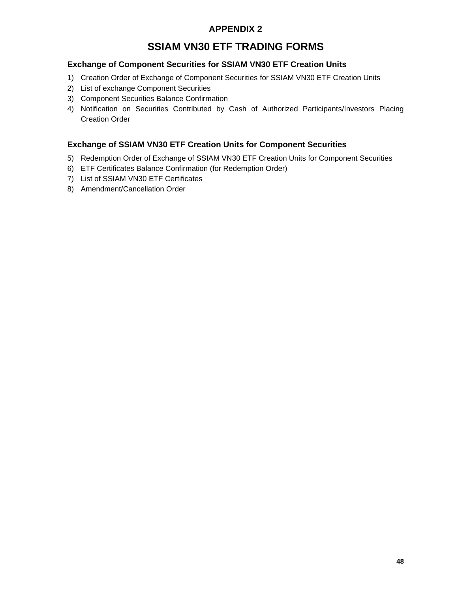#### **APPENDIX 2**

#### **SSIAM VN30 ETF TRADING FORMS**

#### <span id="page-47-1"></span><span id="page-47-0"></span>**Exchange of Component Securities for SSIAM VN30 ETF Creation Units**

- 1) Creation Order of Exchange of Component Securities for SSIAM VN30 ETF Creation Units
- 2) List of exchange Component Securities
- 3) Component Securities Balance Confirmation
- 4) Notification on Securities Contributed by Cash of Authorized Participants/Investors Placing Creation Order

#### **Exchange of SSIAM VN30 ETF Creation Units for Component Securities**

- 5) Redemption Order of Exchange of SSIAM VN30 ETF Creation Units for Component Securities
- 6) ETF Certificates Balance Confirmation (for Redemption Order)
- 7) List of SSIAM VN30 ETF Certificates
- 8) Amendment/Cancellation Order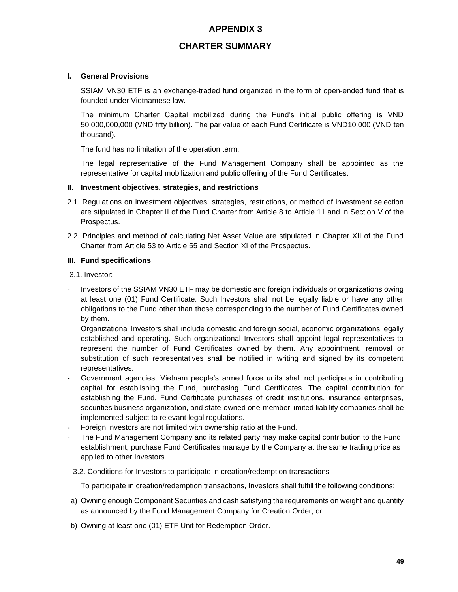#### **APPENDIX 3**

#### **CHARTER SUMMARY**

#### <span id="page-48-1"></span><span id="page-48-0"></span>**I. General Provisions**

SSIAM VN30 ETF is an exchange-traded fund organized in the form of open-ended fund that is founded under Vietnamese law.

The minimum Charter Capital mobilized during the Fund's initial public offering is VND 50,000,000,000 (VND fifty billion). The par value of each Fund Certificate is VND10,000 (VND ten thousand).

The fund has no limitation of the operation term.

The legal representative of the Fund Management Company shall be appointed as the representative for capital mobilization and public offering of the Fund Certificates.

#### **II. Investment objectives, strategies, and restrictions**

- 2.1. Regulations on investment objectives, strategies, restrictions, or method of investment selection are stipulated in Chapter II of the Fund Charter from Article 8 to Article 11 and in Section V of the Prospectus.
- 2.2. Principles and method of calculating Net Asset Value are stipulated in Chapter XII of the Fund Charter from Article 53 to Article 55 and Section XI of the Prospectus.

#### **III. Fund specifications**

3.1. Investor:

- Investors of the SSIAM VN30 ETF may be domestic and foreign individuals or organizations owing at least one (01) Fund Certificate. Such Investors shall not be legally liable or have any other obligations to the Fund other than those corresponding to the number of Fund Certificates owned by them.

Organizational Investors shall include domestic and foreign social, economic organizations legally established and operating. Such organizational Investors shall appoint legal representatives to represent the number of Fund Certificates owned by them. Any appointment, removal or substitution of such representatives shall be notified in writing and signed by its competent representatives.

- Government agencies, Vietnam people's armed force units shall not participate in contributing capital for establishing the Fund, purchasing Fund Certificates. The capital contribution for establishing the Fund, Fund Certificate purchases of credit institutions, insurance enterprises, securities business organization, and state-owned one-member limited liability companies shall be implemented subject to relevant legal regulations.
- Foreign investors are not limited with ownership ratio at the Fund.
- The Fund Management Company and its related party may make capital contribution to the Fund establishment, purchase Fund Certificates manage by the Company at the same trading price as applied to other Investors.
- 3.2. Conditions for Investors to participate in creation/redemption transactions

To participate in creation/redemption transactions, Investors shall fulfill the following conditions:

- a) Owning enough Component Securities and cash satisfying the requirements on weight and quantity as announced by the Fund Management Company for Creation Order; or
- b) Owning at least one (01) ETF Unit for Redemption Order.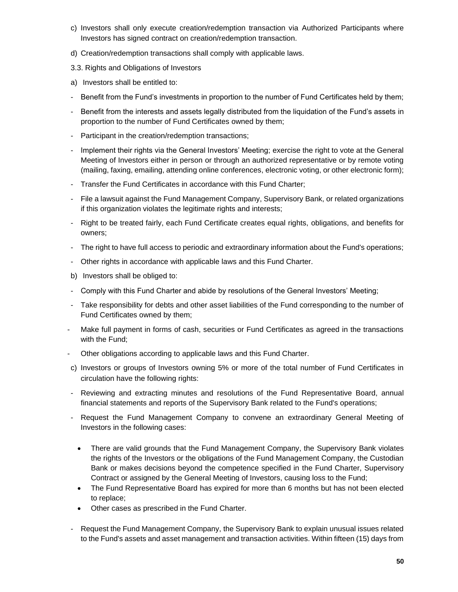- c) Investors shall only execute creation/redemption transaction via Authorized Participants where Investors has signed contract on creation/redemption transaction.
- d) Creation/redemption transactions shall comply with applicable laws.
- 3.3. Rights and Obligations of Investors
- a) Investors shall be entitled to:
- Benefit from the Fund's investments in proportion to the number of Fund Certificates held by them;
- Benefit from the interests and assets legally distributed from the liquidation of the Fund's assets in proportion to the number of Fund Certificates owned by them;
- Participant in the creation/redemption transactions;
- Implement their rights via the General Investors' Meeting; exercise the right to vote at the General Meeting of Investors either in person or through an authorized representative or by remote voting (mailing, faxing, emailing, attending online conferences, electronic voting, or other electronic form);
- Transfer the Fund Certificates in accordance with this Fund Charter;
- File a lawsuit against the Fund Management Company, Supervisory Bank, or related organizations if this organization violates the legitimate rights and interests;
- Right to be treated fairly, each Fund Certificate creates equal rights, obligations, and benefits for owners;
- The right to have full access to periodic and extraordinary information about the Fund's operations;
- Other rights in accordance with applicable laws and this Fund Charter.
- b) Investors shall be obliged to:
- Comply with this Fund Charter and abide by resolutions of the General Investors' Meeting;
- Take responsibility for debts and other asset liabilities of the Fund corresponding to the number of Fund Certificates owned by them;
- Make full payment in forms of cash, securities or Fund Certificates as agreed in the transactions with the Fund;
- Other obligations according to applicable laws and this Fund Charter.
- c) Investors or groups of Investors owning 5% or more of the total number of Fund Certificates in circulation have the following rights:
- Reviewing and extracting minutes and resolutions of the Fund Representative Board, annual financial statements and reports of the Supervisory Bank related to the Fund's operations;
- Request the Fund Management Company to convene an extraordinary General Meeting of Investors in the following cases:
	- There are valid grounds that the Fund Management Company, the Supervisory Bank violates the rights of the Investors or the obligations of the Fund Management Company, the Custodian Bank or makes decisions beyond the competence specified in the Fund Charter, Supervisory Contract or assigned by the General Meeting of Investors, causing loss to the Fund;
	- The Fund Representative Board has expired for more than 6 months but has not been elected to replace;
	- Other cases as prescribed in the Fund Charter.
- Request the Fund Management Company, the Supervisory Bank to explain unusual issues related to the Fund's assets and asset management and transaction activities. Within fifteen (15) days from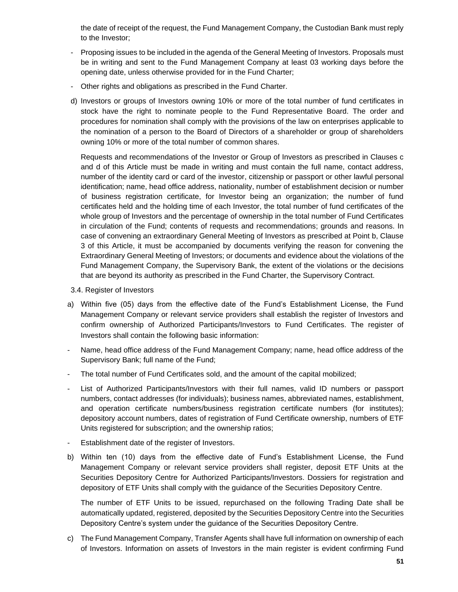the date of receipt of the request, the Fund Management Company, the Custodian Bank must reply to the Investor;

- Proposing issues to be included in the agenda of the General Meeting of Investors. Proposals must be in writing and sent to the Fund Management Company at least 03 working days before the opening date, unless otherwise provided for in the Fund Charter;
- Other rights and obligations as prescribed in the Fund Charter.
- d) Investors or groups of Investors owning 10% or more of the total number of fund certificates in stock have the right to nominate people to the Fund Representative Board. The order and procedures for nomination shall comply with the provisions of the law on enterprises applicable to the nomination of a person to the Board of Directors of a shareholder or group of shareholders owning 10% or more of the total number of common shares.

Requests and recommendations of the Investor or Group of Investors as prescribed in Clauses c and d of this Article must be made in writing and must contain the full name, contact address, number of the identity card or card of the investor, citizenship or passport or other lawful personal identification; name, head office address, nationality, number of establishment decision or number of business registration certificate, for Investor being an organization; the number of fund certificates held and the holding time of each Investor, the total number of fund certificates of the whole group of Investors and the percentage of ownership in the total number of Fund Certificates in circulation of the Fund; contents of requests and recommendations; grounds and reasons. In case of convening an extraordinary General Meeting of Investors as prescribed at Point b, Clause 3 of this Article, it must be accompanied by documents verifying the reason for convening the Extraordinary General Meeting of Investors; or documents and evidence about the violations of the Fund Management Company, the Supervisory Bank, the extent of the violations or the decisions that are beyond its authority as prescribed in the Fund Charter, the Supervisory Contract.

- 3.4. Register of Investors
- a) Within five (05) days from the effective date of the Fund's Establishment License, the Fund Management Company or relevant service providers shall establish the register of Investors and confirm ownership of Authorized Participants/Investors to Fund Certificates. The register of Investors shall contain the following basic information:
- Name, head office address of the Fund Management Company; name, head office address of the Supervisory Bank; full name of the Fund;
- The total number of Fund Certificates sold, and the amount of the capital mobilized;
- List of Authorized Participants/Investors with their full names, valid ID numbers or passport numbers, contact addresses (for individuals); business names, abbreviated names, establishment, and operation certificate numbers/business registration certificate numbers (for institutes); depository account numbers, dates of registration of Fund Certificate ownership, numbers of ETF Units registered for subscription; and the ownership ratios;
- Establishment date of the register of Investors.
- b) Within ten (10) days from the effective date of Fund's Establishment License, the Fund Management Company or relevant service providers shall register, deposit ETF Units at the Securities Depository Centre for Authorized Participants/Investors. Dossiers for registration and depository of ETF Units shall comply with the guidance of the Securities Depository Centre.

The number of ETF Units to be issued, repurchased on the following Trading Date shall be automatically updated, registered, deposited by the Securities Depository Centre into the Securities Depository Centre's system under the guidance of the Securities Depository Centre.

c) The Fund Management Company, Transfer Agents shall have full information on ownership of each of Investors. Information on assets of Investors in the main register is evident confirming Fund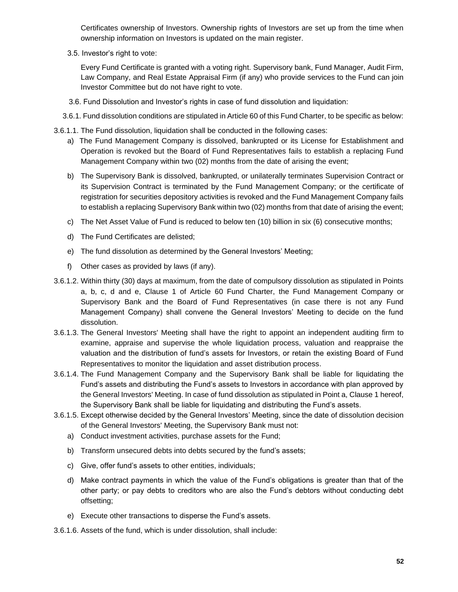Certificates ownership of Investors. Ownership rights of Investors are set up from the time when ownership information on Investors is updated on the main register.

3.5. Investor's right to vote:

Every Fund Certificate is granted with a voting right. Supervisory bank, Fund Manager, Audit Firm, Law Company, and Real Estate Appraisal Firm (if any) who provide services to the Fund can join Investor Committee but do not have right to vote.

- 3.6. Fund Dissolution and Investor's rights in case of fund dissolution and liquidation:
- 3.6.1. Fund dissolution conditions are stipulated in Article 60 of this Fund Charter, to be specific as below:
- 3.6.1.1. The Fund dissolution, liquidation shall be conducted in the following cases:
	- a) The Fund Management Company is dissolved, bankrupted or its License for Establishment and Operation is revoked but the Board of Fund Representatives fails to establish a replacing Fund Management Company within two (02) months from the date of arising the event;
	- b) The Supervisory Bank is dissolved, bankrupted, or unilaterally terminates Supervision Contract or its Supervision Contract is terminated by the Fund Management Company; or the certificate of registration for securities depository activities is revoked and the Fund Management Company fails to establish a replacing Supervisory Bank within two (02) months from that date of arising the event;
	- c) The Net Asset Value of Fund is reduced to below ten (10) billion in six (6) consecutive months;
	- d) The Fund Certificates are delisted;
	- e) The fund dissolution as determined by the General Investors' Meeting;
	- f) Other cases as provided by laws (if any).
- 3.6.1.2. Within thirty (30) days at maximum, from the date of compulsory dissolution as stipulated in Points a, b, c, d and e, Clause 1 of Article 60 Fund Charter, the Fund Management Company or Supervisory Bank and the Board of Fund Representatives (in case there is not any Fund Management Company) shall convene the General Investors' Meeting to decide on the fund dissolution.
- 3.6.1.3. The General Investors' Meeting shall have the right to appoint an independent auditing firm to examine, appraise and supervise the whole liquidation process, valuation and reappraise the valuation and the distribution of fund's assets for Investors, or retain the existing Board of Fund Representatives to monitor the liquidation and asset distribution process.
- 3.6.1.4. The Fund Management Company and the Supervisory Bank shall be liable for liquidating the Fund's assets and distributing the Fund's assets to Investors in accordance with plan approved by the General Investors' Meeting. In case of fund dissolution as stipulated in Point a, Clause 1 hereof, the Supervisory Bank shall be liable for liquidating and distributing the Fund's assets.
- 3.6.1.5. Except otherwise decided by the General Investors' Meeting, since the date of dissolution decision of the General Investors' Meeting, the Supervisory Bank must not:
	- a) Conduct investment activities, purchase assets for the Fund;
	- b) Transform unsecured debts into debts secured by the fund's assets;
	- c) Give, offer fund's assets to other entities, individuals;
	- d) Make contract payments in which the value of the Fund's obligations is greater than that of the other party; or pay debts to creditors who are also the Fund's debtors without conducting debt offsetting;
	- e) Execute other transactions to disperse the Fund's assets.
- 3.6.1.6. Assets of the fund, which is under dissolution, shall include: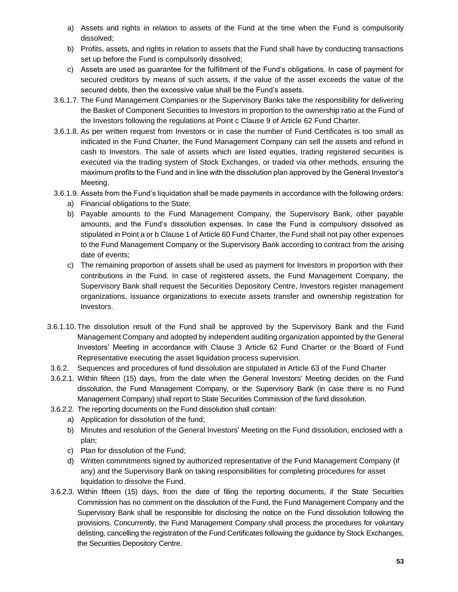- a) Assets and rights in relation to assets of the Fund at the time when the Fund is compulsorily dissolved;
- b) Profits, assets, and rights in relation to assets that the Fund shall have by conducting transactions set up before the Fund is compulsorily dissolved;
- c) Assets are used as guarantee for the fulfillment of the Fund's obligations. In case of payment for secured creditors by means of such assets, if the value of the asset exceeds the value of the secured debts, then the excessive value shall be the Fund's assets.
- 3.6.1.7. The Fund Management Companies or the Supervisory Banks take the responsibility for delivering the Basket of Component Securities to Investors in proportion to the ownership ratio at the Fund of the Investors following the regulations at Point c Clause 9 of Article 62 Fund Charter.
- 3.6.1.8. As per written request from Investors or in case the number of Fund Certificates is too small as indicated in the Fund Charter, the Fund Management Company can sell the assets and refund in cash to Investors. The sale of assets which are listed equities, trading registered securities is executed via the trading system of Stock Exchanges, or traded via other methods, ensuring the maximum profits to the Fund and in line with the dissolution plan approved by the General Investor's Meeting.
- 3.6.1.9. Assets from the Fund's liquidation shall be made payments in accordance with the following orders:
	- a) Financial obligations to the State;
	- b) Payable amounts to the Fund Management Company, the Supervisory Bank, other payable amounts, and the Fund's dissolution expenses. In case the Fund is compulsory dissolved as stipulated in Point a or b Clause 1 of Article 60 Fund Charter, the Fund shall not pay other expenses to the Fund Management Company or the Supervisory Bank according to contract from the arising date of events;
	- c) The remaining proportion of assets shall be used as payment for Investors in proportion with their contributions in the Fund. In case of registered assets, the Fund Management Company, the Supervisory Bank shall request the Securities Depository Centre, Investors register management organizations, issuance organizations to execute assets transfer and ownership registration for Investors.
- 3.6.1.10. The dissolution result of the Fund shall be approved by the Supervisory Bank and the Fund Management Company and adopted by independent auditing organization appointed by the General Investors' Meeting in accordance with Clause 3 Article 62 Fund Charter or the Board of Fund Representative executing the asset liquidation process supervision.
- 3.6.2. Sequences and procedures of fund dissolution are stipulated in Article 63 of the Fund Charter
- 3.6.2.1. Within fifteen (15) days, from the date when the General Investors' Meeting decides on the Fund dissolution, the Fund Management Company, or the Supervisory Bank (in case there is no Fund Management Company) shall report to State Securities Commission of the fund dissolution.
- 3.6.2.2. The reporting documents on the Fund dissolution shall contain:
	- a) Application for dissolution of the fund;
	- b) Minutes and resolution of the General Investors' Meeting on the Fund dissolution, enclosed with a plan;
	- c) Plan for dissolution of the Fund;
	- d) Written commitments signed by authorized representative of the Fund Management Company (if any) and the Supervisory Bank on taking responsibilities for completing procedures for asset liquidation to dissolve the Fund.
- 3.6.2.3. Within fifteen (15) days, from the date of filing the reporting documents, if the State Securities Commission has no comment on the dissolution of the Fund, the Fund Management Company and the Supervisory Bank shall be responsible for disclosing the notice on the Fund dissolution following the provisions. Concurrently, the Fund Management Company shall process the procedures for voluntary delisting, cancelling the registration of the Fund Certificates following the guidance by Stock Exchanges, the Securities Depository Centre.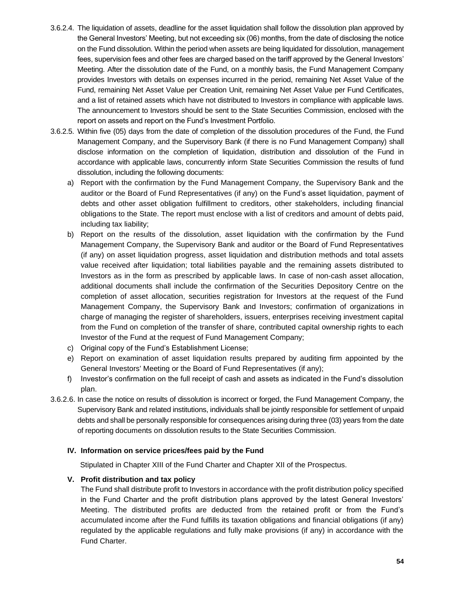- 3.6.2.4. The liquidation of assets, deadline for the asset liquidation shall follow the dissolution plan approved by the General Investors' Meeting, but not exceeding six (06) months, from the date of disclosing the notice on the Fund dissolution. Within the period when assets are being liquidated for dissolution, management fees, supervision fees and other fees are charged based on the tariff approved by the General Investors' Meeting. After the dissolution date of the Fund, on a monthly basis, the Fund Management Company provides Investors with details on expenses incurred in the period, remaining Net Asset Value of the Fund, remaining Net Asset Value per Creation Unit, remaining Net Asset Value per Fund Certificates, and a list of retained assets which have not distributed to Investors in compliance with applicable laws. The announcement to Investors should be sent to the State Securities Commission, enclosed with the report on assets and report on the Fund's Investment Portfolio.
- 3.6.2.5. Within five (05) days from the date of completion of the dissolution procedures of the Fund, the Fund Management Company, and the Supervisory Bank (if there is no Fund Management Company) shall disclose information on the completion of liquidation, distribution and dissolution of the Fund in accordance with applicable laws, concurrently inform State Securities Commission the results of fund dissolution, including the following documents:
	- a) Report with the confirmation by the Fund Management Company, the Supervisory Bank and the auditor or the Board of Fund Representatives (if any) on the Fund's asset liquidation, payment of debts and other asset obligation fulfillment to creditors, other stakeholders, including financial obligations to the State. The report must enclose with a list of creditors and amount of debts paid, including tax liability;
	- b) Report on the results of the dissolution, asset liquidation with the confirmation by the Fund Management Company, the Supervisory Bank and auditor or the Board of Fund Representatives (if any) on asset liquidation progress, asset liquidation and distribution methods and total assets value received after liquidation; total liabilities payable and the remaining assets distributed to Investors as in the form as prescribed by applicable laws. In case of non-cash asset allocation, additional documents shall include the confirmation of the Securities Depository Centre on the completion of asset allocation, securities registration for Investors at the request of the Fund Management Company, the Supervisory Bank and Investors; confirmation of organizations in charge of managing the register of shareholders, issuers, enterprises receiving investment capital from the Fund on completion of the transfer of share, contributed capital ownership rights to each Investor of the Fund at the request of Fund Management Company;
	- c) Original copy of the Fund's Establishment License;
	- e) Report on examination of asset liquidation results prepared by auditing firm appointed by the General Investors' Meeting or the Board of Fund Representatives (if any);
	- f) Investor's confirmation on the full receipt of cash and assets as indicated in the Fund's dissolution plan.
- 3.6.2.6. In case the notice on results of dissolution is incorrect or forged, the Fund Management Company, the Supervisory Bank and related institutions, individuals shall be jointly responsible for settlement of unpaid debts and shall be personally responsible for consequences arising during three (03) years from the date of reporting documents on dissolution results to the State Securities Commission.

#### **IV. Information on service prices/fees paid by the Fund**

Stipulated in Chapter XIII of the Fund Charter and Chapter XII of the Prospectus.

#### **V. Profit distribution and tax policy**

The Fund shall distribute profit to Investors in accordance with the profit distribution policy specified in the Fund Charter and the profit distribution plans approved by the latest General Investors' Meeting. The distributed profits are deducted from the retained profit or from the Fund's accumulated income after the Fund fulfills its taxation obligations and financial obligations (if any) regulated by the applicable regulations and fully make provisions (if any) in accordance with the Fund Charter.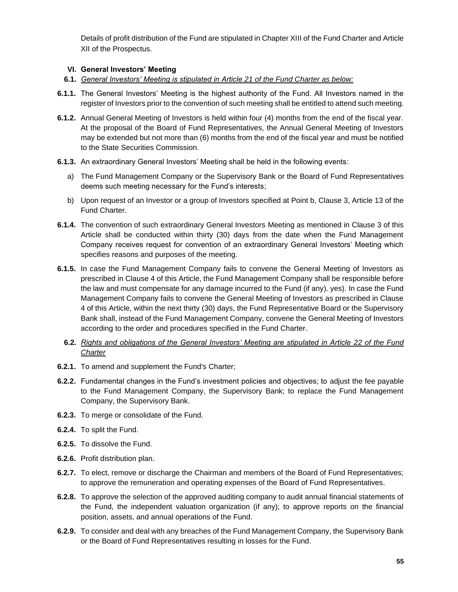Details of profit distribution of the Fund are stipulated in Chapter XIII of the Fund Charter and Article XII of the Prospectus.

#### **VI. General Investors' Meeting**

- **6.1.** *General Investors' Meeting is stipulated in Article 21 of the Fund Charter as below:*
- **6.1.1.** The General Investors' Meeting is the highest authority of the Fund. All Investors named in the register of Investors prior to the convention of such meeting shall be entitled to attend such meeting.
- **6.1.2.** Annual General Meeting of Investors is held within four (4) months from the end of the fiscal year. At the proposal of the Board of Fund Representatives, the Annual General Meeting of Investors may be extended but not more than (6) months from the end of the fiscal year and must be notified to the State Securities Commission.
- **6.1.3.** An extraordinary General Investors' Meeting shall be held in the following events:
	- a) The Fund Management Company or the Supervisory Bank or the Board of Fund Representatives deems such meeting necessary for the Fund's interests;
	- b) Upon request of an Investor or a group of Investors specified at Point b, Clause 3, Article 13 of the Fund Charter.
- **6.1.4.** The convention of such extraordinary General Investors Meeting as mentioned in Clause 3 of this Article shall be conducted within thirty (30) days from the date when the Fund Management Company receives request for convention of an extraordinary General Investors' Meeting which specifies reasons and purposes of the meeting.
- **6.1.5.** In case the Fund Management Company fails to convene the General Meeting of Investors as prescribed in Clause 4 of this Article, the Fund Management Company shall be responsible before the law and must compensate for any damage incurred to the Fund (if any). yes). In case the Fund Management Company fails to convene the General Meeting of Investors as prescribed in Clause 4 of this Article, within the next thirty (30) days, the Fund Representative Board or the Supervisory Bank shall, instead of the Fund Management Company, convene the General Meeting of Investors according to the order and procedures specified in the Fund Charter.
	- **6.2.** *Rights and obligations of the General Investors' Meeting are stipulated in Article 22 of the Fund Charter*
- **6.2.1.** To amend and supplement the Fund's Charter;
- **6.2.2.** Fundamental changes in the Fund's investment policies and objectives; to adjust the fee payable to the Fund Management Company, the Supervisory Bank; to replace the Fund Management Company, the Supervisory Bank.
- **6.2.3.** To merge or consolidate of the Fund.
- **6.2.4.** To split the Fund.
- **6.2.5.** To dissolve the Fund.
- **6.2.6.** Profit distribution plan.
- **6.2.7.** To elect, remove or discharge the Chairman and members of the Board of Fund Representatives; to approve the remuneration and operating expenses of the Board of Fund Representatives.
- **6.2.8.** To approve the selection of the approved auditing company to audit annual financial statements of the Fund, the independent valuation organization (if any); to approve reports on the financial position, assets, and annual operations of the Fund.
- **6.2.9.** To consider and deal with any breaches of the Fund Management Company, the Supervisory Bank or the Board of Fund Representatives resulting in losses for the Fund.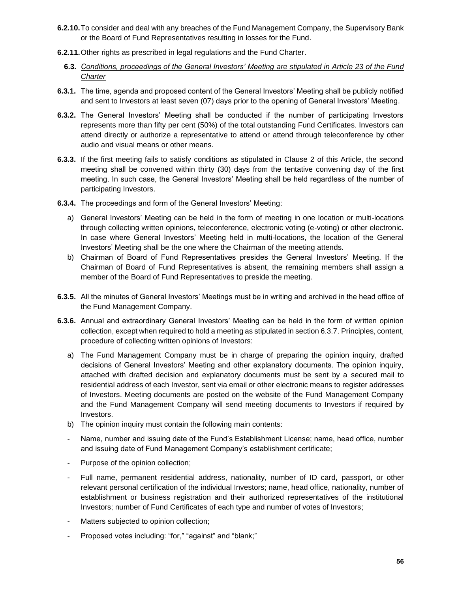- **6.2.10.**To consider and deal with any breaches of the Fund Management Company, the Supervisory Bank or the Board of Fund Representatives resulting in losses for the Fund.
- **6.2.11.**Other rights as prescribed in legal regulations and the Fund Charter.
	- **6.3.** *Conditions, proceedings of the General Investors' Meeting are stipulated in Article 23 of the Fund Charter*
- **6.3.1.** The time, agenda and proposed content of the General Investors' Meeting shall be publicly notified and sent to Investors at least seven (07) days prior to the opening of General Investors' Meeting.
- **6.3.2.** The General Investors' Meeting shall be conducted if the number of participating Investors represents more than fifty per cent (50%) of the total outstanding Fund Certificates. Investors can attend directly or authorize a representative to attend or attend through teleconference by other audio and visual means or other means.
- **6.3.3.** If the first meeting fails to satisfy conditions as stipulated in Clause 2 of this Article, the second meeting shall be convened within thirty (30) days from the tentative convening day of the first meeting. In such case, the General Investors' Meeting shall be held regardless of the number of participating Investors.
- **6.3.4.** The proceedings and form of the General Investors' Meeting:
	- a) General Investors' Meeting can be held in the form of meeting in one location or multi-locations through collecting written opinions, teleconference, electronic voting (e-voting) or other electronic. In case where General Investors' Meeting held in multi-locations, the location of the General Investors' Meeting shall be the one where the Chairman of the meeting attends.
	- b) Chairman of Board of Fund Representatives presides the General Investors' Meeting. If the Chairman of Board of Fund Representatives is absent, the remaining members shall assign a member of the Board of Fund Representatives to preside the meeting.
- **6.3.5.** All the minutes of General Investors' Meetings must be in writing and archived in the head office of the Fund Management Company.
- **6.3.6.** Annual and extraordinary General Investors' Meeting can be held in the form of written opinion collection, except when required to hold a meeting as stipulated in section 6.3.7. Principles, content, procedure of collecting written opinions of Investors:
	- a) The Fund Management Company must be in charge of preparing the opinion inquiry, drafted decisions of General Investors' Meeting and other explanatory documents. The opinion inquiry, attached with drafted decision and explanatory documents must be sent by a secured mail to residential address of each Investor, sent via email or other electronic means to register addresses of Investors. Meeting documents are posted on the website of the Fund Management Company and the Fund Management Company will send meeting documents to Investors if required by Investors.
	- b) The opinion inquiry must contain the following main contents:
	- Name, number and issuing date of the Fund's Establishment License; name, head office, number and issuing date of Fund Management Company's establishment certificate;
	- Purpose of the opinion collection;
	- Full name, permanent residential address, nationality, number of ID card, passport, or other relevant personal certification of the individual Investors; name, head office, nationality, number of establishment or business registration and their authorized representatives of the institutional Investors; number of Fund Certificates of each type and number of votes of Investors;
	- Matters subjected to opinion collection;
	- Proposed votes including: "for," "against" and "blank;"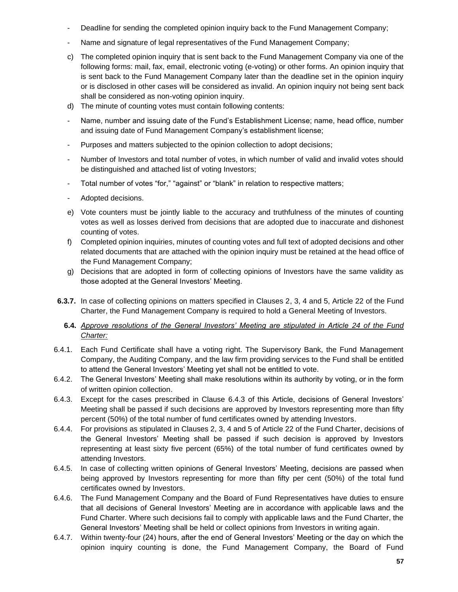- Deadline for sending the completed opinion inquiry back to the Fund Management Company;
- Name and signature of legal representatives of the Fund Management Company;
- c) The completed opinion inquiry that is sent back to the Fund Management Company via one of the following forms: mail, fax, email, electronic voting (e-voting) or other forms. An opinion inquiry that is sent back to the Fund Management Company later than the deadline set in the opinion inquiry or is disclosed in other cases will be considered as invalid. An opinion inquiry not being sent back shall be considered as non-voting opinion inquiry.
- d) The minute of counting votes must contain following contents:
- Name, number and issuing date of the Fund's Establishment License; name, head office, number and issuing date of Fund Management Company's establishment license;
- Purposes and matters subjected to the opinion collection to adopt decisions;
- Number of Investors and total number of votes, in which number of valid and invalid votes should be distinguished and attached list of voting Investors;
- Total number of votes "for," "against" or "blank" in relation to respective matters;
- Adopted decisions.
- e) Vote counters must be jointly liable to the accuracy and truthfulness of the minutes of counting votes as well as losses derived from decisions that are adopted due to inaccurate and dishonest counting of votes.
- f) Completed opinion inquiries, minutes of counting votes and full text of adopted decisions and other related documents that are attached with the opinion inquiry must be retained at the head office of the Fund Management Company;
- g) Decisions that are adopted in form of collecting opinions of Investors have the same validity as those adopted at the General Investors' Meeting.
- **6.3.7.** In case of collecting opinions on matters specified in Clauses 2, 3, 4 and 5, Article 22 of the Fund Charter, the Fund Management Company is required to hold a General Meeting of Investors.
	- **6.4.** *Approve resolutions of the General Investors' Meeting are stipulated in Article 24 of the Fund Charter:*
- 6.4.1. Each Fund Certificate shall have a voting right. The Supervisory Bank, the Fund Management Company, the Auditing Company, and the law firm providing services to the Fund shall be entitled to attend the General Investors' Meeting yet shall not be entitled to vote.
- 6.4.2. The General Investors' Meeting shall make resolutions within its authority by voting, or in the form of written opinion collection.
- 6.4.3. Except for the cases prescribed in Clause 6.4.3 of this Article, decisions of General Investors' Meeting shall be passed if such decisions are approved by Investors representing more than fifty percent (50%) of the total number of fund certificates owned by attending Investors.
- 6.4.4. For provisions as stipulated in Clauses 2, 3, 4 and 5 of Article 22 of the Fund Charter, decisions of the General Investors' Meeting shall be passed if such decision is approved by Investors representing at least sixty five percent (65%) of the total number of fund certificates owned by attending Investors.
- 6.4.5. In case of collecting written opinions of General Investors' Meeting, decisions are passed when being approved by Investors representing for more than fifty per cent (50%) of the total fund certificates owned by Investors.
- 6.4.6. The Fund Management Company and the Board of Fund Representatives have duties to ensure that all decisions of General Investors' Meeting are in accordance with applicable laws and the Fund Charter. Where such decisions fail to comply with applicable laws and the Fund Charter, the General Investors' Meeting shall be held or collect opinions from Investors in writing again.
- 6.4.7. Within twenty-four (24) hours, after the end of General Investors' Meeting or the day on which the opinion inquiry counting is done, the Fund Management Company, the Board of Fund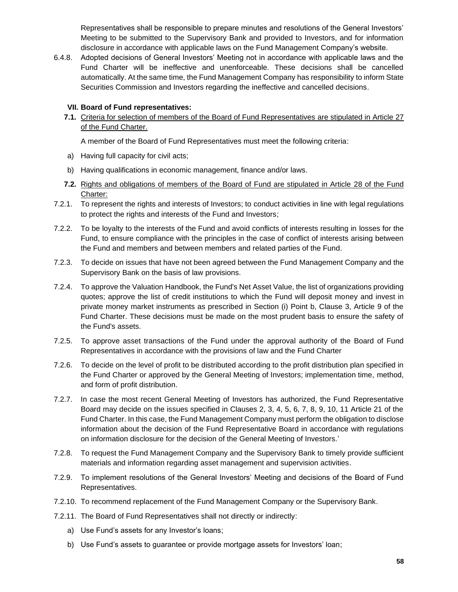Representatives shall be responsible to prepare minutes and resolutions of the General Investors' Meeting to be submitted to the Supervisory Bank and provided to Investors, and for information disclosure in accordance with applicable laws on the Fund Management Company's website.

6.4.8. Adopted decisions of General Investors' Meeting not in accordance with applicable laws and the Fund Charter will be ineffective and unenforceable. These decisions shall be cancelled automatically. At the same time, the Fund Management Company has responsibility to inform State Securities Commission and Investors regarding the ineffective and cancelled decisions.

#### **VII. Board of Fund representatives:**

**7.1.** Criteria for selection of members of the Board of Fund Representatives are stipulated in Article 27 of the Fund Charter.

A member of the Board of Fund Representatives must meet the following criteria:

- a) Having full capacity for civil acts;
- b) Having qualifications in economic management, finance and/or laws.
- **7.2.** Rights and obligations of members of the Board of Fund are stipulated in Article 28 of the Fund Charter:
- 7.2.1. To represent the rights and interests of Investors; to conduct activities in line with legal regulations to protect the rights and interests of the Fund and Investors;
- 7.2.2. To be loyalty to the interests of the Fund and avoid conflicts of interests resulting in losses for the Fund, to ensure compliance with the principles in the case of conflict of interests arising between the Fund and members and between members and related parties of the Fund.
- 7.2.3. To decide on issues that have not been agreed between the Fund Management Company and the Supervisory Bank on the basis of law provisions.
- 7.2.4. To approve the Valuation Handbook, the Fund's Net Asset Value, the list of organizations providing quotes; approve the list of credit institutions to which the Fund will deposit money and invest in private money market instruments as prescribed in Section (i) Point b, Clause 3, Article 9 of the Fund Charter. These decisions must be made on the most prudent basis to ensure the safety of the Fund's assets.
- 7.2.5. To approve asset transactions of the Fund under the approval authority of the Board of Fund Representatives in accordance with the provisions of law and the Fund Charter
- 7.2.6. To decide on the level of profit to be distributed according to the profit distribution plan specified in the Fund Charter or approved by the General Meeting of Investors; implementation time, method, and form of profit distribution.
- 7.2.7. In case the most recent General Meeting of Investors has authorized, the Fund Representative Board may decide on the issues specified in Clauses 2, 3, 4, 5, 6, 7, 8, 9, 10, 11 Article 21 of the Fund Charter. In this case, the Fund Management Company must perform the obligation to disclose information about the decision of the Fund Representative Board in accordance with regulations on information disclosure for the decision of the General Meeting of Investors.'
- 7.2.8. To request the Fund Management Company and the Supervisory Bank to timely provide sufficient materials and information regarding asset management and supervision activities.
- 7.2.9. To implement resolutions of the General Investors' Meeting and decisions of the Board of Fund Representatives.
- 7.2.10. To recommend replacement of the Fund Management Company or the Supervisory Bank.
- 7.2.11. The Board of Fund Representatives shall not directly or indirectly:
	- a) Use Fund's assets for any Investor's loans;
	- b) Use Fund's assets to guarantee or provide mortgage assets for Investors' loan;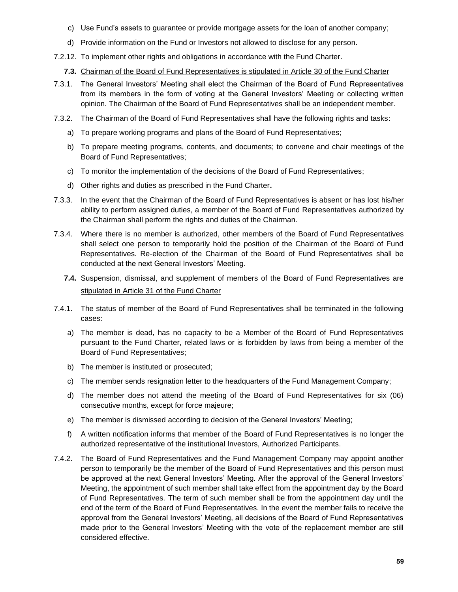- c) Use Fund's assets to guarantee or provide mortgage assets for the loan of another company;
- d) Provide information on the Fund or Investors not allowed to disclose for any person.
- 7.2.12. To implement other rights and obligations in accordance with the Fund Charter.
	- **7.3.** Chairman of the Board of Fund Representatives is stipulated in Article 30 of the Fund Charter
- 7.3.1. The General Investors' Meeting shall elect the Chairman of the Board of Fund Representatives from its members in the form of voting at the General Investors' Meeting or collecting written opinion. The Chairman of the Board of Fund Representatives shall be an independent member.
- 7.3.2. The Chairman of the Board of Fund Representatives shall have the following rights and tasks:
	- a) To prepare working programs and plans of the Board of Fund Representatives;
	- b) To prepare meeting programs, contents, and documents; to convene and chair meetings of the Board of Fund Representatives;
	- c) To monitor the implementation of the decisions of the Board of Fund Representatives;
	- d) Other rights and duties as prescribed in the Fund Charter**.**
- 7.3.3. In the event that the Chairman of the Board of Fund Representatives is absent or has lost his/her ability to perform assigned duties, a member of the Board of Fund Representatives authorized by the Chairman shall perform the rights and duties of the Chairman.
- 7.3.4. Where there is no member is authorized, other members of the Board of Fund Representatives shall select one person to temporarily hold the position of the Chairman of the Board of Fund Representatives. Re-election of the Chairman of the Board of Fund Representatives shall be conducted at the next General Investors' Meeting.
	- **7.4.** Suspension, dismissal, and supplement of members of the Board of Fund Representatives are stipulated in Article 31 of the Fund Charter
- 7.4.1. The status of member of the Board of Fund Representatives shall be terminated in the following cases:
	- a) The member is dead, has no capacity to be a Member of the Board of Fund Representatives pursuant to the Fund Charter, related laws or is forbidden by laws from being a member of the Board of Fund Representatives;
	- b) The member is instituted or prosecuted;
	- c) The member sends resignation letter to the headquarters of the Fund Management Company;
	- d) The member does not attend the meeting of the Board of Fund Representatives for six (06) consecutive months, except for force majeure;
	- e) The member is dismissed according to decision of the General Investors' Meeting;
	- f) A written notification informs that member of the Board of Fund Representatives is no longer the authorized representative of the institutional Investors, Authorized Participants.
- 7.4.2. The Board of Fund Representatives and the Fund Management Company may appoint another person to temporarily be the member of the Board of Fund Representatives and this person must be approved at the next General Investors' Meeting. After the approval of the General Investors' Meeting, the appointment of such member shall take effect from the appointment day by the Board of Fund Representatives. The term of such member shall be from the appointment day until the end of the term of the Board of Fund Representatives. In the event the member fails to receive the approval from the General Investors' Meeting, all decisions of the Board of Fund Representatives made prior to the General Investors' Meeting with the vote of the replacement member are still considered effective.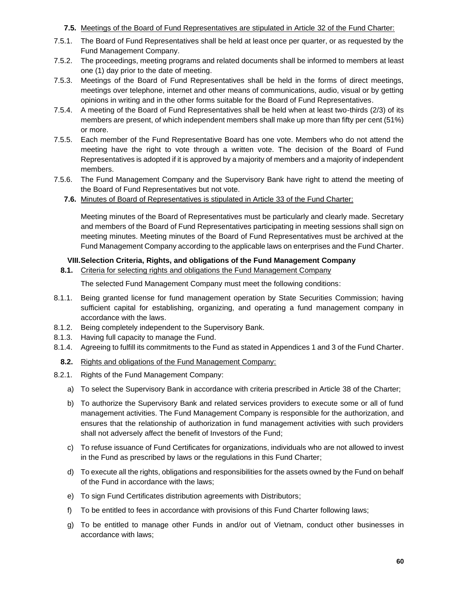#### **7.5.** Meetings of the Board of Fund Representatives are stipulated in Article 32 of the Fund Charter:

- 7.5.1. The Board of Fund Representatives shall be held at least once per quarter, or as requested by the Fund Management Company.
- 7.5.2. The proceedings, meeting programs and related documents shall be informed to members at least one (1) day prior to the date of meeting.
- 7.5.3. Meetings of the Board of Fund Representatives shall be held in the forms of direct meetings, meetings over telephone, internet and other means of communications, audio, visual or by getting opinions in writing and in the other forms suitable for the Board of Fund Representatives.
- 7.5.4. A meeting of the Board of Fund Representatives shall be held when at least two-thirds (2/3) of its members are present, of which independent members shall make up more than fifty per cent (51%) or more.
- 7.5.5. Each member of the Fund Representative Board has one vote. Members who do not attend the meeting have the right to vote through a written vote. The decision of the Board of Fund Representatives is adopted if it is approved by a majority of members and a majority of independent members.
- 7.5.6. The Fund Management Company and the Supervisory Bank have right to attend the meeting of the Board of Fund Representatives but not vote.
	- **7.6.** Minutes of Board of Representatives is stipulated in Article 33 of the Fund Charter:

Meeting minutes of the Board of Representatives must be particularly and clearly made. Secretary and members of the Board of Fund Representatives participating in meeting sessions shall sign on meeting minutes. Meeting minutes of the Board of Fund Representatives must be archived at the Fund Management Company according to the applicable laws on enterprises and the Fund Charter.

#### **VIII.Selection Criteria, Rights, and obligations of the Fund Management Company**

**8.1.** Criteria for selecting rights and obligations the Fund Management Company

The selected Fund Management Company must meet the following conditions:

- 8.1.1. Being granted license for fund management operation by State Securities Commission; having sufficient capital for establishing, organizing, and operating a fund management company in accordance with the laws.
- 8.1.2. Being completely independent to the Supervisory Bank.
- 8.1.3. Having full capacity to manage the Fund.
- 8.1.4. Agreeing to fulfill its commitments to the Fund as stated in Appendices 1 and 3 of the Fund Charter.
	- **8.2.** Rights and obligations of the Fund Management Company:
- 8.2.1. Rights of the Fund Management Company:
	- a) To select the Supervisory Bank in accordance with criteria prescribed in Article 38 of the Charter;
	- b) To authorize the Supervisory Bank and related services providers to execute some or all of fund management activities. The Fund Management Company is responsible for the authorization, and ensures that the relationship of authorization in fund management activities with such providers shall not adversely affect the benefit of Investors of the Fund;
	- c) To refuse issuance of Fund Certificates for organizations, individuals who are not allowed to invest in the Fund as prescribed by laws or the regulations in this Fund Charter;
	- d) To execute all the rights, obligations and responsibilities for the assets owned by the Fund on behalf of the Fund in accordance with the laws;
	- e) To sign Fund Certificates distribution agreements with Distributors;
	- f) To be entitled to fees in accordance with provisions of this Fund Charter following laws;
	- g) To be entitled to manage other Funds in and/or out of Vietnam, conduct other businesses in accordance with laws;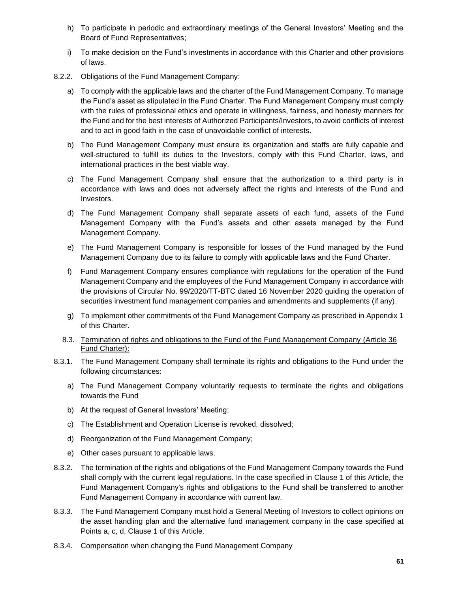- h) To participate in periodic and extraordinary meetings of the General Investors' Meeting and the Board of Fund Representatives;
- i) To make decision on the Fund's investments in accordance with this Charter and other provisions of laws.
- 8.2.2. Obligations of the Fund Management Company:
	- a) To comply with the applicable laws and the charter of the Fund Management Company. To manage the Fund's asset as stipulated in the Fund Charter. The Fund Management Company must comply with the rules of professional ethics and operate in willingness, fairness, and honesty manners for the Fund and for the best interests of Authorized Participants/Investors, to avoid conflicts of interest and to act in good faith in the case of unavoidable conflict of interests.
	- b) The Fund Management Company must ensure its organization and staffs are fully capable and well-structured to fulfill its duties to the Investors, comply with this Fund Charter, laws, and international practices in the best viable way.
	- c) The Fund Management Company shall ensure that the authorization to a third party is in accordance with laws and does not adversely affect the rights and interests of the Fund and Investors.
	- d) The Fund Management Company shall separate assets of each fund, assets of the Fund Management Company with the Fund's assets and other assets managed by the Fund Management Company.
	- e) The Fund Management Company is responsible for losses of the Fund managed by the Fund Management Company due to its failure to comply with applicable laws and the Fund Charter.
	- f) Fund Management Company ensures compliance with regulations for the operation of the Fund Management Company and the employees of the Fund Management Company in accordance with the provisions of Circular No. 99/2020/TT-BTC dated 16 November 2020 guiding the operation of securities investment fund management companies and amendments and supplements (if any).
	- g) To implement other commitments of the Fund Management Company as prescribed in Appendix 1 of this Charter.
	- 8.3. Termination of rights and obligations to the Fund of the Fund Management Company (Article 36 Fund Charter):
- 8.3.1. The Fund Management Company shall terminate its rights and obligations to the Fund under the following circumstances:
	- a) The Fund Management Company voluntarily requests to terminate the rights and obligations towards the Fund
	- b) At the request of General Investors' Meeting;
	- c) The Establishment and Operation License is revoked, dissolved;
	- d) Reorganization of the Fund Management Company;
	- e) Other cases pursuant to applicable laws.
- 8.3.2. The termination of the rights and obligations of the Fund Management Company towards the Fund shall comply with the current legal regulations. In the case specified in Clause 1 of this Article, the Fund Management Company's rights and obligations to the Fund shall be transferred to another Fund Management Company in accordance with current law.
- 8.3.3. The Fund Management Company must hold a General Meeting of Investors to collect opinions on the asset handling plan and the alternative fund management company in the case specified at Points a, c, d, Clause 1 of this Article.
- 8.3.4. Compensation when changing the Fund Management Company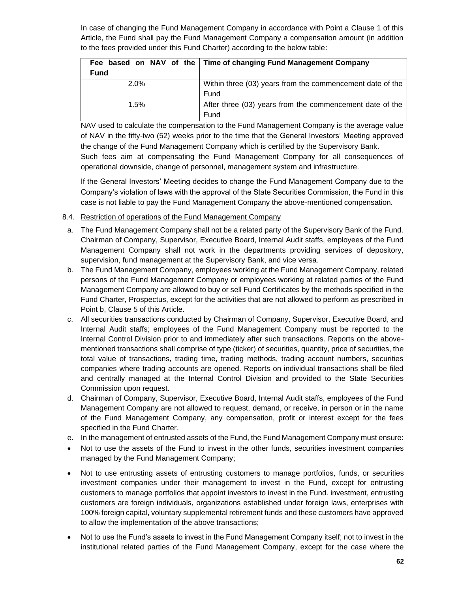In case of changing the Fund Management Company in accordance with Point a Clause 1 of this Article, the Fund shall pay the Fund Management Company a compensation amount (in addition to the fees provided under this Fund Charter) according to the below table:

|             | Fee based on NAV of the   Time of changing Fund Management Company |
|-------------|--------------------------------------------------------------------|
| <b>Fund</b> |                                                                    |
| 2.0%        | Within three (03) years from the commencement date of the          |
|             | Fund                                                               |
| 1.5%        | After three (03) years from the commencement date of the           |
|             | Fund                                                               |

NAV used to calculate the compensation to the Fund Management Company is the average value of NAV in the fifty-two (52) weeks prior to the time that the General Investors' Meeting approved the change of the Fund Management Company which is certified by the Supervisory Bank.

Such fees aim at compensating the Fund Management Company for all consequences of operational downside, change of personnel, management system and infrastructure.

If the General Investors' Meeting decides to change the Fund Management Company due to the Company's violation of laws with the approval of the State Securities Commission, the Fund in this case is not liable to pay the Fund Management Company the above-mentioned compensation.

- 8.4. Restriction of operations of the Fund Management Company
- a. The Fund Management Company shall not be a related party of the Supervisory Bank of the Fund. Chairman of Company, Supervisor, Executive Board, Internal Audit staffs, employees of the Fund Management Company shall not work in the departments providing services of depository, supervision, fund management at the Supervisory Bank, and vice versa.
- b. The Fund Management Company, employees working at the Fund Management Company, related persons of the Fund Management Company or employees working at related parties of the Fund Management Company are allowed to buy or sell Fund Certificates by the methods specified in the Fund Charter, Prospectus, except for the activities that are not allowed to perform as prescribed in Point b, Clause 5 of this Article.
- c. All securities transactions conducted by Chairman of Company, Supervisor, Executive Board, and Internal Audit staffs; employees of the Fund Management Company must be reported to the Internal Control Division prior to and immediately after such transactions. Reports on the abovementioned transactions shall comprise of type (ticker) of securities, quantity, price of securities, the total value of transactions, trading time, trading methods, trading account numbers, securities companies where trading accounts are opened. Reports on individual transactions shall be filed and centrally managed at the Internal Control Division and provided to the State Securities Commission upon request.
- d. Chairman of Company, Supervisor, Executive Board, Internal Audit staffs, employees of the Fund Management Company are not allowed to request, demand, or receive, in person or in the name of the Fund Management Company, any compensation, profit or interest except for the fees specified in the Fund Charter.
- e. In the management of entrusted assets of the Fund, the Fund Management Company must ensure:
- Not to use the assets of the Fund to invest in the other funds, securities investment companies managed by the Fund Management Company;
- Not to use entrusting assets of entrusting customers to manage portfolios, funds, or securities investment companies under their management to invest in the Fund, except for entrusting customers to manage portfolios that appoint investors to invest in the Fund. investment, entrusting customers are foreign individuals, organizations established under foreign laws, enterprises with 100% foreign capital, voluntary supplemental retirement funds and these customers have approved to allow the implementation of the above transactions;
- Not to use the Fund's assets to invest in the Fund Management Company itself; not to invest in the institutional related parties of the Fund Management Company, except for the case where the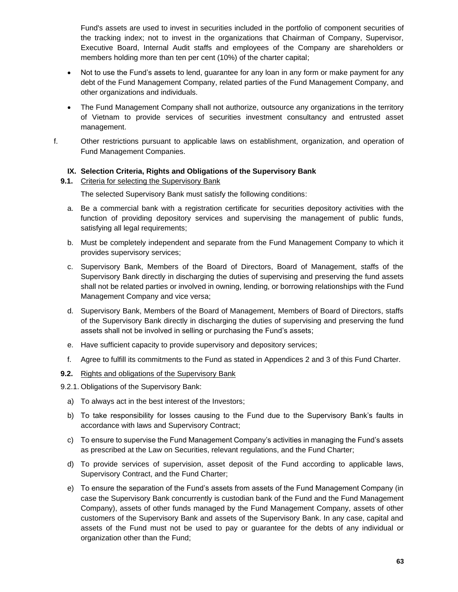Fund's assets are used to invest in securities included in the portfolio of component securities of the tracking index; not to invest in the organizations that Chairman of Company, Supervisor, Executive Board, Internal Audit staffs and employees of the Company are shareholders or members holding more than ten per cent (10%) of the charter capital;

- Not to use the Fund's assets to lend, guarantee for any loan in any form or make payment for any debt of the Fund Management Company, related parties of the Fund Management Company, and other organizations and individuals.
- The Fund Management Company shall not authorize, outsource any organizations in the territory of Vietnam to provide services of securities investment consultancy and entrusted asset management.
- f. Other restrictions pursuant to applicable laws on establishment, organization, and operation of Fund Management Companies.

#### **IX. Selection Criteria, Rights and Obligations of the Supervisory Bank**

#### **9.1.** Criteria for selecting the Supervisory Bank

The selected Supervisory Bank must satisfy the following conditions:

- a. Be a commercial bank with a registration certificate for securities depository activities with the function of providing depository services and supervising the management of public funds, satisfying all legal requirements;
- b. Must be completely independent and separate from the Fund Management Company to which it provides supervisory services;
- c. Supervisory Bank, Members of the Board of Directors, Board of Management, staffs of the Supervisory Bank directly in discharging the duties of supervising and preserving the fund assets shall not be related parties or involved in owning, lending, or borrowing relationships with the Fund Management Company and vice versa;
- d. Supervisory Bank, Members of the Board of Management, Members of Board of Directors, staffs of the Supervisory Bank directly in discharging the duties of supervising and preserving the fund assets shall not be involved in selling or purchasing the Fund's assets;
- e. Have sufficient capacity to provide supervisory and depository services;
- f. Agree to fulfill its commitments to the Fund as stated in Appendices 2 and 3 of this Fund Charter.

#### **9.2.** Rights and obligations of the Supervisory Bank

- 9.2.1. Obligations of the Supervisory Bank:
	- a) To always act in the best interest of the Investors;
	- b) To take responsibility for losses causing to the Fund due to the Supervisory Bank's faults in accordance with laws and Supervisory Contract;
	- c) To ensure to supervise the Fund Management Company's activities in managing the Fund's assets as prescribed at the Law on Securities, relevant regulations, and the Fund Charter;
	- d) To provide services of supervision, asset deposit of the Fund according to applicable laws, Supervisory Contract, and the Fund Charter;
	- e) To ensure the separation of the Fund's assets from assets of the Fund Management Company (in case the Supervisory Bank concurrently is custodian bank of the Fund and the Fund Management Company), assets of other funds managed by the Fund Management Company, assets of other customers of the Supervisory Bank and assets of the Supervisory Bank. In any case, capital and assets of the Fund must not be used to pay or guarantee for the debts of any individual or organization other than the Fund;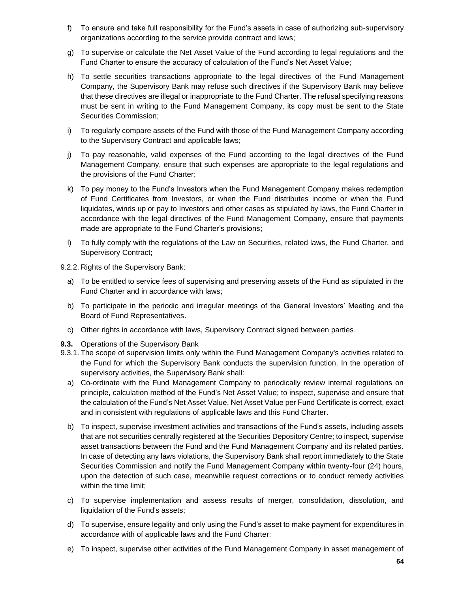- f) To ensure and take full responsibility for the Fund's assets in case of authorizing sub-supervisory organizations according to the service provide contract and laws;
- g) To supervise or calculate the Net Asset Value of the Fund according to legal regulations and the Fund Charter to ensure the accuracy of calculation of the Fund's Net Asset Value;
- h) To settle securities transactions appropriate to the legal directives of the Fund Management Company, the Supervisory Bank may refuse such directives if the Supervisory Bank may believe that these directives are illegal or inappropriate to the Fund Charter. The refusal specifying reasons must be sent in writing to the Fund Management Company, its copy must be sent to the State Securities Commission;
- i) To regularly compare assets of the Fund with those of the Fund Management Company according to the Supervisory Contract and applicable laws;
- j) To pay reasonable, valid expenses of the Fund according to the legal directives of the Fund Management Company, ensure that such expenses are appropriate to the legal regulations and the provisions of the Fund Charter;
- k) To pay money to the Fund's Investors when the Fund Management Company makes redemption of Fund Certificates from Investors, or when the Fund distributes income or when the Fund liquidates, winds up or pay to Investors and other cases as stipulated by laws, the Fund Charter in accordance with the legal directives of the Fund Management Company, ensure that payments made are appropriate to the Fund Charter's provisions;
- l) To fully comply with the regulations of the Law on Securities, related laws, the Fund Charter, and Supervisory Contract;
- 9.2.2. Rights of the Supervisory Bank:
	- a) To be entitled to service fees of supervising and preserving assets of the Fund as stipulated in the Fund Charter and in accordance with laws;
	- b) To participate in the periodic and irregular meetings of the General Investors' Meeting and the Board of Fund Representatives.
	- c) Other rights in accordance with laws, Supervisory Contract signed between parties.
- **9.3.** Operations of the Supervisory Bank
- 9.3.1. The scope of supervision limits only within the Fund Management Company's activities related to the Fund for which the Supervisory Bank conducts the supervision function. In the operation of supervisory activities, the Supervisory Bank shall:
	- a) Co-ordinate with the Fund Management Company to periodically review internal regulations on principle, calculation method of the Fund's Net Asset Value; to inspect, supervise and ensure that the calculation of the Fund's Net Asset Value, Net Asset Value per Fund Certificate is correct, exact and in consistent with regulations of applicable laws and this Fund Charter.
	- b) To inspect, supervise investment activities and transactions of the Fund's assets, including assets that are not securities centrally registered at the Securities Depository Centre; to inspect, supervise asset transactions between the Fund and the Fund Management Company and its related parties. In case of detecting any laws violations, the Supervisory Bank shall report immediately to the State Securities Commission and notify the Fund Management Company within twenty-four (24) hours, upon the detection of such case, meanwhile request corrections or to conduct remedy activities within the time limit;
	- c) To supervise implementation and assess results of merger, consolidation, dissolution, and liquidation of the Fund's assets;
	- d) To supervise, ensure legality and only using the Fund's asset to make payment for expenditures in accordance with of applicable laws and the Fund Charter:
	- e) To inspect, supervise other activities of the Fund Management Company in asset management of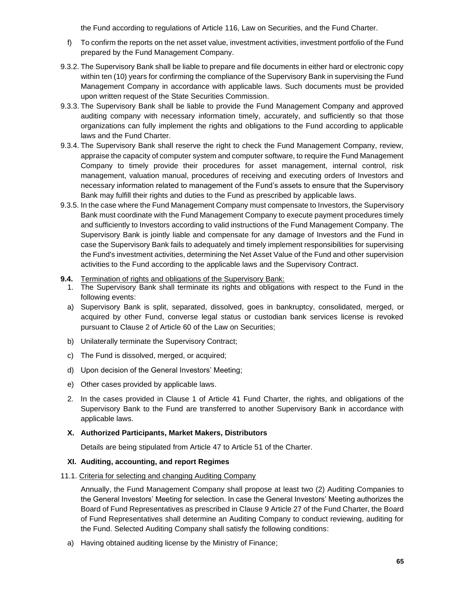the Fund according to regulations of Article 116, Law on Securities, and the Fund Charter.

- f) To confirm the reports on the net asset value, investment activities, investment portfolio of the Fund prepared by the Fund Management Company.
- 9.3.2. The Supervisory Bank shall be liable to prepare and file documents in either hard or electronic copy within ten (10) years for confirming the compliance of the Supervisory Bank in supervising the Fund Management Company in accordance with applicable laws. Such documents must be provided upon written request of the State Securities Commission.
- 9.3.3. The Supervisory Bank shall be liable to provide the Fund Management Company and approved auditing company with necessary information timely, accurately, and sufficiently so that those organizations can fully implement the rights and obligations to the Fund according to applicable laws and the Fund Charter.
- 9.3.4. The Supervisory Bank shall reserve the right to check the Fund Management Company, review, appraise the capacity of computer system and computer software, to require the Fund Management Company to timely provide their procedures for asset management, internal control, risk management, valuation manual, procedures of receiving and executing orders of Investors and necessary information related to management of the Fund's assets to ensure that the Supervisory Bank may fulfill their rights and duties to the Fund as prescribed by applicable laws.
- 9.3.5. In the case where the Fund Management Company must compensate to Investors, the Supervisory Bank must coordinate with the Fund Management Company to execute payment procedures timely and sufficiently to Investors according to valid instructions of the Fund Management Company. The Supervisory Bank is jointly liable and compensate for any damage of Investors and the Fund in case the Supervisory Bank fails to adequately and timely implement responsibilities for supervising the Fund's investment activities, determining the Net Asset Value of the Fund and other supervision activities to the Fund according to the applicable laws and the Supervisory Contract.
- **9.4.** Termination of rights and obligations of the Supervisory Bank:
	- 1. The Supervisory Bank shall terminate its rights and obligations with respect to the Fund in the following events:
	- a) Supervisory Bank is split, separated, dissolved, goes in bankruptcy, consolidated, merged, or acquired by other Fund, converse legal status or custodian bank services license is revoked pursuant to Clause 2 of Article 60 of the Law on Securities;
	- b) Unilaterally terminate the Supervisory Contract;
	- c) The Fund is dissolved, merged, or acquired;
	- d) Upon decision of the General Investors' Meeting;
	- e) Other cases provided by applicable laws.
	- 2. In the cases provided in Clause 1 of Article 41 Fund Charter, the rights, and obligations of the Supervisory Bank to the Fund are transferred to another Supervisory Bank in accordance with applicable laws.

#### **X. Authorized Participants, Market Makers, Distributors**

Details are being stipulated from Article 47 to Article 51 of the Charter.

#### **XI. Auditing, accounting, and report Regimes**

#### 11.1. Criteria for selecting and changing Auditing Company

Annually, the Fund Management Company shall propose at least two (2) Auditing Companies to the General Investors' Meeting for selection. In case the General Investors' Meeting authorizes the Board of Fund Representatives as prescribed in Clause 9 Article 27 of the Fund Charter, the Board of Fund Representatives shall determine an Auditing Company to conduct reviewing, auditing for the Fund. Selected Auditing Company shall satisfy the following conditions:

a) Having obtained auditing license by the Ministry of Finance;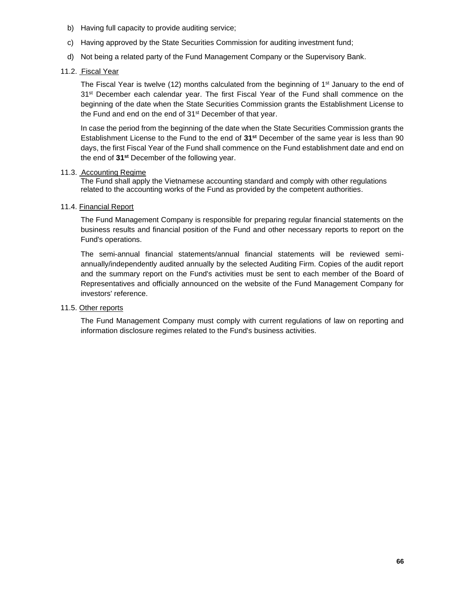- b) Having full capacity to provide auditing service;
- c) Having approved by the State Securities Commission for auditing investment fund;
- d) Not being a related party of the Fund Management Company or the Supervisory Bank.
- 11.2. Fiscal Year

The Fiscal Year is twelve (12) months calculated from the beginning of  $1<sup>st</sup>$  January to the end of 31<sup>st</sup> December each calendar year. The first Fiscal Year of the Fund shall commence on the beginning of the date when the State Securities Commission grants the Establishment License to the Fund and end on the end of 31<sup>st</sup> December of that year.

In case the period from the beginning of the date when the State Securities Commission grants the Establishment License to the Fund to the end of **31st** December of the same year is less than 90 days, the first Fiscal Year of the Fund shall commence on the Fund establishment date and end on the end of **31st** December of the following year.

#### 11.3. Accounting Regime

The Fund shall apply the Vietnamese accounting standard and comply with other regulations related to the accounting works of the Fund as provided by the competent authorities.

#### 11.4. Financial Report

The Fund Management Company is responsible for preparing regular financial statements on the business results and financial position of the Fund and other necessary reports to report on the Fund's operations.

The semi-annual financial statements/annual financial statements will be reviewed semiannually/independently audited annually by the selected Auditing Firm. Copies of the audit report and the summary report on the Fund's activities must be sent to each member of the Board of Representatives and officially announced on the website of the Fund Management Company for investors' reference.

#### 11.5. Other reports

The Fund Management Company must comply with current regulations of law on reporting and information disclosure regimes related to the Fund's business activities.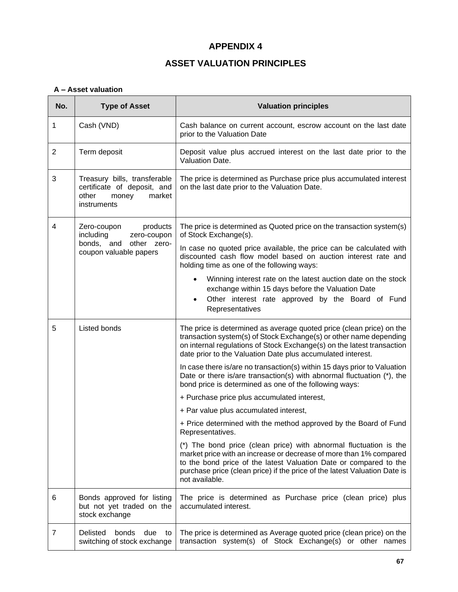#### **APPENDIX 4**

#### **ASSET VALUATION PRINCIPLES**

#### <span id="page-66-1"></span><span id="page-66-0"></span>**A – Asset valuation**

| No.            | <b>Type of Asset</b>                                                                                   | <b>Valuation principles</b>                                                                                                                                                                                                                                                                                 |  |
|----------------|--------------------------------------------------------------------------------------------------------|-------------------------------------------------------------------------------------------------------------------------------------------------------------------------------------------------------------------------------------------------------------------------------------------------------------|--|
| 1              | Cash (VND)                                                                                             | Cash balance on current account, escrow account on the last date<br>prior to the Valuation Date                                                                                                                                                                                                             |  |
| $\overline{2}$ | Term deposit                                                                                           | Deposit value plus accrued interest on the last date prior to the<br>Valuation Date.                                                                                                                                                                                                                        |  |
| 3              | Treasury bills, transferable<br>certificate of deposit, and<br>other<br>market<br>money<br>instruments | The price is determined as Purchase price plus accumulated interest<br>on the last date prior to the Valuation Date.                                                                                                                                                                                        |  |
| 4              | Zero-coupon<br>products<br>including<br>zero-coupon                                                    | The price is determined as Quoted price on the transaction system(s)<br>of Stock Exchange(s).                                                                                                                                                                                                               |  |
|                | bonds, and other zero-<br>coupon valuable papers                                                       | In case no quoted price available, the price can be calculated with<br>discounted cash flow model based on auction interest rate and<br>holding time as one of the following ways:                                                                                                                          |  |
|                |                                                                                                        | Winning interest rate on the latest auction date on the stock<br>$\bullet$<br>exchange within 15 days before the Valuation Date<br>Other interest rate approved by the Board of Fund<br>$\bullet$<br>Representatives                                                                                        |  |
| 5              | Listed bonds                                                                                           | The price is determined as average quoted price (clean price) on the<br>transaction system(s) of Stock Exchange(s) or other name depending<br>on internal regulations of Stock Exchange(s) on the latest transaction<br>date prior to the Valuation Date plus accumulated interest.                         |  |
|                |                                                                                                        | In case there is/are no transaction(s) within 15 days prior to Valuation<br>Date or there is/are transaction(s) with abnormal fluctuation (*), the<br>bond price is determined as one of the following ways:                                                                                                |  |
|                |                                                                                                        | + Purchase price plus accumulated interest,                                                                                                                                                                                                                                                                 |  |
|                |                                                                                                        | + Par value plus accumulated interest,                                                                                                                                                                                                                                                                      |  |
|                |                                                                                                        | + Price determined with the method approved by the Board of Fund<br>Representatives.                                                                                                                                                                                                                        |  |
|                |                                                                                                        | (*) The bond price (clean price) with abnormal fluctuation is the<br>market price with an increase or decrease of more than 1% compared<br>to the bond price of the latest Valuation Date or compared to the<br>purchase price (clean price) if the price of the latest Valuation Date is<br>not available. |  |
| 6              | Bonds approved for listing<br>but not yet traded on the<br>stock exchange                              | The price is determined as Purchase price (clean price) plus<br>accumulated interest.                                                                                                                                                                                                                       |  |
| 7              | Delisted<br>bonds<br>due<br>to<br>switching of stock exchange                                          | The price is determined as Average quoted price (clean price) on the<br>transaction system(s) of Stock Exchange(s) or other names                                                                                                                                                                           |  |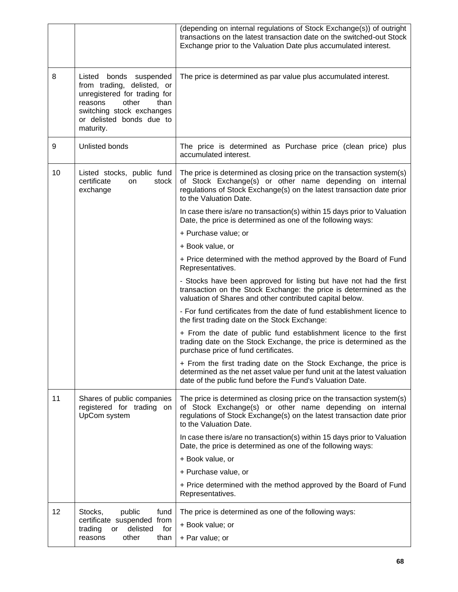|    |                                                                                                                                                                                        | (depending on internal regulations of Stock Exchange(s)) of outright<br>transactions on the latest transaction date on the switched-out Stock<br>Exchange prior to the Valuation Date plus accumulated interest.                     |
|----|----------------------------------------------------------------------------------------------------------------------------------------------------------------------------------------|--------------------------------------------------------------------------------------------------------------------------------------------------------------------------------------------------------------------------------------|
| 8  | Listed bonds suspended<br>from trading, delisted, or<br>unregistered for trading for<br>other<br>reasons<br>than<br>switching stock exchanges<br>or delisted bonds due to<br>maturity. | The price is determined as par value plus accumulated interest.                                                                                                                                                                      |
| 9  | Unlisted bonds                                                                                                                                                                         | The price is determined as Purchase price (clean price) plus<br>accumulated interest.                                                                                                                                                |
| 10 | Listed stocks, public fund<br>certificate<br>on<br>stock<br>exchange                                                                                                                   | The price is determined as closing price on the transaction system(s)<br>of Stock Exchange(s) or other name depending on internal<br>regulations of Stock Exchange(s) on the latest transaction date prior<br>to the Valuation Date. |
|    |                                                                                                                                                                                        | In case there is/are no transaction(s) within 15 days prior to Valuation<br>Date, the price is determined as one of the following ways:                                                                                              |
|    |                                                                                                                                                                                        | + Purchase value; or                                                                                                                                                                                                                 |
|    |                                                                                                                                                                                        | + Book value, or                                                                                                                                                                                                                     |
|    |                                                                                                                                                                                        | + Price determined with the method approved by the Board of Fund<br>Representatives.                                                                                                                                                 |
|    |                                                                                                                                                                                        | - Stocks have been approved for listing but have not had the first<br>transaction on the Stock Exchange: the price is determined as the<br>valuation of Shares and other contributed capital below.                                  |
|    |                                                                                                                                                                                        | - For fund certificates from the date of fund establishment licence to<br>the first trading date on the Stock Exchange:                                                                                                              |
|    |                                                                                                                                                                                        | + From the date of public fund establishment licence to the first<br>trading date on the Stock Exchange, the price is determined as the<br>purchase price of fund certificates.                                                      |
|    |                                                                                                                                                                                        | + From the first trading date on the Stock Exchange, the price is<br>determined as the net asset value per fund unit at the latest valuation<br>date of the public fund before the Fund's Valuation Date.                            |
| 11 | Shares of public companies<br>registered for trading on<br>UpCom system                                                                                                                | The price is determined as closing price on the transaction system(s)<br>of Stock Exchange(s) or other name depending on internal<br>regulations of Stock Exchange(s) on the latest transaction date prior<br>to the Valuation Date. |
|    |                                                                                                                                                                                        | In case there is/are no transaction(s) within 15 days prior to Valuation<br>Date, the price is determined as one of the following ways:                                                                                              |
|    |                                                                                                                                                                                        | + Book value, or                                                                                                                                                                                                                     |
|    |                                                                                                                                                                                        | + Purchase value, or                                                                                                                                                                                                                 |
|    |                                                                                                                                                                                        | + Price determined with the method approved by the Board of Fund<br>Representatives.                                                                                                                                                 |
| 12 | Stocks,<br>public<br>fund<br>certificate suspended from<br>delisted<br>for<br>trading<br>or<br>other<br>than<br>reasons                                                                | The price is determined as one of the following ways:                                                                                                                                                                                |
|    |                                                                                                                                                                                        | + Book value; or                                                                                                                                                                                                                     |
|    |                                                                                                                                                                                        | + Par value; or                                                                                                                                                                                                                      |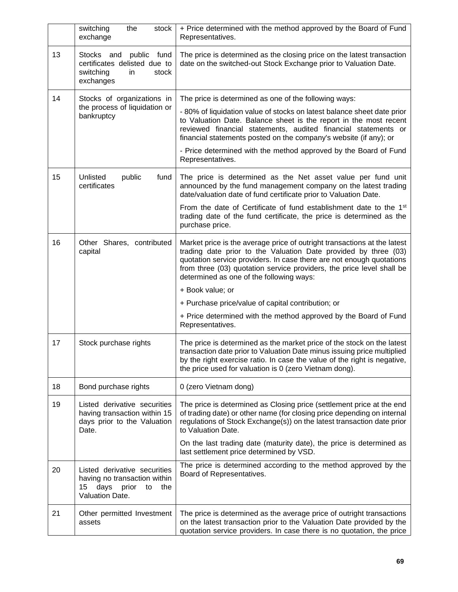|    | switching<br>the<br>stock<br>exchange                                                                         | + Price determined with the method approved by the Board of Fund<br>Representatives.                                                                                                                                                                                                                                                     |
|----|---------------------------------------------------------------------------------------------------------------|------------------------------------------------------------------------------------------------------------------------------------------------------------------------------------------------------------------------------------------------------------------------------------------------------------------------------------------|
| 13 | Stocks and<br>public fund<br>certificates delisted due to<br>switching<br>stock<br>in<br>exchanges            | The price is determined as the closing price on the latest transaction<br>date on the switched-out Stock Exchange prior to Valuation Date.                                                                                                                                                                                               |
| 14 | Stocks of organizations in                                                                                    | The price is determined as one of the following ways:                                                                                                                                                                                                                                                                                    |
|    | the process of liquidation or<br>bankruptcy                                                                   | - 80% of liquidation value of stocks on latest balance sheet date prior<br>to Valuation Date. Balance sheet is the report in the most recent<br>reviewed financial statements, audited financial statements or<br>financial statements posted on the company's website (if any); or                                                      |
|    |                                                                                                               | - Price determined with the method approved by the Board of Fund<br>Representatives.                                                                                                                                                                                                                                                     |
| 15 | Unlisted<br>public<br>fund<br>certificates                                                                    | The price is determined as the Net asset value per fund unit<br>announced by the fund management company on the latest trading<br>date/valuation date of fund certificate prior to Valuation Date.                                                                                                                                       |
|    |                                                                                                               | From the date of Certificate of fund establishment date to the 1 <sup>st</sup><br>trading date of the fund certificate, the price is determined as the<br>purchase price.                                                                                                                                                                |
| 16 | Other Shares, contributed<br>capital                                                                          | Market price is the average price of outright transactions at the latest<br>trading date prior to the Valuation Date provided by three (03)<br>quotation service providers. In case there are not enough quotations<br>from three (03) quotation service providers, the price level shall be<br>determined as one of the following ways: |
|    |                                                                                                               | + Book value; or                                                                                                                                                                                                                                                                                                                         |
|    |                                                                                                               | + Purchase price/value of capital contribution; or                                                                                                                                                                                                                                                                                       |
|    |                                                                                                               | + Price determined with the method approved by the Board of Fund<br>Representatives.                                                                                                                                                                                                                                                     |
| 17 | Stock purchase rights                                                                                         | The price is determined as the market price of the stock on the latest<br>transaction date prior to Valuation Date minus issuing price multiplied<br>by the right exercise ratio. In case the value of the right is negative,<br>the price used for valuation is 0 (zero Vietnam dong).                                                  |
| 18 | Bond purchase rights                                                                                          | 0 (zero Vietnam dong)                                                                                                                                                                                                                                                                                                                    |
| 19 | Listed derivative securities<br>having transaction within 15<br>days prior to the Valuation<br>Date.          | The price is determined as Closing price (settlement price at the end<br>of trading date) or other name (for closing price depending on internal<br>regulations of Stock Exchange(s)) on the latest transaction date prior<br>to Valuation Date.                                                                                         |
|    |                                                                                                               | On the last trading date (maturity date), the price is determined as<br>last settlement price determined by VSD.                                                                                                                                                                                                                         |
| 20 | Listed derivative securities<br>having no transaction within<br>15<br>days prior to<br>the<br>Valuation Date. | The price is determined according to the method approved by the<br>Board of Representatives.                                                                                                                                                                                                                                             |
| 21 | Other permitted Investment<br>assets                                                                          | The price is determined as the average price of outright transactions<br>on the latest transaction prior to the Valuation Date provided by the<br>quotation service providers. In case there is no quotation, the price                                                                                                                  |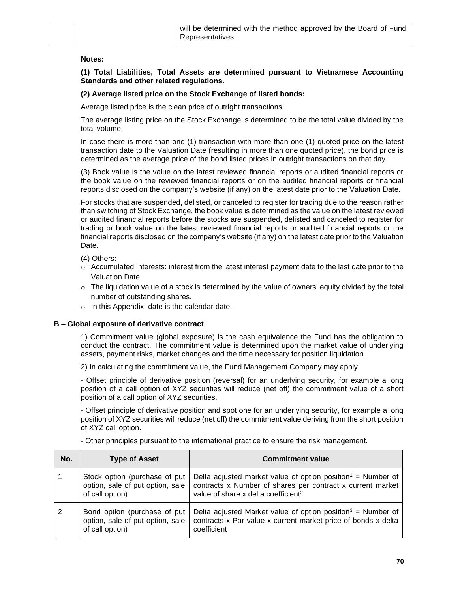| will be determined with the method approved by the Board of Fund |
|------------------------------------------------------------------|
| Representatives.                                                 |

#### **Notes:**

**(1) Total Liabilities, Total Assets are determined pursuant to Vietnamese Accounting Standards and other related regulations.**

#### **(2) Average listed price on the Stock Exchange of listed bonds:**

Average listed price is the clean price of outright transactions.

The average listing price on the Stock Exchange is determined to be the total value divided by the total volume.

In case there is more than one (1) transaction with more than one (1) quoted price on the latest transaction date to the Valuation Date (resulting in more than one quoted price), the bond price is determined as the average price of the bond listed prices in outright transactions on that day.

(3) Book value is the value on the latest reviewed financial reports or audited financial reports or the book value on the reviewed financial reports or on the audited financial reports or financial reports disclosed on the company's website (if any) on the latest date prior to the Valuation Date.

For stocks that are suspended, delisted, or canceled to register for trading due to the reason rather than switching of Stock Exchange, the book value is determined as the value on the latest reviewed or audited financial reports before the stocks are suspended, delisted and canceled to register for trading or book value on the latest reviewed financial reports or audited financial reports or the financial reports disclosed on the company's website (if any) on the latest date prior to the Valuation Date.

(4) Others:

- $\circ$  Accumulated Interests: interest from the latest interest payment date to the last date prior to the Valuation Date.
- $\circ$  The liquidation value of a stock is determined by the value of owners' equity divided by the total number of outstanding shares.
- o In this Appendix: date is the calendar date.

#### **B – Global exposure of derivative contract**

1) Commitment value (global exposure) is the cash equivalence the Fund has the obligation to conduct the contract. The commitment value is determined upon the market value of underlying assets, payment risks, market changes and the time necessary for position liquidation.

2) In calculating the commitment value, the Fund Management Company may apply:

- Offset principle of derivative position (reversal) for an underlying security, for example a long position of a call option of XYZ securities will reduce (net off) the commitment value of a short position of a call option of XYZ securities.

- Offset principle of derivative position and spot one for an underlying security, for example a long position of XYZ securities will reduce (net off) the commitment value deriving from the short position of XYZ call option.

| No.            | <b>Type of Asset</b>                                                                 | <b>Commitment value</b>                                                                                                                                                                  |
|----------------|--------------------------------------------------------------------------------------|------------------------------------------------------------------------------------------------------------------------------------------------------------------------------------------|
|                | Stock option (purchase of put<br>option, sale of put option, sale<br>of call option) | Delta adjusted market value of option position <sup>1</sup> = Number of<br>contracts x Number of shares per contract x current market<br>value of share x delta coefficient <sup>2</sup> |
| $\overline{2}$ | Bond option (purchase of put<br>option, sale of put option, sale<br>of call option)  | Delta adjusted Market value of option position <sup>3</sup> = Number of<br>contracts x Par value x current market price of bonds x delta<br>coefficient                                  |

- Other principles pursuant to the international practice to ensure the risk management.